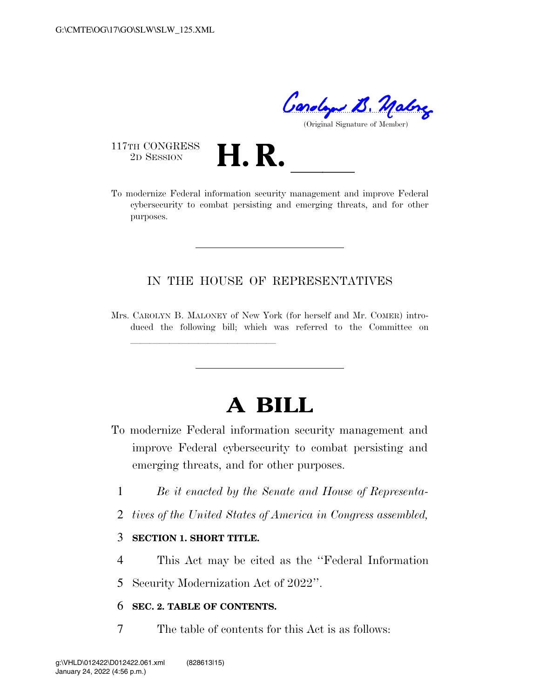Condy B. Malong

(Original Signature of Member)

117TH CONGRESS<br>2D SESSION

<sup>117TH</sup> CONGRESS<br>
<sup>2D SESSION</sup><br> **H. R.** <u>**Legending the management**</u> and improve Federal cybersecurity to combat persisting and emerging threats, and for other purposes.

# IN THE HOUSE OF REPRESENTATIVES

Mrs. CAROLYN B. MALONEY of New York (for herself and Mr. COMER) introduced the following bill; which was referred to the Committee on

# **A BILL**

- To modernize Federal information security management and improve Federal cybersecurity to combat persisting and emerging threats, and for other purposes.
	- 1 *Be it enacted by the Senate and House of Representa-*
	- 2 *tives of the United States of America in Congress assembled,*

### 3 **SECTION 1. SHORT TITLE.**

llland av den stadstadsforder i den stadstadsforder i den stadstadsforder i den stadsforder i den stadstadsfor<br>En den stadsforder

- 4 This Act may be cited as the ''Federal Information
- 5 Security Modernization Act of 2022''.

## 6 **SEC. 2. TABLE OF CONTENTS.**

7 The table of contents for this Act is as follows: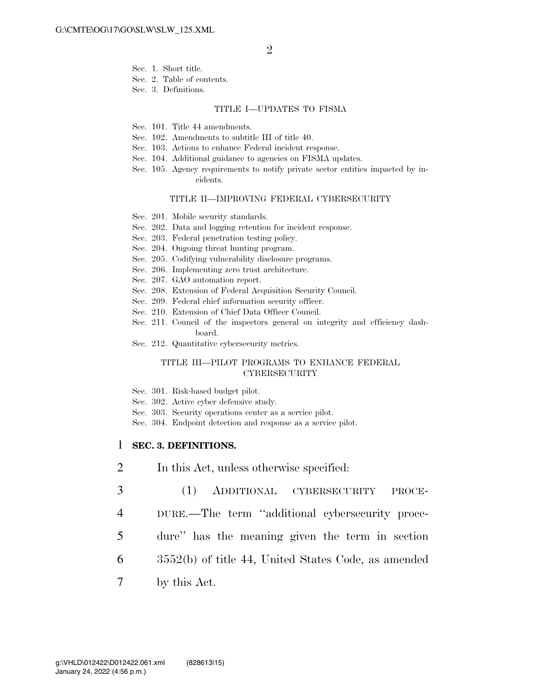- Sec. 1. Short title.
- Sec. 2. Table of contents.
- Sec. 3. Definitions.

#### TITLE I—UPDATES TO FISMA

- Sec. 101. Title 44 amendments.
- Sec. 102. Amendments to subtitle III of title 40.
- Sec. 103. Actions to enhance Federal incident response.
- Sec. 104. Additional guidance to agencies on FISMA updates.
- Sec. 105. Agency requirements to notify private sector entities impacted by incidents.

#### TITLE II—IMPROVING FEDERAL CYBERSECURITY

- Sec. 201. Mobile security standards.
- Sec. 202. Data and logging retention for incident response.
- Sec. 203. Federal penetration testing policy.
- Sec. 204. Ongoing threat hunting program.
- Sec. 205. Codifying vulnerability disclosure programs.
- Sec. 206. Implementing zero trust architecture.
- Sec. 207. GAO automation report.
- Sec. 208. Extension of Federal Acquisition Security Council.
- Sec. 209. Federal chief information security officer.
- Sec. 210. Extension of Chief Data Officer Council.
- Sec. 211. Council of the inspectors general on integrity and efficiency dashboard.
- Sec. 212. Quantitative cybersecurity metrics.

#### TITLE III—PILOT PROGRAMS TO ENHANCE FEDERAL **CYBERSECURITY**

- Sec. 301. Risk-based budget pilot.
- Sec. 302. Active cyber defensive study.
- Sec. 303. Security operations center as a service pilot.
- Sec. 304. Endpoint detection and response as a service pilot.

#### 1 **SEC. 3. DEFINITIONS.**

- 2 In this Act, unless otherwise specified:
- 3 (1) ADDITIONAL CYBERSECURITY PROCE-
- 4 DURE.—The term ''additional cybersecurity proce-
- 5 dure'' has the meaning given the term in section
- 6 3552(b) of title 44, United States Code, as amended
- 7 by this Act.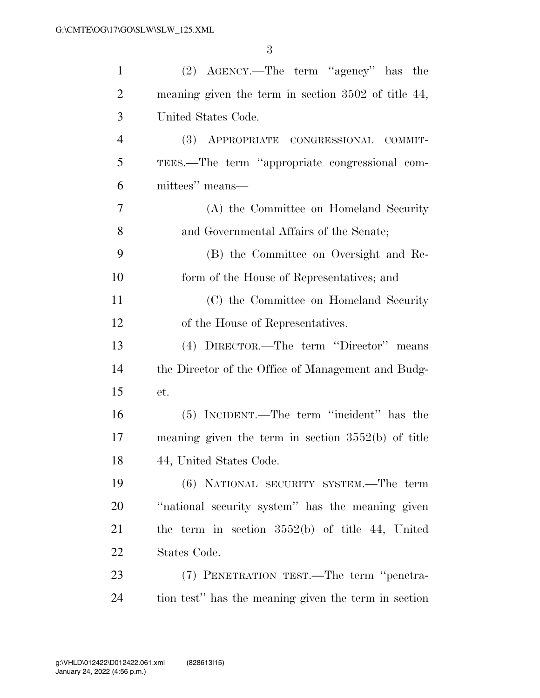| $\mathbf{1}$   | (2) AGENCY.—The term "agency" has the                |
|----------------|------------------------------------------------------|
| $\overline{2}$ | meaning given the term in section 3502 of title 44,  |
| 3              | United States Code.                                  |
| $\overline{4}$ | (3) APPROPRIATE CONGRESSIONAL COMMIT-                |
| 5              | TEES.—The term "appropriate congressional com-       |
| 6              | mittees" means—                                      |
| 7              | (A) the Committee on Homeland Security               |
| 8              | and Governmental Affairs of the Senate;              |
| 9              | (B) the Committee on Oversight and Re-               |
| 10             | form of the House of Representatives; and            |
| 11             | (C) the Committee on Homeland Security               |
| 12             | of the House of Representatives.                     |
| 13             | (4) DIRECTOR.—The term "Director" means              |
| 14             | the Director of the Office of Management and Budg-   |
| 15             | et.                                                  |
| 16             | (5) INCIDENT.—The term "incident" has the            |
| 17             | meaning given the term in section $3552(b)$ of title |
| 18             | 44, United States Code.                              |
| 19             | (6) NATIONAL SECURITY SYSTEM.—The term               |
| 20             | "national security system" has the meaning given     |
| 21             | the term in section $3552(b)$ of title 44, United    |
| 22             | States Code.                                         |
| 23             | (7) PENETRATION TEST.—The term "penetra-             |
| 24             | tion test" has the meaning given the term in section |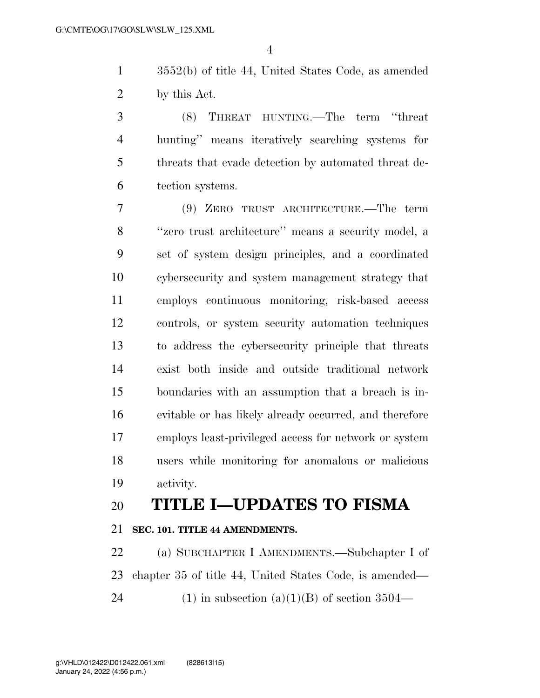3552(b) of title 44, United States Code, as amended by this Act.

 (8) THREAT HUNTING.—The term ''threat hunting'' means iteratively searching systems for threats that evade detection by automated threat de-tection systems.

 (9) ZERO TRUST ARCHITECTURE.—The term ''zero trust architecture'' means a security model, a set of system design principles, and a coordinated cybersecurity and system management strategy that employs continuous monitoring, risk-based access controls, or system security automation techniques to address the cybersecurity principle that threats exist both inside and outside traditional network boundaries with an assumption that a breach is in- evitable or has likely already occurred, and therefore employs least-privileged access for network or system users while monitoring for anomalous or malicious activity.

# **TITLE I—UPDATES TO FISMA**

# **SEC. 101. TITLE 44 AMENDMENTS.**

 (a) SUBCHAPTER I AMENDMENTS.—Subchapter I of chapter 35 of title 44, United States Code, is amended— 24 (1) in subsection  $(a)(1)(B)$  of section 3504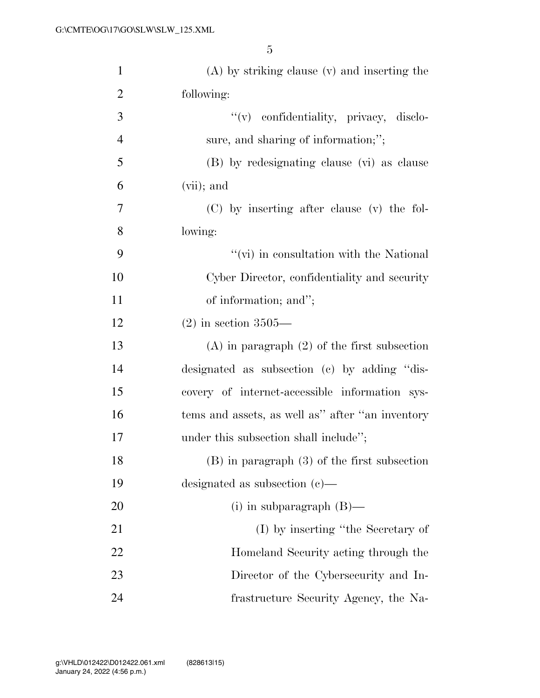| $\mathbf{1}$   | $(A)$ by striking clause $(v)$ and inserting the |
|----------------|--------------------------------------------------|
| $\overline{2}$ | following:                                       |
| 3              | "(v) confidentiality, privacy, disclo-           |
| $\overline{4}$ | sure, and sharing of information;";              |
| 5              | (B) by redesignating clause (vi) as clause       |
| 6              | $(vii)$ ; and                                    |
| 7              | (C) by inserting after clause (v) the fol-       |
| 8              | lowing:                                          |
| 9              | $\lq\lq$ (vi) in consultation with the National  |
| 10             | Cyber Director, confidentiality and security     |
| 11             | of information; and";                            |
| 12             | $(2)$ in section 3505—                           |
| 13             | $(A)$ in paragraph $(2)$ of the first subsection |
| 14             | designated as subsection (c) by adding "dis-     |
| 15             | covery of internet-accessible information sys-   |
| 16             | tems and assets, as well as" after "an inventory |
| 17             | under this subsection shall include";            |
| 18             | $(B)$ in paragraph $(3)$ of the first subsection |
| 19             | designated as subsection $(c)$ —                 |
| 20             | (i) in subparagraph $(B)$ —                      |
| 21             | (I) by inserting "the Secretary of               |
| 22             | Homeland Security acting through the             |
| 23             | Director of the Cybersecurity and In-            |
| 24             | frastructure Security Agency, the Na-            |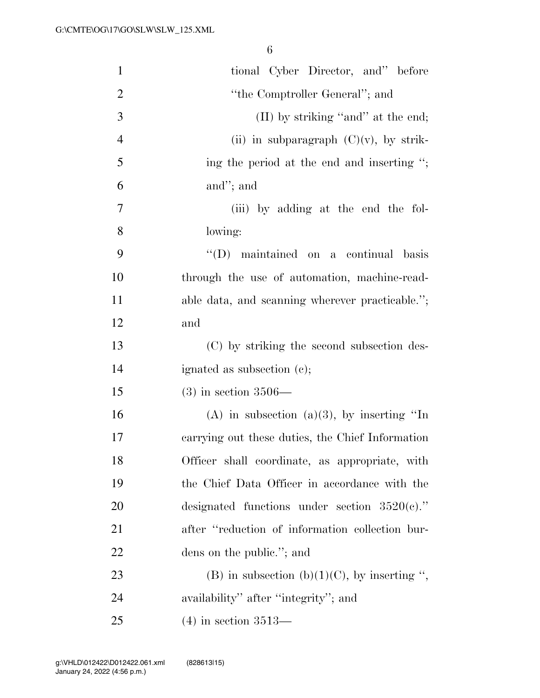| $\mathbf{1}$   | tional Cyber Director, and" before               |
|----------------|--------------------------------------------------|
| 2              | "the Comptroller General"; and                   |
| 3              | $(II)$ by striking "and" at the end;             |
| $\overline{4}$ | (ii) in subparagraph $(C)(v)$ , by strik-        |
| 5              | ing the period at the end and inserting ";       |
| 6              | and"; and                                        |
| 7              | (iii) by adding at the end the fol-              |
| 8              | lowing:                                          |
| 9              | $\lq\lq$ (D) maintained on a continual basis     |
| 10             | through the use of automation, machine-read-     |
| 11             | able data, and scanning wherever practicable.";  |
| 12             | and                                              |
| 13             | (C) by striking the second subsection des-       |
| 14             | ignated as subsection (c);                       |
| 15             | $(3)$ in section 3506—                           |
| 16             | (A) in subsection (a)(3), by inserting "In       |
| 17             | carrying out these duties, the Chief Information |
| 18             | Officer shall coordinate, as appropriate, with   |
| 19             | the Chief Data Officer in accordance with the    |
| 20             | designated functions under section $3520(c)$ ."  |
| 21             | after "reduction of information collection bur-  |
| 22             | dens on the public."; and                        |
| 23             | (B) in subsection (b)(1)(C), by inserting ",     |
| 24             | availability" after "integrity"; and             |
| 25             | $(4)$ in section 3513—                           |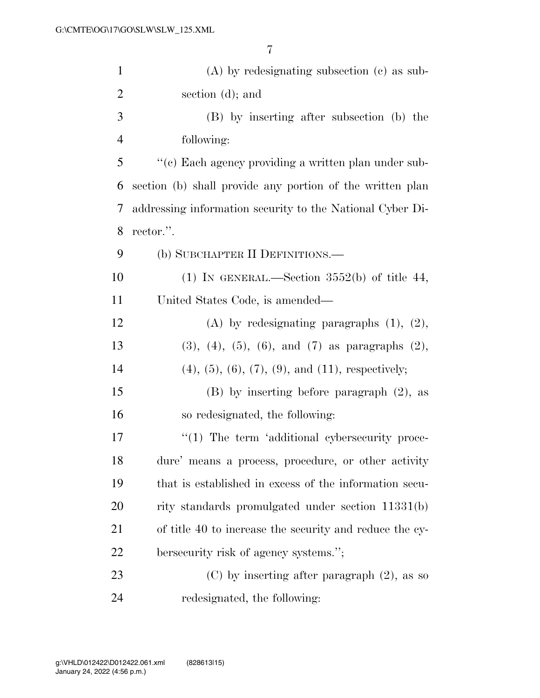| $\mathbf{1}$   | $(A)$ by redesignating subsection $(c)$ as sub-                    |
|----------------|--------------------------------------------------------------------|
| $\overline{2}$ | section (d); and                                                   |
| 3              | (B) by inserting after subsection (b) the                          |
| $\overline{4}$ | following:                                                         |
| 5              | "(c) Each agency providing a written plan under sub-               |
| 6              | section (b) shall provide any portion of the written plan          |
| 7              | addressing information security to the National Cyber Di-          |
| 8              | rector.".                                                          |
| 9              | (b) SUBCHAPTER II DEFINITIONS.—                                    |
| 10             | (1) IN GENERAL.—Section $3552(b)$ of title 44,                     |
| 11             | United States Code, is amended—                                    |
| 12             | (A) by redesignating paragraphs $(1)$ , $(2)$ ,                    |
| 13             | $(3)$ , $(4)$ , $(5)$ , $(6)$ , and $(7)$ as paragraphs $(2)$ ,    |
| 14             | $(4)$ , $(5)$ , $(6)$ , $(7)$ , $(9)$ , and $(11)$ , respectively; |
| 15             | $(B)$ by inserting before paragraph $(2)$ , as                     |
| 16             | so redesignated, the following:                                    |
| 17             | $"(1)$ The term 'additional cybersecurity proce-                   |
| 18             | dure' means a process, procedure, or other activity                |
| 19             | that is established in excess of the information secu-             |
| <b>20</b>      | rity standards promulgated under section 11331(b)                  |
| 21             | of title 40 to increase the security and reduce the cy-            |
| 22             | bersecurity risk of agency systems.";                              |
| 23             | $(C)$ by inserting after paragraph $(2)$ , as so                   |
| 24             | redesignated, the following:                                       |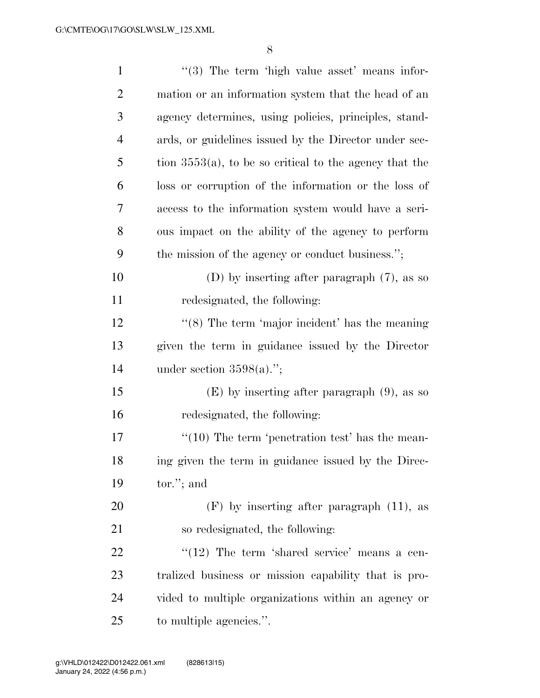| $\mathbf{1}$   | $(3)$ The term 'high value asset' means infor-             |
|----------------|------------------------------------------------------------|
| $\overline{2}$ | mation or an information system that the head of an        |
| $\mathfrak{Z}$ | agency determines, using policies, principles, stand-      |
| $\overline{4}$ | ards, or guidelines issued by the Director under sec-      |
| 5              | tion $3553(a)$ , to be so critical to the agency that the  |
| 6              | loss or corruption of the information or the loss of       |
| 7              | access to the information system would have a seri-        |
| 8              | ous impact on the ability of the agency to perform         |
| 9              | the mission of the agency or conduct business.";           |
| 10             | (D) by inserting after paragraph $(7)$ , as so             |
| 11             | redesignated, the following:                               |
| 12             | $\cdot\cdot$ (8) The term 'major incident' has the meaning |
| 13             | given the term in guidance issued by the Director          |
| 14             | under section $3598(a)$ .";                                |
| 15             | $(E)$ by inserting after paragraph $(9)$ , as so           |
| 16             | redesignated, the following:                               |
| 17             | $\lq(10)$ The term 'penetration test' has the mean-        |
| 18             | ing given the term in guidance issued by the Direc-        |
| 19             | $tor.'$ ; and                                              |
| 20             | $(F)$ by inserting after paragraph $(11)$ , as             |
| 21             | so redesignated, the following:                            |
| 22             | $\lq(12)$ The term 'shared service' means a cen-           |
| 23             | tralized business or mission capability that is pro-       |
| 24             | vided to multiple organizations within an agency or        |
| 25             | to multiple agencies.".                                    |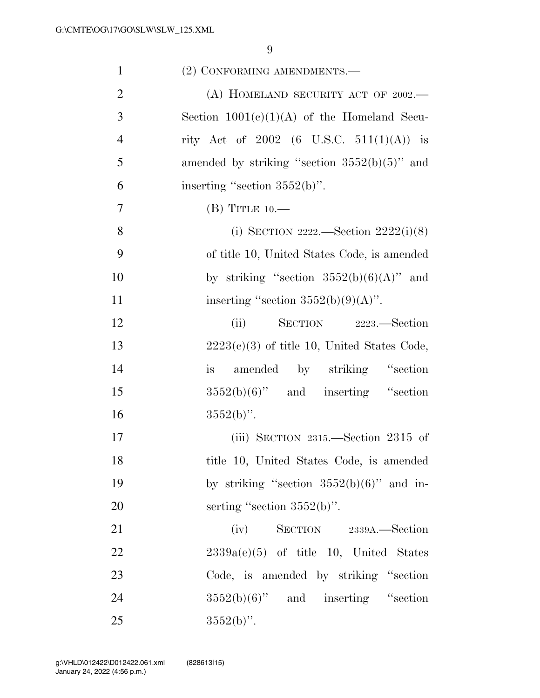| $\mathbf{1}$   | (2) CONFORMING AMENDMENTS.—                     |
|----------------|-------------------------------------------------|
| $\overline{2}$ | (A) HOMELAND SECURITY ACT OF $2002$ .           |
| 3              | Section $1001(c)(1)(A)$ of the Homeland Secu-   |
| $\overline{4}$ | rity Act of 2002 (6 U.S.C. 511(1)(A)) is        |
| 5              | amended by striking "section $3552(b)(5)$ " and |
| 6              | inserting "section $3552(b)$ ".                 |
| $\overline{7}$ | $(B)$ TITLE 10.—                                |
| 8              | (i) SECTION 2222.—Section $2222(i)(8)$          |
| 9              | of title 10, United States Code, is amended     |
| 10             | by striking "section $3552(b)(6)(A)$ " and      |
| 11             | inserting "section $3552(b)(9)(A)$ ".           |
| 12             | SECTION 2223.—Section<br>(ii)                   |
| 13             | $2223(c)(3)$ of title 10, United States Code,   |
| 14             | is amended by striking "section                 |
| 15             | $3552(b)(6)$ " and inserting "section           |
| 16             | $3552(b)$ ".                                    |
| 17             | (iii) SECTION $2315$ —Section $2315$ of         |
| 18             | title 10, United States Code, is amended        |
| 19             | by striking "section $3552(b)(6)$ " and in-     |
| 20             | serting "section $3552(b)$ ".                   |
| 21             | (iv)<br>SECTION 2339A. Section                  |
| 22             | $2339a(e)(5)$ of title 10, United States        |
| 23             | Code, is amended by striking "section"          |
| 24             | $3552(b)(6)$ " and inserting "section           |
| 25             | $3552(b)$ ".                                    |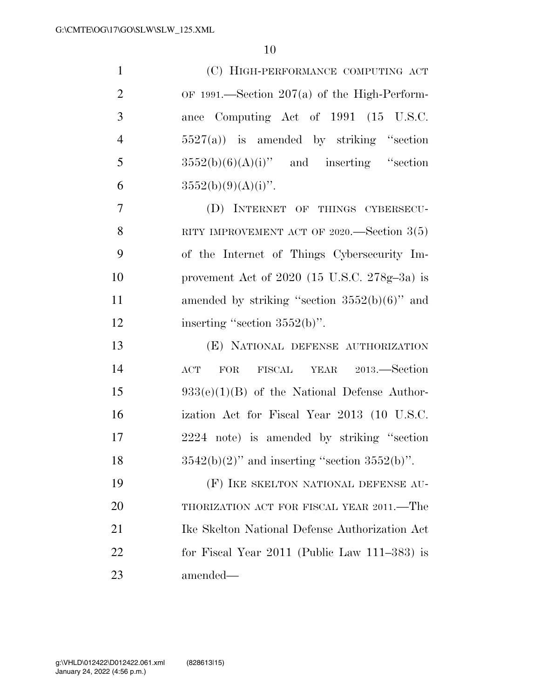| $\mathbf{1}$   | (C) HIGH-PERFORMANCE COMPUTING ACT                 |
|----------------|----------------------------------------------------|
| $\overline{2}$ | OF 1991.—Section $207(a)$ of the High-Perform-     |
| 3              | ance Computing Act of 1991 (15 U.S.C.              |
| $\overline{4}$ | $5527(a)$ is amended by striking "section"         |
| 5              | $3552(b)(6)(A)(i)$ " and inserting "section        |
| 6              | $3552(b)(9)(A)(i)$ ".                              |
| $\overline{7}$ | (D) INTERNET OF THINGS CYBERSECU-                  |
| 8              | RITY IMPROVEMENT ACT OF 2020.—Section $3(5)$       |
| 9              | of the Internet of Things Cybersecurity Im-        |
| 10             | provement Act of $2020$ (15 U.S.C. $278g-3a$ ) is  |
| 11             | amended by striking "section $3552(b)(6)$ " and    |
| 12             | inserting "section 3552(b)".                       |
| 13             | (E) NATIONAL DEFENSE AUTHORIZATION                 |
| 14             | FISCAL YEAR 2013.-Section<br>$\mathbf{ACT}$<br>FOR |
| 15             | $933(e)(1)(B)$ of the National Defense Author-     |
| 16             | ization Act for Fiscal Year 2013 (10 U.S.C.        |
| 17             | 2224 note) is amended by striking "section         |
| 18             | $3542(b)(2)$ " and inserting "section $3552(b)$ ". |
| 19             | (F) IKE SKELTON NATIONAL DEFENSE AU-               |
| 20             | THORIZATION ACT FOR FISCAL YEAR 2011.—The          |
| 21             | Ike Skelton National Defense Authorization Act     |
| 22             | for Fiscal Year $2011$ (Public Law $111-383$ ) is  |
| 23             | amended—                                           |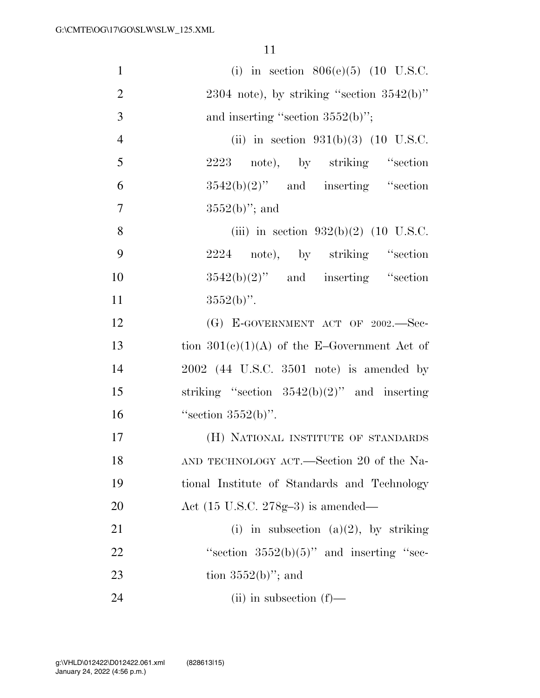| $\mathbf{1}$   | (i) in section $806(e)(5)$ (10 U.S.C.          |
|----------------|------------------------------------------------|
| $\overline{2}$ | $2304$ note), by striking "section $3542(b)$ " |
| 3              | and inserting "section $3552(b)$ ";            |
| $\overline{4}$ | (ii) in section $931(b)(3)$ (10 U.S.C.         |
| 5              | 2223 note), by striking "section               |
| 6              | $3542(b)(2)$ " and inserting "section          |
| 7              | $3552(b)$ "; and                               |
| 8              | (iii) in section $932(b)(2)$ (10 U.S.C.        |
| 9              | 2224 note), by striking "section               |
| 10             | $3542(b)(2)$ " and inserting "section          |
| 11             | $3552(b)$ ".                                   |
| 12             | (G) E-GOVERNMENT ACT OF 2002.-Sec-             |
| 13             | tion $301(c)(1)(A)$ of the E-Government Act of |
| 14             | $2002$ (44 U.S.C. 3501 note) is amended by     |
| 15             | striking "section $3542(b)(2)$ " and inserting |
| 16             | "section $3552(b)$ ".                          |
| 17             | (H) NATIONAL INSTITUTE OF STANDARDS            |
| 18             | AND TECHNOLOGY ACT.—Section 20 of the Na-      |
| 19             | tional Institute of Standards and Technology   |
| 20             | Act $(15 \text{ U.S.C. } 278g-3)$ is amended—  |
| 21             | (i) in subsection (a)(2), by striking          |
| 22             | "section $3552(b)(5)$ " and inserting "sec-    |
| 23             | tion $3552(b)$ "; and                          |
| 24             | $(ii)$ in subsection $(f)$ —                   |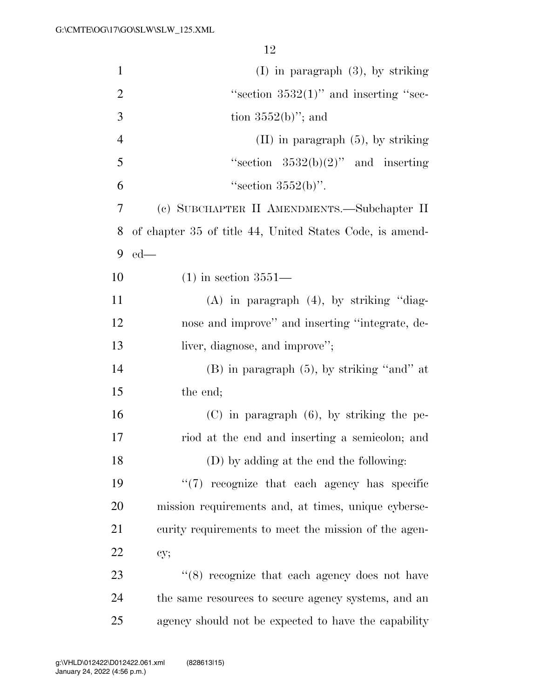| $\mathbf{1}$   | $(I)$ in paragraph $(3)$ , by striking                   |
|----------------|----------------------------------------------------------|
| $\overline{2}$ | "section $3532(1)$ " and inserting "sec-                 |
| 3              | tion $3552(b)$ "; and                                    |
| $\overline{4}$ | $(II)$ in paragraph $(5)$ , by striking                  |
| 5              | "section $3532(b)(2)$ " and inserting                    |
| 6              | "section $3552(b)$ ".                                    |
| 7              | (c) SUBCHAPTER II AMENDMENTS.—Subchapter II              |
| 8              | of chapter 35 of title 44, United States Code, is amend- |
| 9              | $ed$ —                                                   |
| 10             | $(1)$ in section 3551—                                   |
| 11             | $(A)$ in paragraph $(4)$ , by striking "diag-            |
| 12             | nose and improve" and inserting "integrate, de-          |
| 13             | liver, diagnose, and improve";                           |
| 14             | $(B)$ in paragraph $(5)$ , by striking "and" at          |
| 15             | the end;                                                 |
| 16             | $(C)$ in paragraph $(6)$ , by striking the pe-           |
| 17             | riod at the end and inserting a semicolon; and           |
| 18             | (D) by adding at the end the following:                  |
| 19             | $\lq(7)$ recognize that each agency has specific         |
| 20             | mission requirements and, at times, unique cyberse-      |
| 21             | curity requirements to meet the mission of the agen-     |
| 22             | cy;                                                      |
| 23             | $(8)$ recognize that each agency does not have           |
| 24             | the same resources to secure agency systems, and an      |
| 25             | agency should not be expected to have the capability     |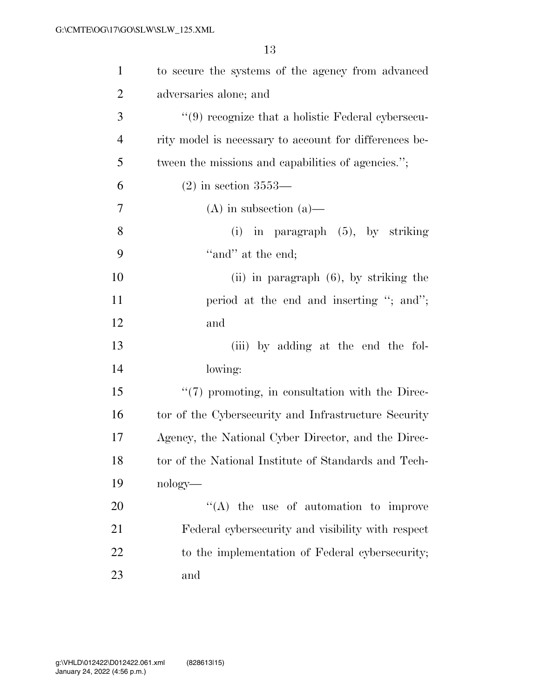| $\mathbf{1}$   | to secure the systems of the agency from advanced      |
|----------------|--------------------------------------------------------|
| $\overline{2}$ | adversaries alone; and                                 |
| 3              | "(9) recognize that a holistic Federal cybersecu-      |
| $\overline{4}$ | rity model is necessary to account for differences be- |
| 5              | tween the missions and capabilities of agencies.";     |
| 6              | $(2)$ in section 3553—                                 |
| 7              | $(A)$ in subsection $(a)$ —                            |
| 8              | $(i)$ in paragraph $(5)$ , by striking                 |
| 9              | "and" at the end;                                      |
| 10             | $(ii)$ in paragraph $(6)$ , by striking the            |
| 11             | period at the end and inserting "; and";               |
| 12             | and                                                    |
| 13             | (iii) by adding at the end the fol-                    |
| 14             | lowing:                                                |
| 15             | "(7) promoting, in consultation with the Direc-        |
| 16             | tor of the Cybersecurity and Infrastructure Security   |
| 17             | Agency, the National Cyber Director, and the Direc-    |
| 18             | tor of the National Institute of Standards and Tech-   |
| 19             | nology—                                                |
| 20             | $\lq\lq$ the use of automation to improve              |
| 21             | Federal cybersecurity and visibility with respect      |
| 22             | to the implementation of Federal cybersecurity;        |
| 23             | and                                                    |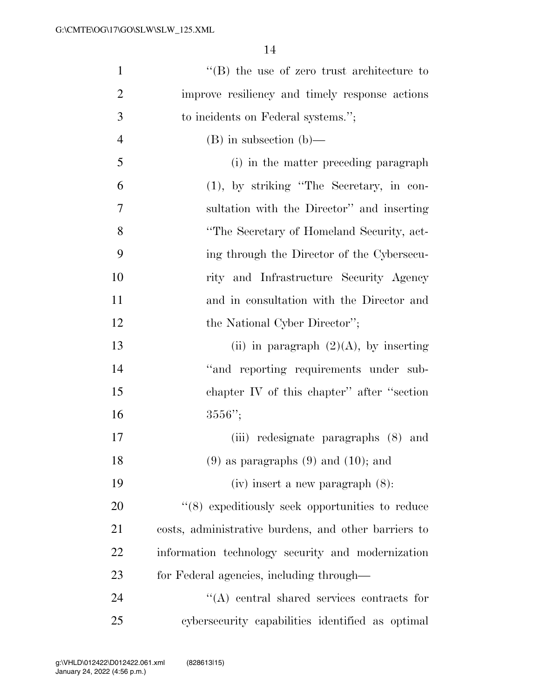| $\mathbf{1}$   | $\lq\lq$ the use of zero trust architecture to       |
|----------------|------------------------------------------------------|
| $\overline{2}$ | improve resiliency and timely response actions       |
| 3              | to incidents on Federal systems.";                   |
| $\overline{4}$ | $(B)$ in subsection $(b)$ —                          |
| 5              | (i) in the matter preceding paragraph                |
| 6              | (1), by striking "The Secretary, in con-             |
| $\overline{7}$ | sultation with the Director" and inserting           |
| 8              | "The Secretary of Homeland Security, act-            |
| 9              | ing through the Director of the Cybersecu-           |
| 10             | rity and Infrastructure Security Agency              |
| 11             | and in consultation with the Director and            |
| 12             | the National Cyber Director";                        |
| 13             | (ii) in paragraph $(2)(A)$ , by inserting            |
| 14             | "and reporting requirements under sub-               |
| 15             | chapter IV of this chapter" after "section           |
| 16             | $3556"$ ;                                            |
| 17             | (iii) redesignate paragraphs (8) and                 |
| 18             | $(9)$ as paragraphs $(9)$ and $(10)$ ; and           |
| 19             | $(iv)$ insert a new paragraph $(8)$ :                |
| 20             | $(8)$ expeditiously seek opportunities to reduce     |
| 21             | costs, administrative burdens, and other barriers to |
| 22             | information technology security and modernization    |
| 23             | for Federal agencies, including through—             |
| 24             | $\lq\lq$ central shared services contracts for       |
| 25             | cybersecurity capabilities identified as optimal     |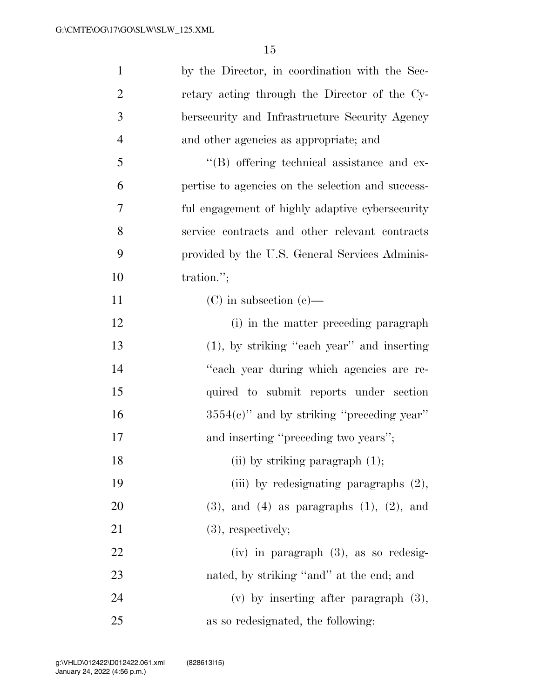| $\mathbf{1}$   | by the Director, in coordination with the Sec-      |
|----------------|-----------------------------------------------------|
| $\overline{2}$ | retary acting through the Director of the Cy-       |
| 3              | bersecurity and Infrastructure Security Agency      |
| $\overline{4}$ | and other agencies as appropriate; and              |
| 5              | $\lq\lq (B)$ offering technical assistance and ex-  |
| 6              | pertise to agencies on the selection and success-   |
| 7              | ful engagement of highly adaptive cybersecurity     |
| $8\,$          | service contracts and other relevant contracts      |
| 9              | provided by the U.S. General Services Adminis-      |
| 10             | tration.";                                          |
| 11             | $(C)$ in subsection $(e)$ —                         |
| 12             | (i) in the matter preceding paragraph               |
| 13             | $(1)$ , by striking "each year" and inserting       |
| 14             | "each year during which agencies are re-            |
| 15             | quired to submit reports under section              |
| 16             | $3554(c)$ " and by striking "preceding year"        |
| 17             | and inserting "preceding two years";                |
| 18             | $(i)$ by striking paragraph $(1)$ ;                 |
| 19             | (iii) by redesignating paragraphs $(2)$ ,           |
| 20             | $(3)$ , and $(4)$ as paragraphs $(1)$ , $(2)$ , and |
| 21             | $(3)$ , respectively;                               |
| 22             | $(iv)$ in paragraph $(3)$ , as so redesig-          |
| 23             | nated, by striking "and" at the end; and            |
| 24             | (v) by inserting after paragraph $(3)$ ,            |
| 25             | as so redesignated, the following:                  |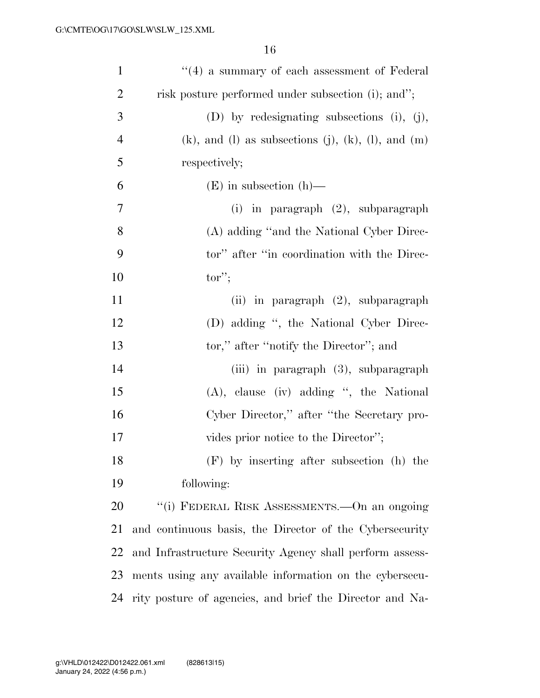| $\mathbf{1}$   | $``(4)$ a summary of each assessment of Federal                    |
|----------------|--------------------------------------------------------------------|
| $\overline{2}$ | risk posture performed under subsection (i); and";                 |
| 3              | (D) by redesignating subsections (i), (j),                         |
| $\overline{4}$ | $(k)$ , and $(l)$ as subsections $(j)$ , $(k)$ , $(l)$ , and $(m)$ |
| 5              | respectively;                                                      |
| 6              | $(E)$ in subsection $(h)$ —                                        |
| 7              | $(i)$ in paragraph $(2)$ , subparagraph                            |
| 8              | (A) adding "and the National Cyber Direc-                          |
| 9              | tor" after "in coordination with the Direc-                        |
| 10             | $tor$ ";                                                           |
| 11             | (ii) in paragraph (2), subparagraph                                |
| 12             | (D) adding ", the National Cyber Direc-                            |
| 13             | tor," after "notify the Director"; and                             |
| 14             | (iii) in paragraph (3), subparagraph                               |
| 15             | $(A)$ , clause (iv) adding ", the National                         |
| 16             | Cyber Director," after "the Secretary pro-                         |
| 17             | vides prior notice to the Director";                               |
| 18             | (F) by inserting after subsection (h) the                          |
| 19             | following:                                                         |
| 20             | "(i) FEDERAL RISK ASSESSMENTS.—On an ongoing                       |
| 21             | and continuous basis, the Director of the Cybersecurity            |
| 22             | and Infrastructure Security Agency shall perform assess-           |
| 23             | ments using any available information on the cybersecu-            |
| 24             | rity posture of agencies, and brief the Director and Na-           |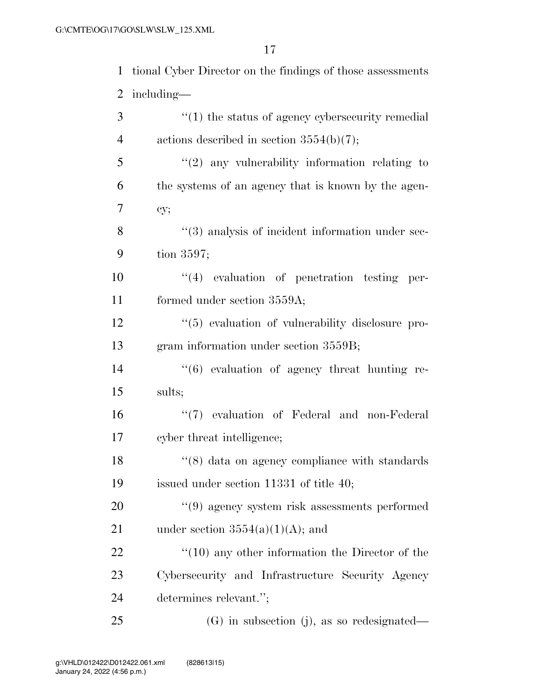| $\mathbf{1}$   | tional Cyber Director on the findings of those assessments         |
|----------------|--------------------------------------------------------------------|
| $\overline{2}$ | including—                                                         |
| 3              | $\cdot\cdot\cdot(1)$ the status of agency cybers exercity remedial |
| $\overline{4}$ | actions described in section $3554(b)(7)$ ;                        |
| 5              | $\lq(2)$ any vulnerability information relating to                 |
| 6              | the systems of an agency that is known by the agen-                |
| 7              | cy;                                                                |
| 8              | "(3) analysis of incident information under sec-                   |
| 9              | tion $3597$ ;                                                      |
| 10             | $``(4)$ evaluation of penetration testing per-                     |
| 11             | formed under section 3559A;                                        |
| 12             | $\lq(5)$ evaluation of vulnerability disclosure pro-               |
| 13             | gram information under section 3559B;                              |
| 14             | $\cdot\cdot\cdot(6)$ evaluation of agency threat hunting re-       |
| 15             | sults;                                                             |
| 16             | "(7) evaluation of Federal and non-Federal                         |
| 17             | cyber threat intelligence;                                         |
| 18             | $\lq(8)$ data on agency compliance with standards                  |
| 19             | issued under section $11331$ of title 40;                          |
| 20             | $\lq(9)$ agency system risk assessments performed                  |
| 21             | under section $3554(a)(1)(A)$ ; and                                |
| 22             | $\lq(10)$ any other information the Director of the                |
| 23             | Cybersecurity and Infrastructure Security Agency                   |
| 24             | determines relevant.";                                             |
| 25             | $(G)$ in subsection (j), as so redesignated—                       |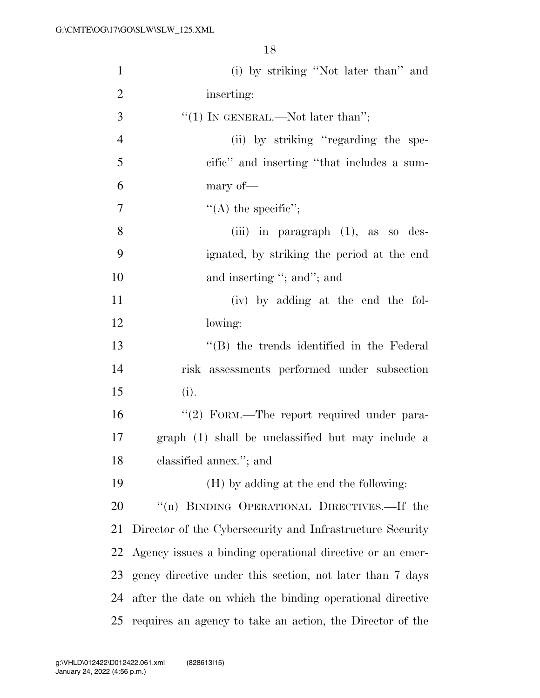| $\mathbf{1}$     | (i) by striking "Not later than" and                      |
|------------------|-----------------------------------------------------------|
| $\overline{2}$   | inserting:                                                |
| $\mathfrak{Z}$   | "(1) IN GENERAL.—Not later than";                         |
| $\overline{4}$   | (ii) by striking "regarding the spe-                      |
| 5                | cific" and inserting "that includes a sum-                |
| 6                | mary of-                                                  |
| $\boldsymbol{7}$ | "(A) the specific";                                       |
| 8                | (iii) in paragraph $(1)$ , as so des-                     |
| 9                | ignated, by striking the period at the end                |
| 10               | and inserting "; and"; and                                |
| 11               | (iv) by adding at the end the fol-                        |
| 12               | lowing:                                                   |
| 13               | $\lq$ (B) the trends identified in the Federal            |
| 14               | risk assessments performed under subsection               |
| 15               | (i).                                                      |
| 16               | "(2) FORM.—The report required under para-                |
| $17\,$           | graph (1) shall be unclassified but may include a         |
| 18               | classified annex."; and                                   |
| 19               | (H) by adding at the end the following:                   |
| 20               | "(n) BINDING OPERATIONAL DIRECTIVES.—If the               |
| 21               | Director of the Cybersecurity and Infrastructure Security |
| 22               | Agency issues a binding operational directive or an emer- |
| 23               | gency directive under this section, not later than 7 days |
| 24               | after the date on which the binding operational directive |
| 25               | requires an agency to take an action, the Director of the |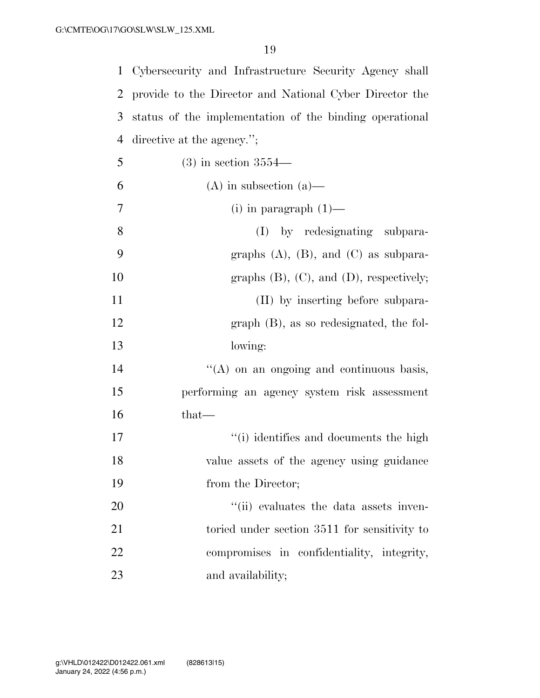| $\mathbf{1}$   | Cybersecurity and Infrastructure Security Agency shall  |
|----------------|---------------------------------------------------------|
| 2              | provide to the Director and National Cyber Director the |
| 3              | status of the implementation of the binding operational |
| 4              | directive at the agency.";                              |
| 5              | $(3)$ in section 3554—                                  |
| 6              | $(A)$ in subsection $(a)$ —                             |
| $\overline{7}$ | $(i)$ in paragraph $(1)$ —                              |
| 8              | (I) by redesignating subpara-                           |
| 9              | graphs $(A)$ , $(B)$ , and $(C)$ as subpara-            |
| 10             | graphs $(B)$ , $(C)$ , and $(D)$ , respectively;        |
| 11             | (II) by inserting before subpara-                       |
| 12             | $graph$ (B), as so redesignated, the fol-               |
| 13             | lowing:                                                 |
| 14             | "(A) on an ongoing and continuous basis,                |
| 15             | performing an agency system risk assessment             |
| 16             | that—                                                   |
| 17             | "(i) identifies and documents the high                  |
| 18             | value assets of the agency using guidance               |
| 19             | from the Director;                                      |
| 20             | "(ii) evaluates the data assets inven-                  |
| 21             | toried under section 3511 for sensitivity to            |
| 22             | compromises in confidentiality, integrity,              |
| 23             | and availability;                                       |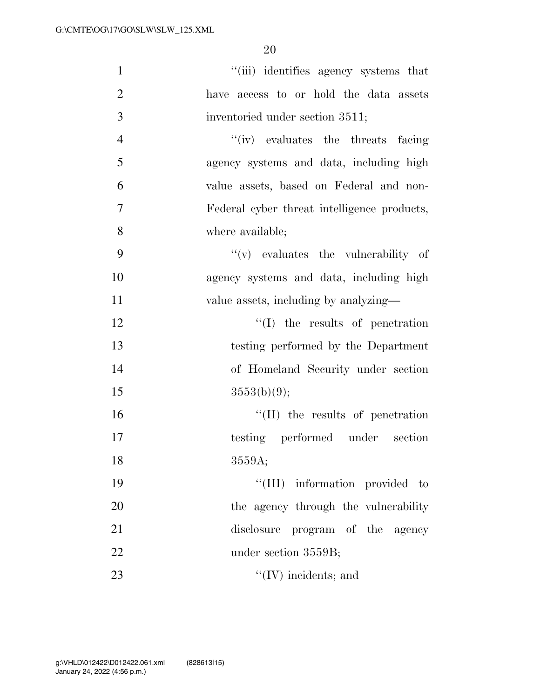| $\mathbf{1}$   | "(iii) identifies agency systems that       |
|----------------|---------------------------------------------|
| $\overline{2}$ | have access to or hold the data assets      |
| 3              | inventoried under section 3511;             |
| $\overline{4}$ | "(iv) evaluates the threats facing          |
| 5              | agency systems and data, including high     |
| 6              | value assets, based on Federal and non-     |
| $\overline{7}$ | Federal cyber threat intelligence products, |
| 8              | where available;                            |
| 9              | $f'(v)$ evaluates the vulnerability of      |
| 10             | agency systems and data, including high     |
| 11             | value assets, including by analyzing—       |
| 12             | $\lq\lq$ the results of penetration         |
| 13             | testing performed by the Department         |
| 14             | of Homeland Security under section          |
| 15             | 3553(b)(9);                                 |
| 16             | $\lq\lq$ (II) the results of penetration    |
| 17             | testing performed under section             |
| 18             | 3559A;                                      |
| 19             | "(III) information provided to              |
| 20             | the agency through the vulnerability        |
| 21             | disclosure program of the agency            |
| 22             | under section 3559B;                        |
| 23             | $\lq\lq$ (IV) incidents; and                |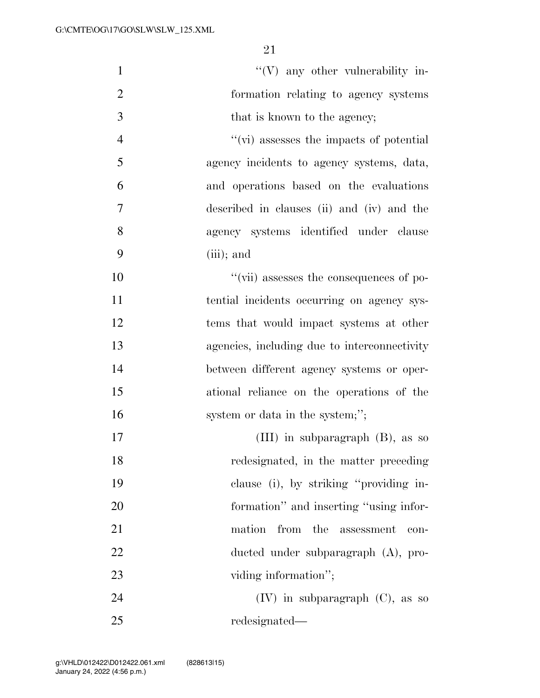| $\mathbf{1}$   | $\lq\lq(V)$ any other vulnerability in-      |
|----------------|----------------------------------------------|
| $\overline{2}$ | formation relating to agency systems         |
| 3              | that is known to the agency;                 |
| $\overline{4}$ | "(vi) assesses the impacts of potential      |
| 5              | agency incidents to agency systems, data,    |
| 6              | and operations based on the evaluations      |
| 7              | described in clauses (ii) and (iv) and the   |
| 8              | agency systems identified under clause       |
| 9              | $(iii)$ ; and                                |
| 10             | "(vii) assesses the consequences of po-      |
| 11             | tential incidents occurring on agency sys-   |
| 12             | tems that would impact systems at other      |
| 13             | agencies, including due to interconnectivity |
| 14             | between different agency systems or oper-    |
| 15             | ational reliance on the operations of the    |
| 16             | system or data in the system;";              |
| 17             | (III) in subparagraph $(B)$ , as so          |
| 18             | redesignated, in the matter preceding        |
| 19             | clause (i), by striking "providing in-       |
| 20             | formation" and inserting "using infor-       |
| 21             | the<br>mation<br>from<br>assessment<br>con-  |
| 22             | ducted under subparagraph (A), pro-          |
| 23             | viding information";                         |
| 24             | $(IV)$ in subparagraph $(C)$ , as so         |
| 25             | redesignated—                                |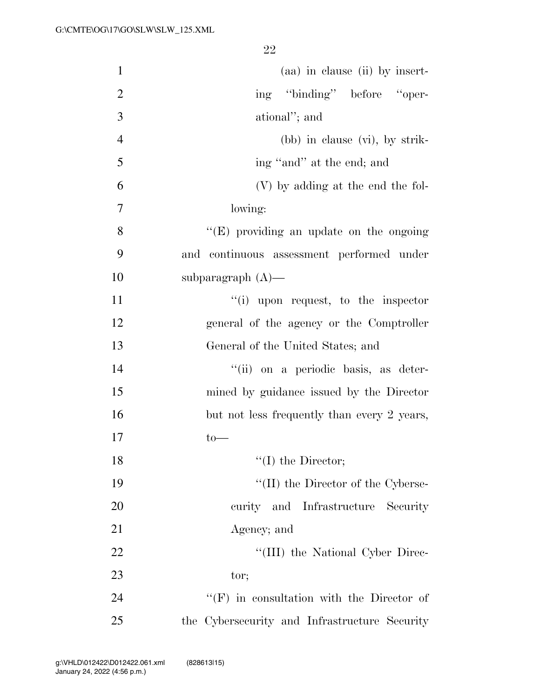| $\mathbf{1}$   | (aa) in clause (ii) by insert-                   |
|----------------|--------------------------------------------------|
| $\overline{2}$ | ing "binding" before "oper-                      |
| 3              | ational"; and                                    |
| $\overline{4}$ | (bb) in clause (vi), by strik-                   |
| 5              | ing "and" at the end; and                        |
| 6              | (V) by adding at the end the fol-                |
| 7              | lowing:                                          |
| 8              | $\lq\lq(E)$ providing an update on the ongoing   |
| 9              | and continuous assessment performed under        |
| 10             | subparagraph $(A)$ —                             |
| 11             | "(i) upon request, to the inspector              |
| 12             | general of the agency or the Comptroller         |
| 13             | General of the United States; and                |
| 14             | "(ii) on a periodic basis, as deter-             |
| 15             | mined by guidance issued by the Director         |
| 16             | but not less frequently than every 2 years,      |
| 17             | $to-$                                            |
| 18             | $\lq\lq$ (I) the Director;                       |
| 19             | $\lq\lq$ (II) the Director of the Cyberse-       |
| 20             | curity and Infrastructure Security               |
| 21             | Agency; and                                      |
| 22             | "(III) the National Cyber Direc-                 |
| 23             | tor;                                             |
| 24             | $\lq\lq(F)$ in consultation with the Director of |
| 25             | the Cybersecurity and Infrastructure Security    |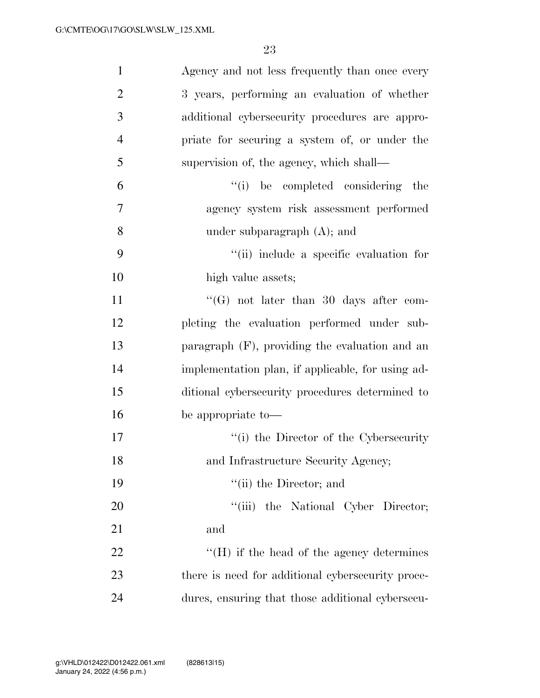| $\mathbf{1}$   | Agency and not less frequently than once every    |
|----------------|---------------------------------------------------|
| $\overline{2}$ | 3 years, performing an evaluation of whether      |
| 3              | additional cybersecurity procedures are appro-    |
| $\overline{4}$ | priate for securing a system of, or under the     |
| 5              | supervision of, the agency, which shall—          |
| 6              | "(i) be completed considering the                 |
| 7              | agency system risk assessment performed           |
| 8              | under subparagraph $(A)$ ; and                    |
| 9              | "(ii) include a specific evaluation for           |
| 10             | high value assets;                                |
| 11             | "(G) not later than 30 days after com-            |
| 12             | pleting the evaluation performed under sub-       |
| 13             | paragraph (F), providing the evaluation and an    |
| 14             | implementation plan, if applicable, for using ad- |
| 15             | ditional cybersecurity procedures determined to   |
| 16             | be appropriate to-                                |
| 17             | "(i) the Director of the Cybersecurity            |
| 18             | and Infrastructure Security Agency;               |
| 19             | "(ii) the Director; and                           |
| 20             | "(iii) the National Cyber Director;               |
| 21             | and                                               |
| 22             | $\lq\lq (H)$ if the head of the agency determines |
| 23             | there is need for additional cybersecurity proce- |
| 24             | dures, ensuring that those additional cybersecu-  |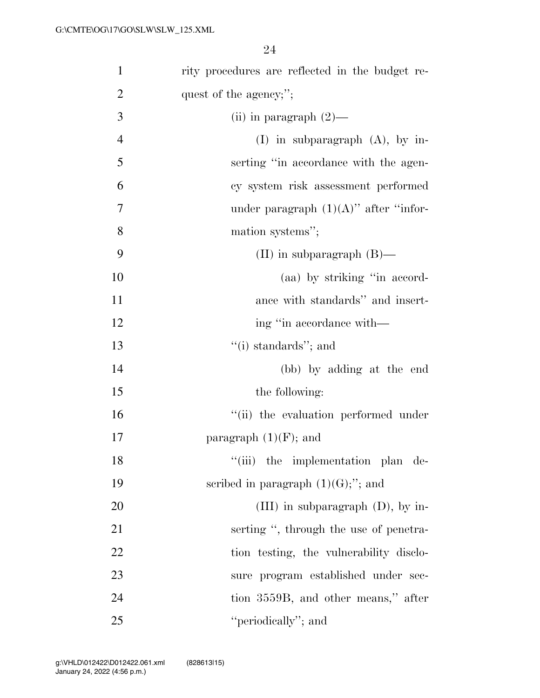| $\mathbf{1}$   | rity procedures are reflected in the budget re- |
|----------------|-------------------------------------------------|
| $\overline{2}$ | quest of the agency;";                          |
| 3              | (ii) in paragraph $(2)$ —                       |
| $\overline{4}$ | $(I)$ in subparagraph $(A)$ , by in-            |
| 5              | serting "in accordance with the agen-           |
| 6              | cy system risk assessment performed             |
| $\overline{7}$ | under paragraph $(1)(A)$ " after "infor-        |
| 8              | mation systems";                                |
| 9              | (II) in subparagraph $(B)$ —                    |
| 10             | (aa) by striking "in accord-                    |
| 11             | ance with standards" and insert-                |
| 12             | ing "in accordance with—                        |
| 13             | $``(i)$ standards"; and                         |
| 14             | (bb) by adding at the end                       |
| 15             | the following:                                  |
| 16             | "(ii) the evaluation performed under            |
| 17             | paragraph $(1)(F)$ ; and                        |
| 18             | "(iii) the implementation plan de-              |
| 19             | scribed in paragraph $(1)(G)$ ;"; and           |
| 20             | (III) in subparagraph $(D)$ , by in-            |
| 21             | serting ", through the use of penetra-          |
| 22             | tion testing, the vulnerability disclo-         |
| 23             | sure program established under sec-             |
| 24             | tion 3559B, and other means," after             |
| 25             | "periodically"; and                             |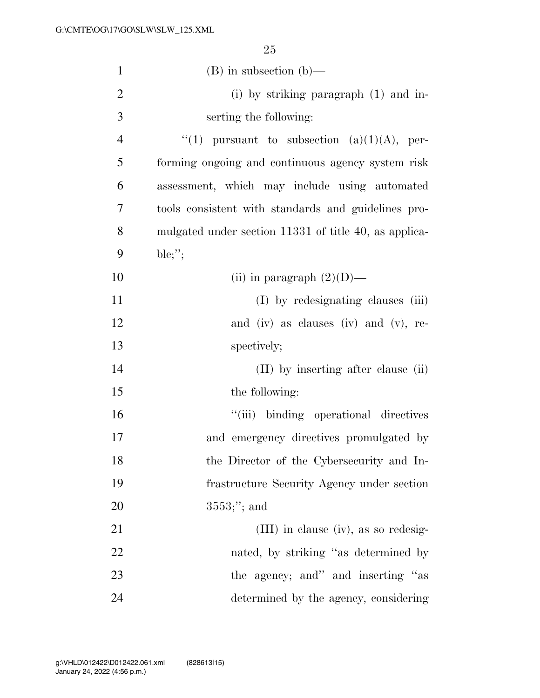| $\mathbf{1}$   | $(B)$ in subsection $(b)$ —                           |
|----------------|-------------------------------------------------------|
| $\overline{2}$ | (i) by striking paragraph $(1)$ and in-               |
| 3              | serting the following:                                |
| $\overline{4}$ | "(1) pursuant to subsection (a)(1)(A), per-           |
| 5              | forming ongoing and continuous agency system risk     |
| 6              | assessment, which may include using automated         |
| 7              | tools consistent with standards and guidelines pro-   |
| 8              | mulgated under section 11331 of title 40, as applica- |
| 9              | ble;";                                                |
| 10             | (ii) in paragraph $(2)(D)$ —                          |
| 11             | (I) by redesignating clauses (iii)                    |
| 12             | and (iv) as clauses (iv) and (v), re-                 |
| 13             | spectively;                                           |
| 14             | (II) by inserting after clause (ii)                   |
| 15             | the following:                                        |
| 16             | "(iii) binding operational directives                 |
| 17             | and emergency directives promulgated by               |
| 18             | the Director of the Cybersecurity and In-             |
| 19             | frastructure Security Agency under section            |
| 20             | $3553;$ "; and                                        |
| 21             | $(III)$ in clause (iv), as so redesig-                |
| 22             | nated, by striking "as determined by                  |
| 23             | the agency; and inserting "as                         |
| 24             | determined by the agency, considering                 |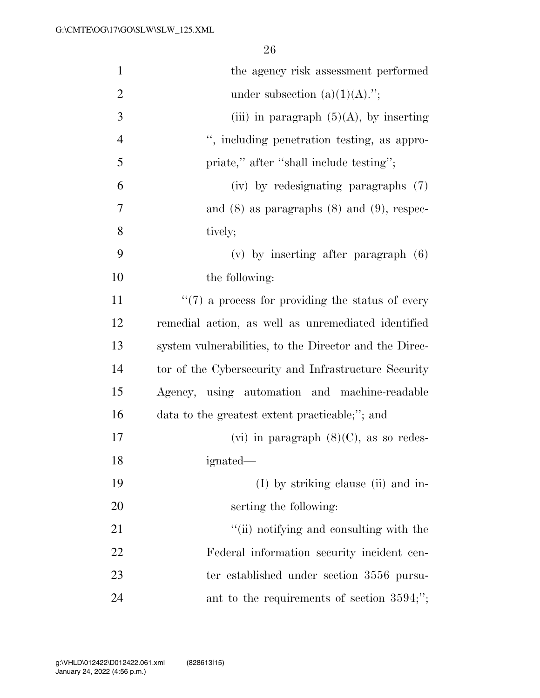| $\mathbf{1}$   | the agency risk assessment performed                   |
|----------------|--------------------------------------------------------|
| $\overline{2}$ | under subsection $(a)(1)(A)$ .";                       |
| $\mathfrak{Z}$ | (iii) in paragraph $(5)(A)$ , by inserting             |
| $\overline{4}$ | ", including penetration testing, as appro-            |
| 5              | priate," after "shall include testing";                |
| 6              | (iv) by redesignating paragraphs (7)                   |
| 7              | and $(8)$ as paragraphs $(8)$ and $(9)$ , respec-      |
| 8              | tively;                                                |
| 9              | $(v)$ by inserting after paragraph $(6)$               |
| 10             | the following:                                         |
| 11             | $\lq(7)$ a process for providing the status of every   |
| 12             | remedial action, as well as unremediated identified    |
| 13             | system vulnerabilities, to the Director and the Direc- |
| 14             | tor of the Cybersecurity and Infrastructure Security   |
| 15             | Agency, using automation and machine-readable          |
| 16             | data to the greatest extent practicable;"; and         |
| $17\,$         | (vi) in paragraph $(8)(C)$ , as so redes-              |
| 18             | ignated—                                               |
| 19             | $(I)$ by striking clause (ii) and in-                  |
| 20             | serting the following:                                 |
| 21             | "(ii) notifying and consulting with the                |
| 22             | Federal information security incident cen-             |
| 23             | ter established under section 3556 pursu-              |
| 24             | ant to the requirements of section $3594;$ ";          |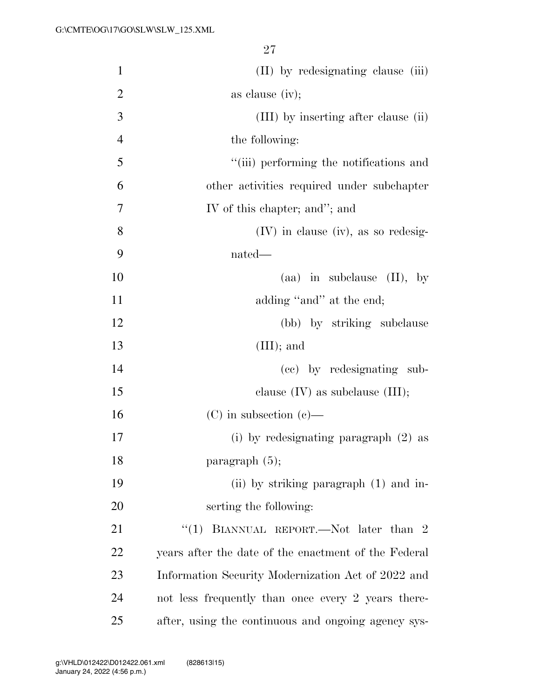| $\mathbf{1}$   | (II) by redesignating clause (iii)                   |
|----------------|------------------------------------------------------|
| $\overline{2}$ | as clause $(iv)$ ;                                   |
| 3              | (III) by inserting after clause (ii)                 |
| $\overline{4}$ | the following:                                       |
| 5              | "(iii) performing the notifications and              |
| 6              | other activities required under subchapter           |
| 7              | IV of this chapter; and"; and                        |
| 8              | $(IV)$ in clause (iv), as so redesig-                |
| 9              | nated—                                               |
| 10             | (aa) in subclause $(II)$ , by                        |
| 11             | adding "and" at the end;                             |
| 12             | (bb) by striking subclause                           |
| 13             | $(III);$ and                                         |
| 14             | (cc) by redesignating sub-                           |
| 15             | clause $(IV)$ as subclause $(III);$                  |
| 16             | $(C)$ in subsection $(e)$ —                          |
| 17             | (i) by redesignating paragraph $(2)$ as              |
| 18             | paragraph $(5)$ ;                                    |
| 19             | (ii) by striking paragraph (1) and in-               |
| 20             | serting the following:                               |
| 21             | "(1) BIANNUAL REPORT.—Not later than 2               |
| 22             | years after the date of the enactment of the Federal |
| 23             | Information Security Modernization Act of 2022 and   |
| 24             | not less frequently than once every 2 years there-   |
| 25             | after, using the continuous and ongoing agency sys-  |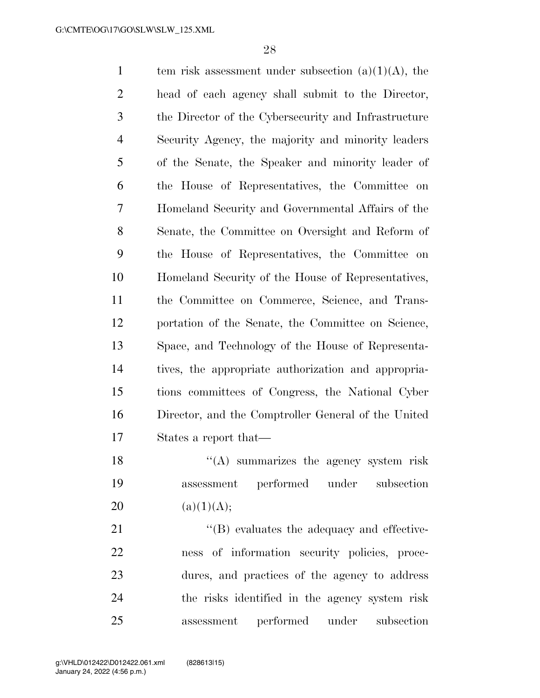1 tem risk assessment under subsection  $(a)(1)(A)$ , the head of each agency shall submit to the Director, the Director of the Cybersecurity and Infrastructure Security Agency, the majority and minority leaders of the Senate, the Speaker and minority leader of the House of Representatives, the Committee on Homeland Security and Governmental Affairs of the Senate, the Committee on Oversight and Reform of the House of Representatives, the Committee on Homeland Security of the House of Representatives, the Committee on Commerce, Science, and Trans- portation of the Senate, the Committee on Science, Space, and Technology of the House of Representa- tives, the appropriate authorization and appropria- tions committees of Congress, the National Cyber Director, and the Comptroller General of the United States a report that— 18 ''(A) summarizes the agency system risk

 assessment performed under subsection 20 (a)(1)(A);

 $\langle$  (B) evaluates the adequacy and effective- ness of information security policies, proce- dures, and practices of the agency to address the risks identified in the agency system risk assessment performed under subsection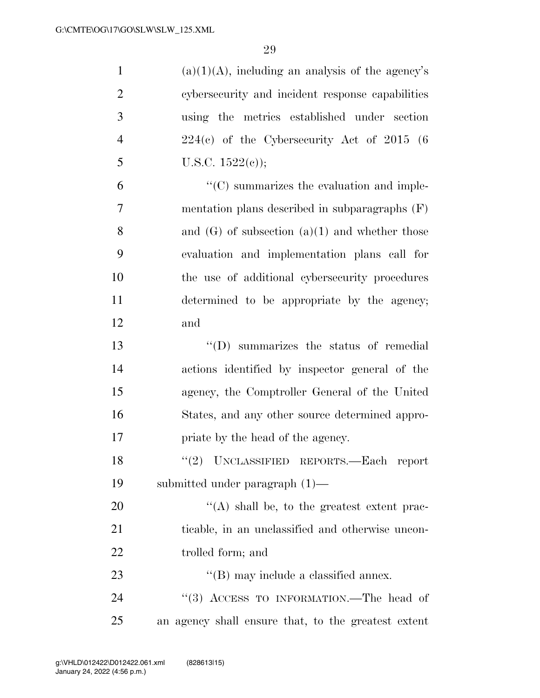| $\mathbf{1}$   | $(a)(1)(A)$ , including an analysis of the agency's |
|----------------|-----------------------------------------------------|
| $\overline{2}$ | cybersecurity and incident response capabilities    |
| 3              | using the metrics established under section         |
| $\overline{4}$ | $224(e)$ of the Cybersecurity Act of $2015(6)$      |
| 5              | U.S.C. $1522(e)$ ;                                  |
| 6              | $\lq\lq$ summarizes the evaluation and imple-       |
| $\overline{7}$ | mentation plans described in subparagraphs $(F)$    |
| 8              | and $(G)$ of subsection $(a)(1)$ and whether those  |
| 9              | evaluation and implementation plans call for        |
| 10             | the use of additional cybersecurity procedures      |
| 11             | determined to be appropriate by the agency;         |
| 12             | and                                                 |
| 13             | "(D) summarizes the status of remedial              |
| 14             | actions identified by inspector general of the      |
| 15             | agency, the Comptroller General of the United       |
| 16             | States, and any other source determined appro-      |
| 17             | priate by the head of the agency.                   |
| 18             | "(2) UNCLASSIFIED REPORTS.—Each report              |
| 19             | submitted under paragraph $(1)$ —                   |
| 20             | "(A) shall be, to the greatest extent prac-         |
| 21             | ticable, in an unclassified and otherwise uncon-    |
| 22             | trolled form; and                                   |
| 23             | $\lq\lq$ (B) may include a classified annex.        |
| 24             | "(3) ACCESS TO INFORMATION.—The head of             |
| 25             | an agency shall ensure that, to the greatest extent |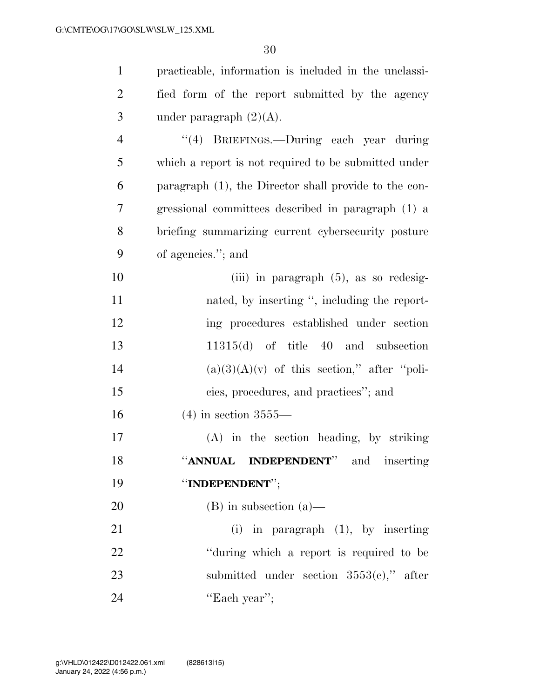| $\mathbf{1}$   | practicable, information is included in the unclassi- |
|----------------|-------------------------------------------------------|
| $\overline{2}$ | fied form of the report submitted by the agency       |
| 3              | under paragraph $(2)(A)$ .                            |
| $\overline{4}$ | "(4) BRIEFINGS.—During each year during               |
| 5              | which a report is not required to be submitted under  |
| 6              | paragraph (1), the Director shall provide to the con- |
| 7              | gressional committees described in paragraph (1) a    |
| 8              | briefing summarizing current cybersecurity posture    |
| 9              | of agencies."; and                                    |
| 10             | (iii) in paragraph $(5)$ , as so redesig-             |
| 11             | nated, by inserting ", including the report-          |
| 12             | ing procedures established under section              |
| 13             | $11315(d)$ of title 40 and subsection                 |
| 14             | $(a)(3)(A)(v)$ of this section," after "poli-         |
| 15             | cies, procedures, and practices"; and                 |
| 16             | $(4)$ in section 3555—                                |
| 17             | (A) in the section heading, by striking               |
| 18             | "ANNUAL INDEPENDENT" and inserting                    |
| 19             | "INDEPENDENT";                                        |
| 20             | $(B)$ in subsection $(a)$ —                           |
| 21             | $(i)$ in paragraph $(1)$ , by inserting               |
| 22             | "during which a report is required to be              |
| 23             | submitted under section $3553(e)$ ," after            |
| 24             | "Each year";                                          |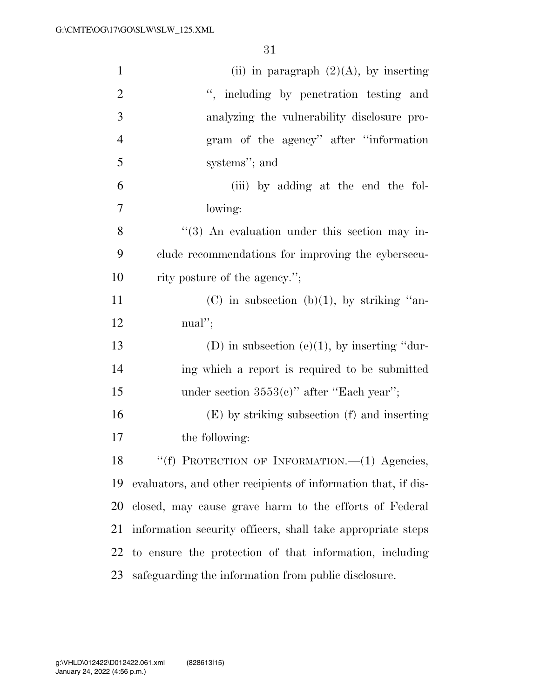| $\mathbf{1}$   | (ii) in paragraph $(2)(A)$ , by inserting                     |
|----------------|---------------------------------------------------------------|
| $\overline{2}$ | ", including by penetration testing and                       |
| 3              | analyzing the vulnerability disclosure pro-                   |
| $\overline{4}$ | gram of the agency" after "information"                       |
| 5              | systems"; and                                                 |
| 6              | (iii) by adding at the end the fol-                           |
| 7              | lowing:                                                       |
| 8              | $(3)$ An evaluation under this section may in-                |
| 9              | clude recommendations for improving the cybersecu-            |
| 10             | rity posture of the agency.";                                 |
| 11             | $(C)$ in subsection $(b)(1)$ , by striking "an-               |
| 12             | $\text{m}\text{a}$ ";                                         |
| 13             | (D) in subsection (e)(1), by inserting "dur-                  |
| 14             | ing which a report is required to be submitted                |
| 15             | under section $3553(c)$ " after "Each year";                  |
| 16             | $(E)$ by striking subsection $(f)$ and inserting              |
| 17             | the following:                                                |
| 18             | "(f) PROTECTION OF INFORMATION.—(1) Agencies,                 |
| 19             | evaluators, and other recipients of information that, if dis- |
| 20             | closed, may cause grave harm to the efforts of Federal        |
| 21             | information security officers, shall take appropriate steps   |
| 22             | to ensure the protection of that information, including       |
| 23             | safeguarding the information from public disclosure.          |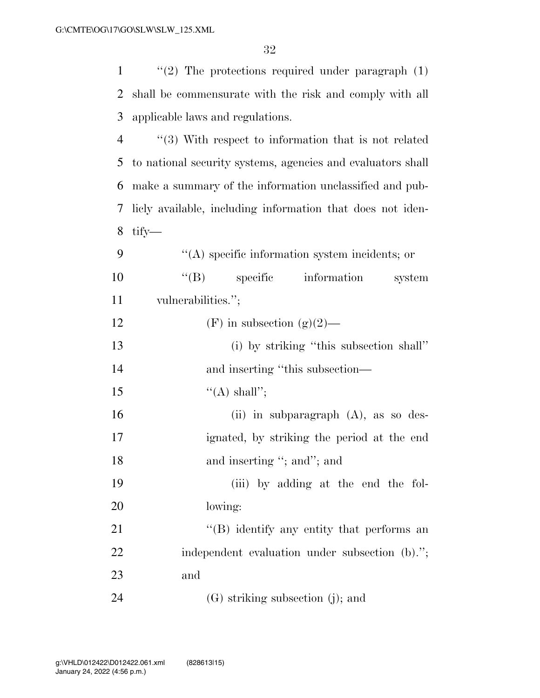| $\mathbf{1}$   | $\lq(2)$ The protections required under paragraph $(1)$     |
|----------------|-------------------------------------------------------------|
| 2              | shall be commensurate with the risk and comply with all     |
| 3              | applicable laws and regulations.                            |
| $\overline{4}$ | $\cdot$ (3) With respect to information that is not related |
| 5              | to national security systems, agencies and evaluators shall |
| 6              | make a summary of the information unclassified and pub-     |
| 7              | licly available, including information that does not iden-  |
| 8              | $\text{tify}$                                               |
| 9              | $\lq\lq$ specific information system incidents; or          |
| 10             | $\lq\lq (B)$<br>specific<br>information<br>system           |
| 11             | vulnerabilities.";                                          |
| 12             | $(F)$ in subsection $(g)(2)$ —                              |
| 13             | (i) by striking "this subsection shall"                     |
| 14             | and inserting "this subsection-                             |
| 15             | $\lq\lq$ shall";                                            |
| 16             | (ii) in subparagraph $(A)$ , as so des-                     |
| 17             | ignated, by striking the period at the end                  |
| 18             | and inserting "; and"; and                                  |
| 19             | (iii) by adding at the end the fol-                         |
| 20             | lowing:                                                     |
| 21             | "(B) identify any entity that performs an                   |
| 22             | independent evaluation under subsection (b).";              |
| 23             | and                                                         |
| 24             | $(G)$ striking subsection $(j)$ ; and                       |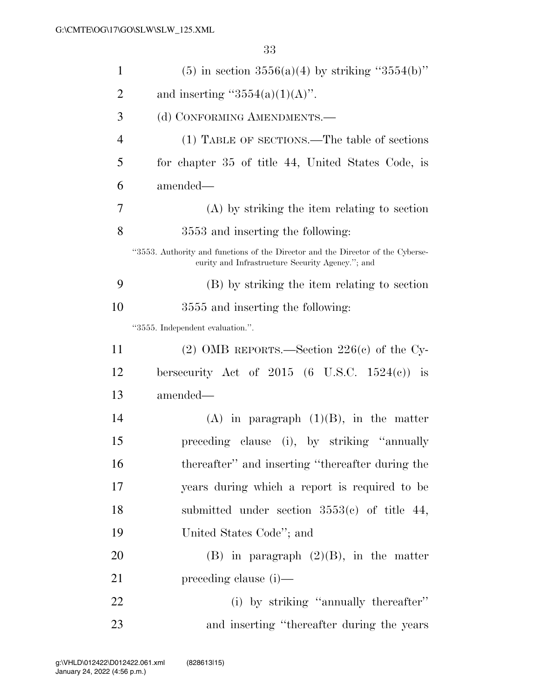| $\mathbf{1}$   | (5) in section $3556(a)(4)$ by striking " $3554(b)$ "                                                                               |
|----------------|-------------------------------------------------------------------------------------------------------------------------------------|
| $\overline{2}$ | and inserting " $3554(a)(1)(A)$ ".                                                                                                  |
| 3              | (d) CONFORMING AMENDMENTS.—                                                                                                         |
| $\overline{4}$ | (1) TABLE OF SECTIONS.—The table of sections                                                                                        |
| 5              | for chapter 35 of title 44, United States Code, is                                                                                  |
| 6              | amended—                                                                                                                            |
| 7              | $(A)$ by striking the item relating to section                                                                                      |
| 8              | 3553 and inserting the following:                                                                                                   |
|                | "3553. Authority and functions of the Director and the Director of the Cyberse-<br>eurity and Infrastructure Security Agency."; and |
| 9              | (B) by striking the item relating to section                                                                                        |
| 10             | 3555 and inserting the following:                                                                                                   |
|                | "3555. Independent evaluation.".                                                                                                    |
| 11             | (2) OMB REPORTS.—Section $226(e)$ of the Cy-                                                                                        |
| 12             | bersecurity Act of $2015$ (6 U.S.C. $1524(c)$ ) is                                                                                  |
| 13             | amended—                                                                                                                            |
| 14             | $(A)$ in paragraph $(1)(B)$ , in the matter                                                                                         |
| 15             | preceding clause (i), by striking "annually                                                                                         |
| 16             | thereafter" and inserting "thereafter during the                                                                                    |
| 17             | years during which a report is required to be                                                                                       |
| 18             | submitted under section $3553(c)$ of title 44,                                                                                      |
| 19             | United States Code"; and                                                                                                            |
| 20             | $(B)$ in paragraph $(2)(B)$ , in the matter                                                                                         |
| 21             | $preceding clause (i)$ —                                                                                                            |
| 22             | (i) by striking "annually thereafter"                                                                                               |
| 23             | and inserting "thereafter during the years"                                                                                         |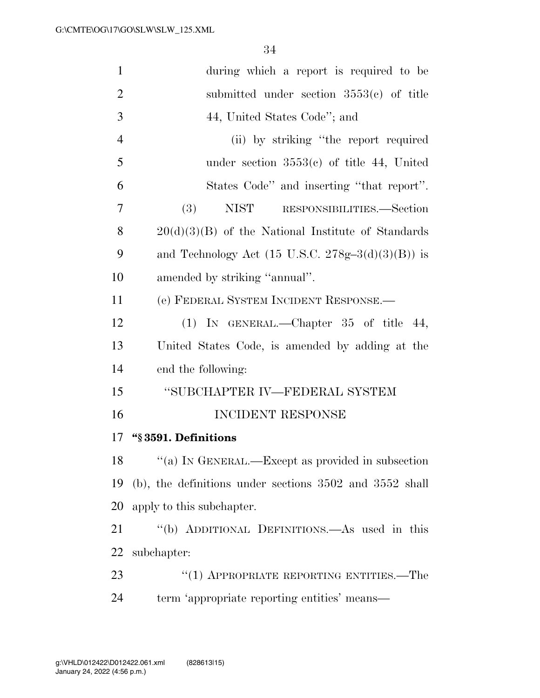| $\mathbf{1}$   | during which a report is required to be                      |
|----------------|--------------------------------------------------------------|
| $\overline{2}$ | submitted under section $3553(c)$ of title                   |
| 3              | 44, United States Code"; and                                 |
| $\overline{4}$ | (ii) by striking "the report required                        |
| 5              | under section $3553(c)$ of title 44, United                  |
| 6              | States Code" and inserting "that report".                    |
| 7              | (3)<br><b>NIST</b><br>RESPONSIBILITIES.—Section              |
| 8              | $20(d)(3)(B)$ of the National Institute of Standards         |
| 9              | and Technology Act $(15 \text{ U.S.C. } 278g-3(d)(3)(B))$ is |
| 10             | amended by striking "annual".                                |
| 11             | (e) FEDERAL SYSTEM INCIDENT RESPONSE.—                       |
| 12             | (1) IN GENERAL.—Chapter $35$ of title $44$ ,                 |
| 13             | United States Code, is amended by adding at the              |
| 14             | end the following:                                           |
| 15             | "SUBCHAPTER IV—FEDERAL SYSTEM                                |
| 16             | <b>INCIDENT RESPONSE</b>                                     |
| 17             | "§3591. Definitions                                          |
| 18             | "(a) IN GENERAL.—Except as provided in subsection            |
| 19             | $(b)$ , the definitions under sections 3502 and 3552 shall   |
| 20             | apply to this subchapter.                                    |
| 21             | "(b) ADDITIONAL DEFINITIONS.—As used in this                 |
| 22             | subchapter:                                                  |
| 23             | $(1)$ APPROPRIATE REPORTING ENTITIES.—The                    |
| 24             | term 'appropriate reporting entities' means—                 |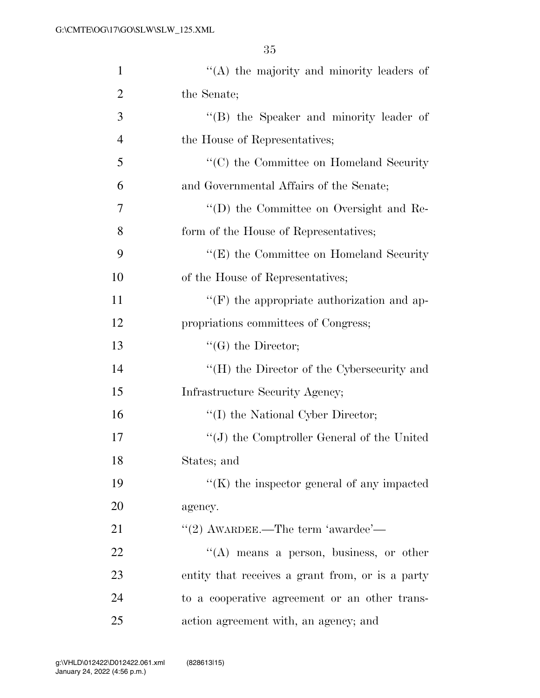| $\mathbf{1}$   | "(A) the majority and minority leaders of         |
|----------------|---------------------------------------------------|
| $\overline{2}$ | the Senate;                                       |
| 3              | "(B) the Speaker and minority leader of           |
| 4              | the House of Representatives;                     |
| 5              | "(C) the Committee on Homeland Security           |
| 6              | and Governmental Affairs of the Senate;           |
| 7              | "(D) the Committee on Oversight and Re-           |
| 8              | form of the House of Representatives;             |
| 9              | "(E) the Committee on Homeland Security           |
| 10             | of the House of Representatives;                  |
| 11             | $\lq\lq(F)$ the appropriate authorization and ap- |
| 12             | propriations committees of Congress;              |
| 13             | $\lq\lq(G)$ the Director;                         |
| 14             | "(H) the Director of the Cybersecurity and        |
| 15             | Infrastructure Security Agency;                   |
| 16             | "(I) the National Cyber Director;                 |
| 17             | $\lq\lq$ the Comptroller General of the United    |
| 18             | States; and                                       |
| 19             | $\lq\lq(K)$ the inspector general of any impacted |
| 20             | agency.                                           |
| 21             | $"$ (2) AWARDEE.—The term 'awardee'—              |
| 22             | $\lq\lq$ means a person, business, or other       |
| 23             | entity that receives a grant from, or is a party  |
| 24             | to a cooperative agreement or an other trans-     |
| 25             | action agreement with, an agency; and             |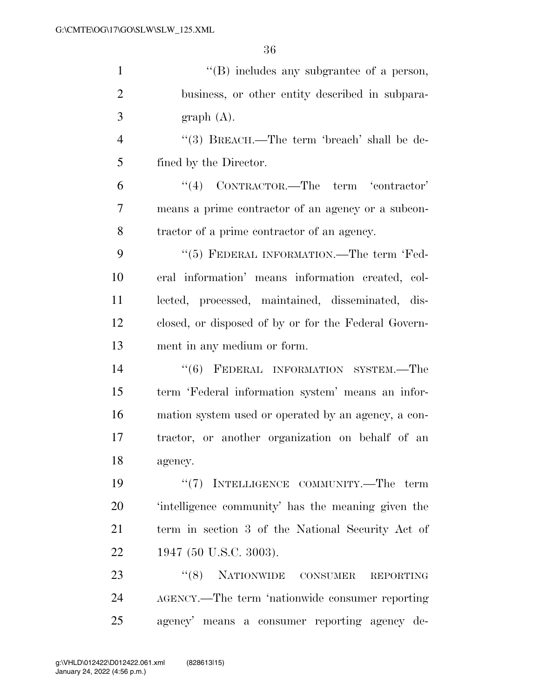| $\mathbf{1}$   | $\lq\lq$ includes any subgrantee of a person,        |
|----------------|------------------------------------------------------|
| $\overline{2}$ | business, or other entity described in subpara-      |
| 3              | graph(A).                                            |
| $\overline{4}$ | "(3) BREACH.—The term 'breach' shall be de-          |
| 5              | fined by the Director.                               |
| 6              | "(4) CONTRACTOR.—The term 'contractor'               |
| 7              | means a prime contractor of an agency or a subcon-   |
| 8              | tractor of a prime contractor of an agency.          |
| 9              | "(5) FEDERAL INFORMATION.—The term 'Fed-             |
| 10             | eral information' means information created, col-    |
| 11             | lected, processed, maintained, disseminated, dis-    |
| 12             | closed, or disposed of by or for the Federal Govern- |
| 13             | ment in any medium or form.                          |
| 14             | "(6) FEDERAL INFORMATION SYSTEM.-The                 |
| 15             | term 'Federal information system' means an infor-    |
| 16             | mation system used or operated by an agency, a con-  |
| 17             | tractor, or another organization on behalf of an     |
| 18             | agency.                                              |
| 19             | "(7) INTELLIGENCE COMMUNITY.—The term                |
| 20             | intelligence community' has the meaning given the    |
| 21             | term in section 3 of the National Security Act of    |
| 22             | 1947 (50 U.S.C. 3003).                               |
| 23             | "(8) NATIONWIDE CONSUMER REPORTING                   |
| 24             | AGENCY.—The term 'nationwide consumer reporting      |
| 25             | agency' means a consumer reporting agency de-        |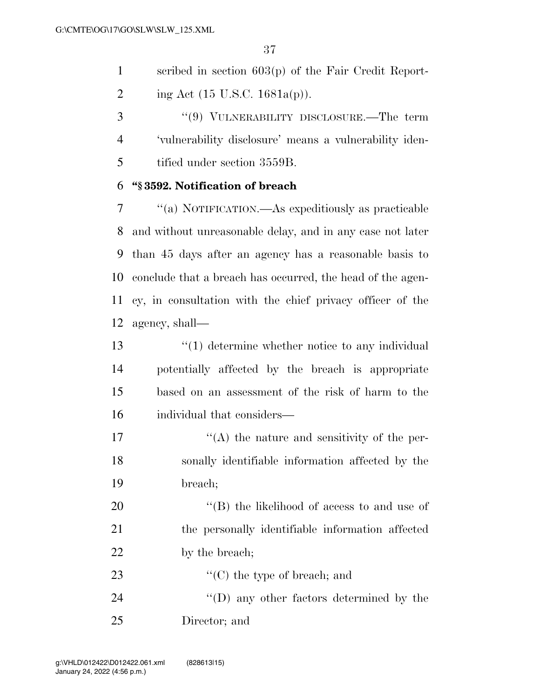scribed in section 603(p) of the Fair Credit Report-2 ing Act (15 U.S.C. 1681a(p)).

 ''(9) VULNERABILITY DISCLOSURE.—The term 'vulnerability disclosure' means a vulnerability iden-tified under section 3559B.

### **''§ 3592. Notification of breach**

 ''(a) NOTIFICATION.—As expeditiously as practicable and without unreasonable delay, and in any case not later than 45 days after an agency has a reasonable basis to conclude that a breach has occurred, the head of the agen- cy, in consultation with the chief privacy officer of the agency, shall—

13 ''(1) determine whether notice to any individual potentially affected by the breach is appropriate based on an assessment of the risk of harm to the individual that considers—

17  $\langle (A)$  the nature and sensitivity of the per- sonally identifiable information affected by the breach;

20  $\langle$  (B) the likelihood of access to and use of the personally identifiable information affected 22 by the breach;

23  $\cdot$  (C) the type of breach; and 24 ''(D) any other factors determined by the Director; and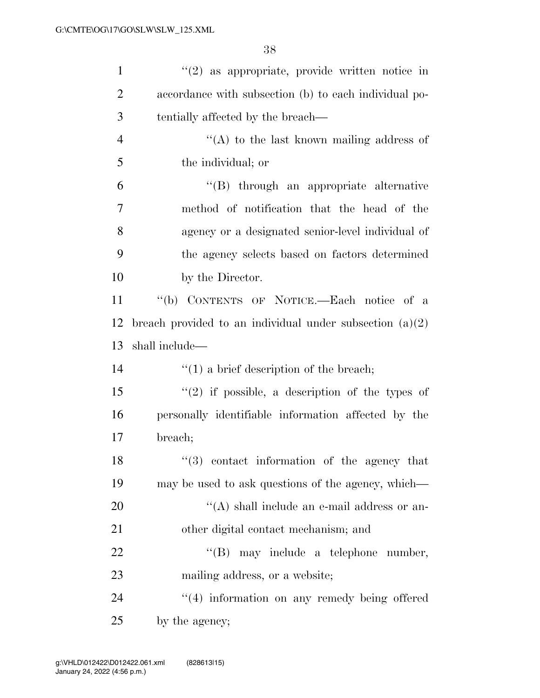| $\mathbf{1}$   | $\lq(2)$ as appropriate, provide written notice in         |
|----------------|------------------------------------------------------------|
| $\overline{2}$ | accordance with subsection (b) to each individual po-      |
| 3              | tentially affected by the breach—                          |
| $\overline{4}$ | "(A) to the last known mailing address of                  |
| 5              | the individual; or                                         |
| 6              | "(B) through an appropriate alternative                    |
| 7              | method of notification that the head of the                |
| 8              | agency or a designated senior-level individual of          |
| 9              | the agency selects based on factors determined             |
| 10             | by the Director.                                           |
| 11             | "(b) CONTENTS OF NOTICE.—Each notice of a                  |
| 12             | breach provided to an individual under subsection $(a)(2)$ |
| 13             | shall include—                                             |
| 14             | $\lq(1)$ a brief description of the breach;                |
| 15             | $(2)$ if possible, a description of the types of           |
| 16             | personally identifiable information affected by the        |
| 17             | breach;                                                    |
| 18             | "(3) contact information of the agency that                |
| 19             | may be used to ask questions of the agency, which—         |
| 20             | "(A) shall include an e-mail address or an-                |
| 21             |                                                            |
|                | other digital contact mechanism; and                       |
| 22             | $\lq\lq (B)$<br>may include a telephone number,            |
| 23             | mailing address, or a website;                             |
| 24             | "(4) information on any remedy being offered               |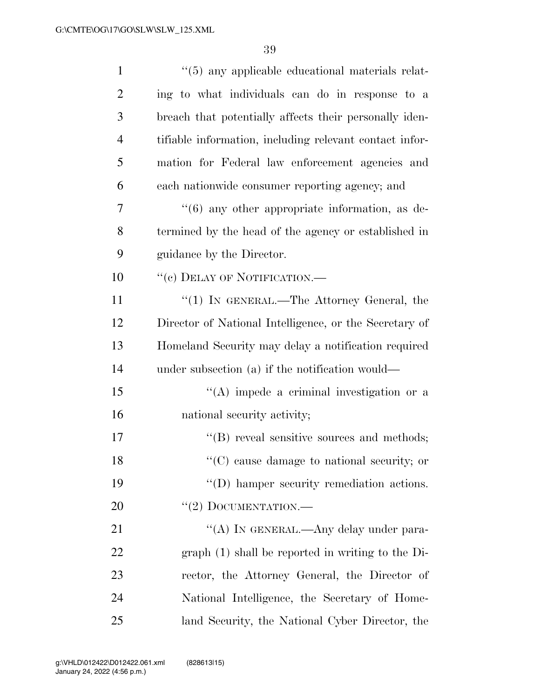| $\mathbf{1}$   | $\cdot\cdot$ (5) any applicable educational materials relat- |
|----------------|--------------------------------------------------------------|
| 2              | ing to what individuals can do in response to a              |
| 3              | breach that potentially affects their personally iden-       |
| $\overline{4}$ | tifiable information, including relevant contact infor-      |
| 5              | mation for Federal law enforcement agencies and              |
| 6              | each nationwide consumer reporting agency; and               |
| 7              | $\cdot\cdot$ (6) any other appropriate information, as de-   |
| 8              | termined by the head of the agency or established in         |
| 9              | guidance by the Director.                                    |
| 10             | "(c) DELAY OF NOTIFICATION.—                                 |
| 11             | "(1) IN GENERAL.—The Attorney General, the                   |
| 12             | Director of National Intelligence, or the Secretary of       |
| 13             | Homeland Security may delay a notification required          |
| 14             | under subsection $(a)$ if the notification would—            |
| 15             | $\lq\lq$ impede a criminal investigation or a                |
| 16             | national security activity;                                  |
| 17             | "(B) reveal sensitive sources and methods;                   |
| 18             | $\lq\lq$ cause damage to national security; or               |
| 19             | "(D) hamper security remediation actions.                    |
| 20             | $``(2)$ DOCUMENTATION.—                                      |
| 21             | "(A) IN GENERAL.—Any delay under para-                       |
| 22             | $graph(1)$ shall be reported in writing to the Di-           |
| 23             | rector, the Attorney General, the Director of                |
| 24             | National Intelligence, the Secretary of Home-                |
| 25             | land Security, the National Cyber Director, the              |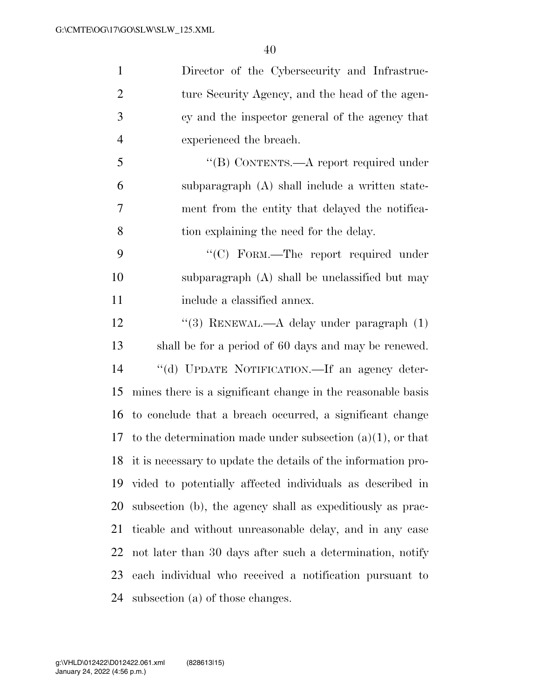| $\mathbf{1}$   | Director of the Cybersecurity and Infrastruc-                    |
|----------------|------------------------------------------------------------------|
| $\overline{2}$ | ture Security Agency, and the head of the agen-                  |
| 3              | cy and the inspector general of the agency that                  |
| $\overline{4}$ | experienced the breach.                                          |
| 5              | "(B) CONTENTS.—A report required under                           |
| 6              | subparagraph (A) shall include a written state-                  |
| 7              | ment from the entity that delayed the notifica-                  |
| 8              | tion explaining the need for the delay.                          |
| 9              | "(C) FORM.—The report required under                             |
| 10             | subparagraph (A) shall be unclassified but may                   |
| 11             | include a classified annex.                                      |
| 12             | "(3) RENEWAL.— $A$ delay under paragraph $(1)$                   |
| 13             | shall be for a period of 60 days and may be renewed.             |
| 14             | "(d) UPDATE NOTIFICATION.—If an agency deter-                    |
| 15             | mines there is a significant change in the reasonable basis      |
| 16             | to conclude that a breach occurred, a significant change         |
| 17             | to the determination made under subsection $(a)(1)$ , or that    |
|                | 18 it is necessary to update the details of the information pro- |
| 19             | vided to potentially affected individuals as described in        |
| 20             | subsection (b), the agency shall as expeditiously as prac-       |
| 21             | ticable and without unreasonable delay, and in any case          |
| 22             | not later than 30 days after such a determination, notify        |
| 23             | each individual who received a notification pursuant to          |
| 24             | subsection (a) of those changes.                                 |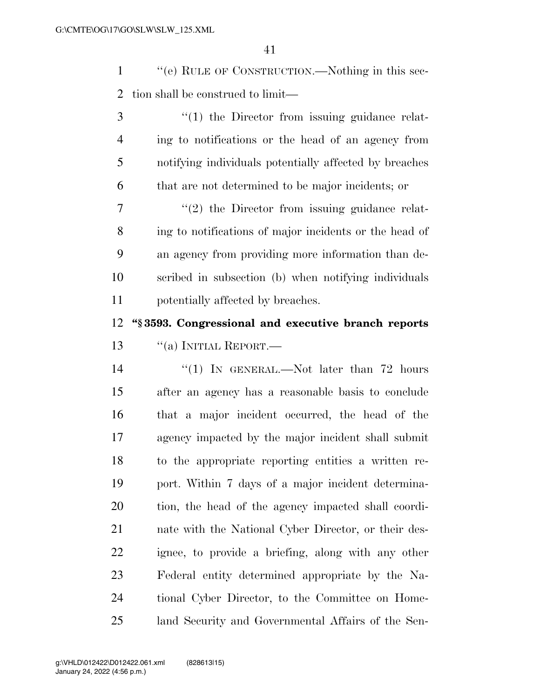''(e) RULE OF CONSTRUCTION.—Nothing in this sec-tion shall be construed to limit—

3 (1) the Director from issuing guidance relat- ing to notifications or the head of an agency from notifying individuals potentially affected by breaches that are not determined to be major incidents; or  $7 \t$  (2) the Director from issuing guidance relat-

 ing to notifications of major incidents or the head of an agency from providing more information than de- scribed in subsection (b) when notifying individuals potentially affected by breaches.

 **''§ 3593. Congressional and executive branch reports**  13 "(a) INITIAL REPORT.—

14 "(1) In GENERAL.—Not later than 72 hours after an agency has a reasonable basis to conclude that a major incident occurred, the head of the agency impacted by the major incident shall submit to the appropriate reporting entities a written re- port. Within 7 days of a major incident determina- tion, the head of the agency impacted shall coordi- nate with the National Cyber Director, or their des- ignee, to provide a briefing, along with any other Federal entity determined appropriate by the Na- tional Cyber Director, to the Committee on Home-land Security and Governmental Affairs of the Sen-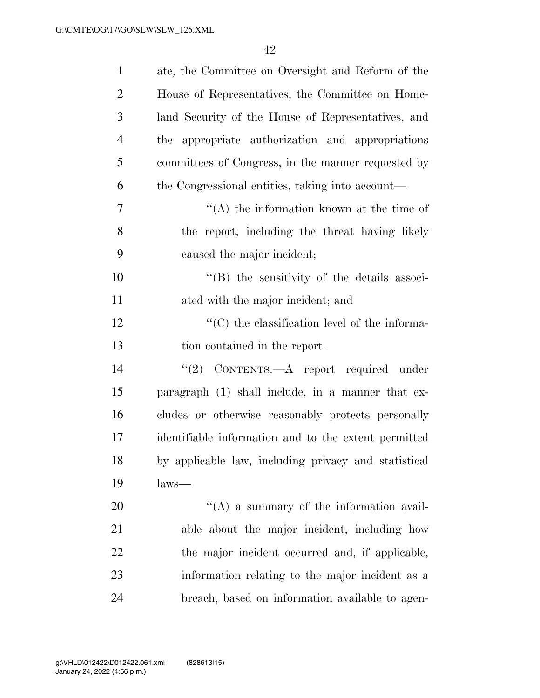| $\mathbf{1}$   | ate, the Committee on Oversight and Reform of the    |
|----------------|------------------------------------------------------|
| $\overline{2}$ | House of Representatives, the Committee on Home-     |
| 3              | land Security of the House of Representatives, and   |
| $\overline{4}$ | appropriate authorization and appropriations<br>the  |
| 5              | committees of Congress, in the manner requested by   |
| 6              | the Congressional entities, taking into account—     |
| 7              | $\lq\lq$ the information known at the time of        |
| 8              | the report, including the threat having likely       |
| 9              | caused the major incident;                           |
| 10             | "(B) the sensitivity of the details associ-          |
| 11             | ated with the major incident; and                    |
| 12             | $\cdot$ (C) the classification level of the informa- |
| 13             | tion contained in the report.                        |
| 14             | "(2) CONTENTS.—A report required under               |
| 15             | paragraph (1) shall include, in a manner that ex-    |
| 16             | cludes or otherwise reasonably protects personally   |
| 17             | identifiable information and to the extent permitted |
| 18             | by applicable law, including privacy and statistical |
| 19             | $laws$ —                                             |
| 20             | $\lq\lq$ (A) a summary of the information avail-     |
| 21             | able about the major incident, including how         |
| 22             | the major incident occurred and, if applicable,      |
| 23             | information relating to the major incident as a      |
| 24             | breach, based on information available to agen-      |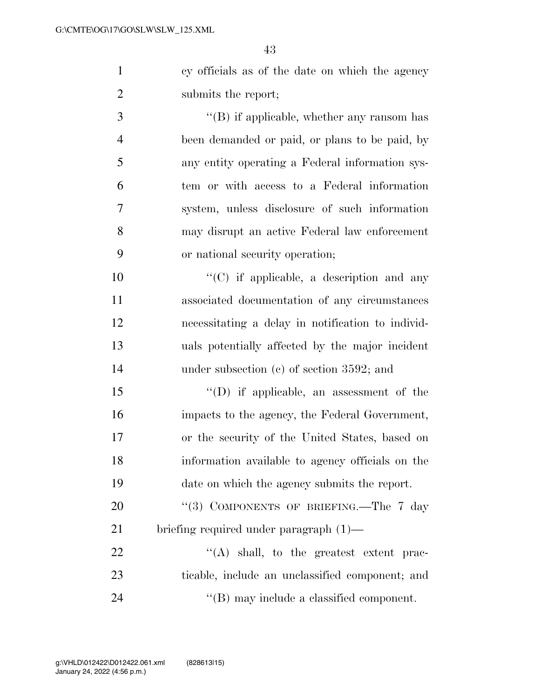cy officials as of the date on which the agency submits the report;

3 ''(B) if applicable, whether any ransom has been demanded or paid, or plans to be paid, by any entity operating a Federal information sys- tem or with access to a Federal information system, unless disclosure of such information may disrupt an active Federal law enforcement or national security operation;

 $\cdot$  (C) if applicable, a description and any associated documentation of any circumstances necessitating a delay in notification to individ- uals potentially affected by the major incident 14 under subsection (c) of section 3592; and

 ''(D) if applicable, an assessment of the impacts to the agency, the Federal Government, or the security of the United States, based on information available to agency officials on the date on which the agency submits the report.

20 "(3) COMPONENTS OF BRIEFING.—The 7 day briefing required under paragraph (1)—

22 "(A) shall, to the greatest extent prac- ticable, include an unclassified component; and 24  $\text{``(B)}$  may include a classified component.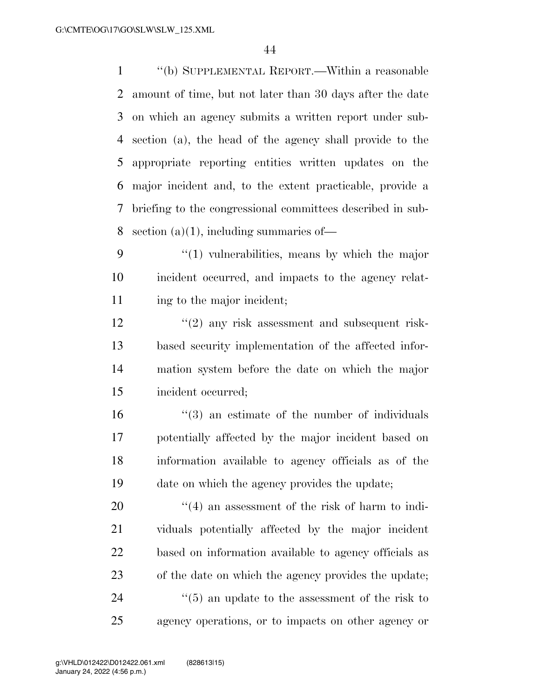''(b) SUPPLEMENTAL REPORT.—Within a reasonable amount of time, but not later than 30 days after the date on which an agency submits a written report under sub- section (a), the head of the agency shall provide to the appropriate reporting entities written updates on the major incident and, to the extent practicable, provide a briefing to the congressional committees described in sub-8 section  $(a)(1)$ , including summaries of —

9  $\frac{4}{1}$  vulnerabilities, means by which the major incident occurred, and impacts to the agency relat-11 ing to the major incident;

12 ''(2) any risk assessment and subsequent risk- based security implementation of the affected infor- mation system before the date on which the major incident occurred;

 $\frac{16}{16}$  ''(3) an estimate of the number of individuals potentially affected by the major incident based on information available to agency officials as of the date on which the agency provides the update;

 $\frac{1}{20}$  an assessment of the risk of harm to indi- viduals potentially affected by the major incident based on information available to agency officials as of the date on which the agency provides the update; 24 ''(5) an update to the assessment of the risk to agency operations, or to impacts on other agency or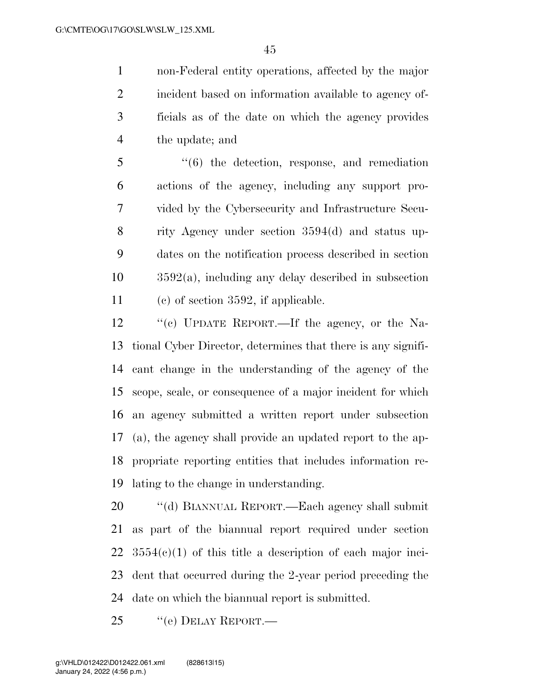non-Federal entity operations, affected by the major incident based on information available to agency of- ficials as of the date on which the agency provides the update; and

 ''(6) the detection, response, and remediation actions of the agency, including any support pro- vided by the Cybersecurity and Infrastructure Secu- rity Agency under section 3594(d) and status up- dates on the notification process described in section 3592(a), including any delay described in subsection (c) of section 3592, if applicable.

 ''(c) UPDATE REPORT.—If the agency, or the Na- tional Cyber Director, determines that there is any signifi- cant change in the understanding of the agency of the scope, scale, or consequence of a major incident for which an agency submitted a written report under subsection (a), the agency shall provide an updated report to the ap- propriate reporting entities that includes information re-lating to the change in understanding.

 ''(d) BIANNUAL REPORT.—Each agency shall submit as part of the biannual report required under section  $22 \quad 3554(c)(1)$  of this title a description of each major inci- dent that occurred during the 2-year period preceding the date on which the biannual report is submitted.

25 "(e) DELAY REPORT.—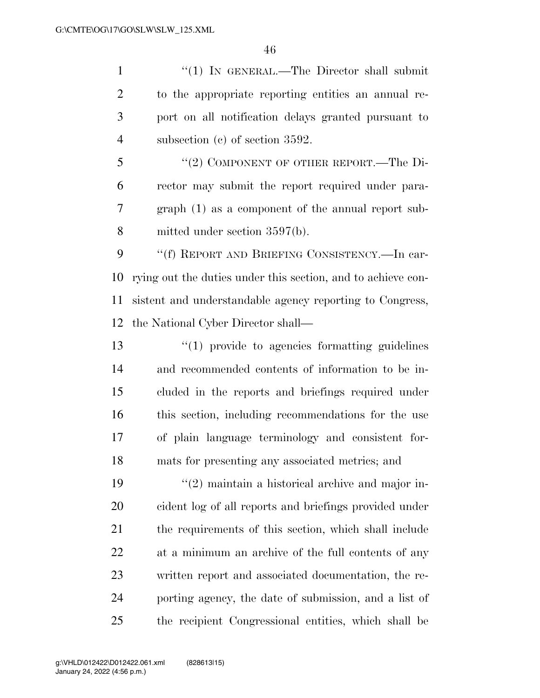1 "(1) IN GENERAL.—The Director shall submit to the appropriate reporting entities an annual re- port on all notification delays granted pursuant to subsection (c) of section 3592.

5 "(2) COMPONENT OF OTHER REPORT.—The Di- rector may submit the report required under para- graph (1) as a component of the annual report sub-mitted under section 3597(b).

 ''(f) REPORT AND BRIEFING CONSISTENCY.—In car- rying out the duties under this section, and to achieve con- sistent and understandable agency reporting to Congress, the National Cyber Director shall—

 ''(1) provide to agencies formatting guidelines and recommended contents of information to be in- cluded in the reports and briefings required under this section, including recommendations for the use of plain language terminology and consistent for-mats for presenting any associated metrics; and

 $\frac{1}{2}$  maintain a historical archive and major in- cident log of all reports and briefings provided under the requirements of this section, which shall include at a minimum an archive of the full contents of any written report and associated documentation, the re- porting agency, the date of submission, and a list of the recipient Congressional entities, which shall be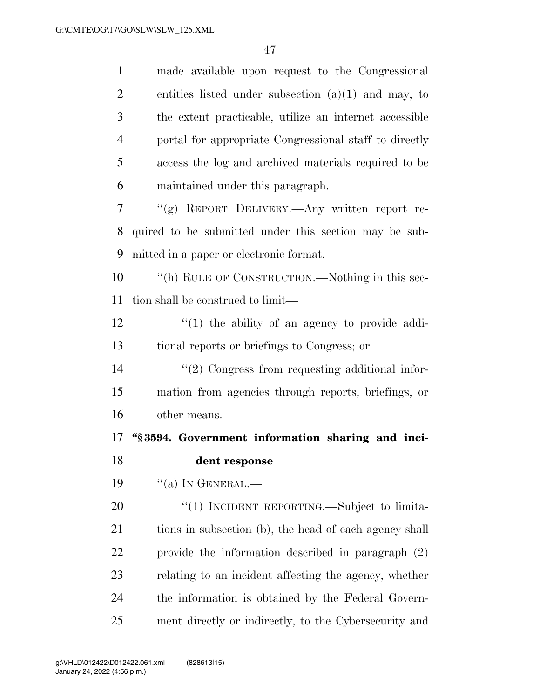| $\mathbf{1}$   | made available upon request to the Congressional       |
|----------------|--------------------------------------------------------|
| $\overline{2}$ | entities listed under subsection $(a)(1)$ and may, to  |
| 3              | the extent practicable, utilize an internet accessible |
| $\overline{4}$ | portal for appropriate Congressional staff to directly |
| 5              | access the log and archived materials required to be   |
| 6              | maintained under this paragraph.                       |
| 7              | "(g) REPORT DELIVERY.—Any written report re-           |
| 8              | quired to be submitted under this section may be sub-  |
| 9              | mitted in a paper or electronic format.                |
| 10             | "(h) RULE OF CONSTRUCTION.—Nothing in this sec-        |
| 11             | tion shall be construed to limit—                      |
| 12             | $\lq(1)$ the ability of an agency to provide addi-     |
| 13             | tional reports or briefings to Congress; or            |
| 14             | $\lq(2)$ Congress from requesting additional infor-    |
| 15             | mation from agencies through reports, briefings, or    |
| 16             | other means.                                           |
| 17             | "§3594. Government information sharing and inci-       |
| 18             | dent response                                          |
| 19             | $``(a)$ In GENERAL.—                                   |
| 20             | "(1) INCIDENT REPORTING.—Subject to limita-            |
| 21             | tions in subsection (b), the head of each agency shall |
| 22             | provide the information described in paragraph $(2)$   |
| 23             | relating to an incident affecting the agency, whether  |
| 24             | the information is obtained by the Federal Govern-     |
| 25             | ment directly or indirectly, to the Cybersecurity and  |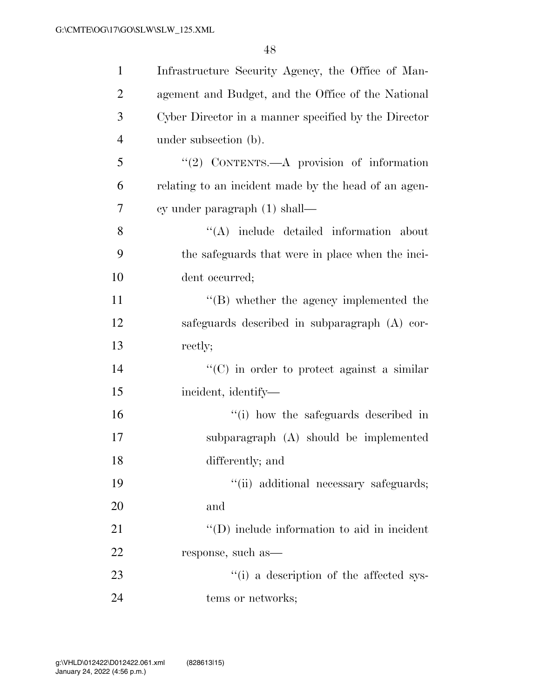| $\mathbf{1}$   | Infrastructure Security Agency, the Office of Man-   |
|----------------|------------------------------------------------------|
| $\overline{2}$ | agement and Budget, and the Office of the National   |
| 3              | Cyber Director in a manner specified by the Director |
| $\overline{4}$ | under subsection (b).                                |
| 5              | "(2) CONTENTS.— $A$ provision of information         |
| 6              | relating to an incident made by the head of an agen- |
| $\overline{7}$ | cy under paragraph $(1)$ shall—                      |
| 8              | $\lq\lq$ include detailed information about          |
| 9              | the safeguards that were in place when the inci-     |
| 10             | dent occurred;                                       |
| 11             | $\lq\lq (B)$ whether the agency implemented the      |
| 12             | safeguards described in subparagraph (A) cor-        |
| 13             | rectly;                                              |
| 14             | $\lq\lq$ (C) in order to protect against a similar   |
| 15             | incident, identify-                                  |
| 16             | "(i) how the safeguards described in                 |
| 17             | subparagraph (A) should be implemented               |
| 18             | differently; and                                     |
| 19             | "(ii) additional necessary safeguards;               |
| 20             | and                                                  |
| 21             | $\lq\lq$ (D) include information to aid in incident  |
| 22             | response, such as-                                   |
| 23             | "(i) a description of the affected sys-              |
| 24             | tems or networks;                                    |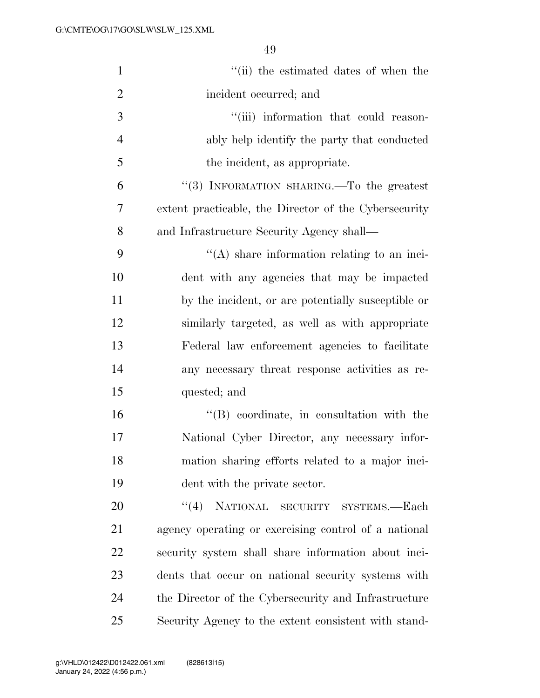| $\mathbf{1}$   | "(ii) the estimated dates of when the                 |
|----------------|-------------------------------------------------------|
| $\overline{2}$ | incident occurred; and                                |
| 3              | "(iii) information that could reason-                 |
| $\overline{4}$ | ably help identify the party that conducted           |
| 5              | the incident, as appropriate.                         |
| 6              | "(3) INFORMATION SHARING.—To the greatest             |
| 7              | extent practicable, the Director of the Cybersecurity |
| 8              | and Infrastructure Security Agency shall—             |
| 9              | $\lq\lq$ share information relating to an inci-       |
| 10             | dent with any agencies that may be impacted           |
| 11             | by the incident, or are potentially susceptible or    |
| 12             | similarly targeted, as well as with appropriate       |
| 13             | Federal law enforcement agencies to facilitate        |
| 14             | any necessary threat response activities as re-       |
| 15             | quested; and                                          |
| 16             | "(B) coordinate, in consultation with the             |
| 17             | National Cyber Director, any necessary infor-         |
| 18             | mation sharing efforts related to a major inci-       |
| 19             | dent with the private sector.                         |
| 20             | <b>NATIONAL</b><br>(4)<br>SECURITY SYSTEMS.-Each      |
| 21             | agency operating or exercising control of a national  |
| 22             | security system shall share information about inci-   |
| 23             | dents that occur on national security systems with    |
| 24             | the Director of the Cybersecurity and Infrastructure  |
| 25             | Security Agency to the extent consistent with stand-  |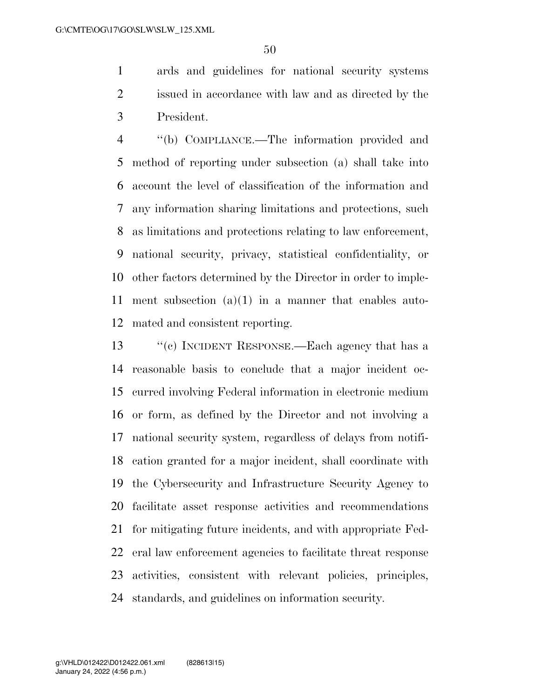ards and guidelines for national security systems issued in accordance with law and as directed by the President.

 ''(b) COMPLIANCE.—The information provided and method of reporting under subsection (a) shall take into account the level of classification of the information and any information sharing limitations and protections, such as limitations and protections relating to law enforcement, national security, privacy, statistical confidentiality, or other factors determined by the Director in order to imple- ment subsection (a)(1) in a manner that enables auto-mated and consistent reporting.

 ''(c) INCIDENT RESPONSE.—Each agency that has a reasonable basis to conclude that a major incident oc- curred involving Federal information in electronic medium or form, as defined by the Director and not involving a national security system, regardless of delays from notifi- cation granted for a major incident, shall coordinate with the Cybersecurity and Infrastructure Security Agency to facilitate asset response activities and recommendations for mitigating future incidents, and with appropriate Fed- eral law enforcement agencies to facilitate threat response activities, consistent with relevant policies, principles, standards, and guidelines on information security.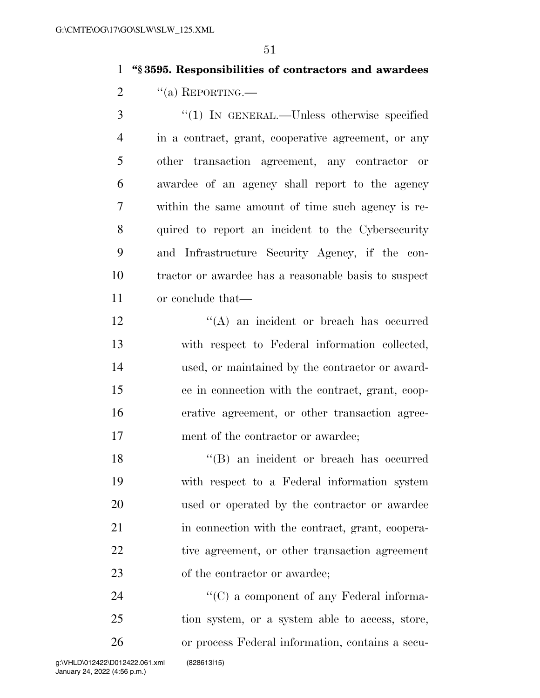## **''§ 3595. Responsibilities of contractors and awardees**

2  $\text{``(a)}$  REPORTING.—

 ''(1) IN GENERAL.—Unless otherwise specified in a contract, grant, cooperative agreement, or any other transaction agreement, any contractor or awardee of an agency shall report to the agency within the same amount of time such agency is re- quired to report an incident to the Cybersecurity and Infrastructure Security Agency, if the con- tractor or awardee has a reasonable basis to suspect or conclude that—

12 ''(A) an incident or breach has occurred with respect to Federal information collected, used, or maintained by the contractor or award- ee in connection with the contract, grant, coop- erative agreement, or other transaction agree-17 ment of the contractor or awardee;

18 ''(B) an incident or breach has occurred with respect to a Federal information system used or operated by the contractor or awardee in connection with the contract, grant, coopera- tive agreement, or other transaction agreement of the contractor or awardee;

24 ''(C) a component of any Federal informa- tion system, or a system able to access, store, or process Federal information, contains a secu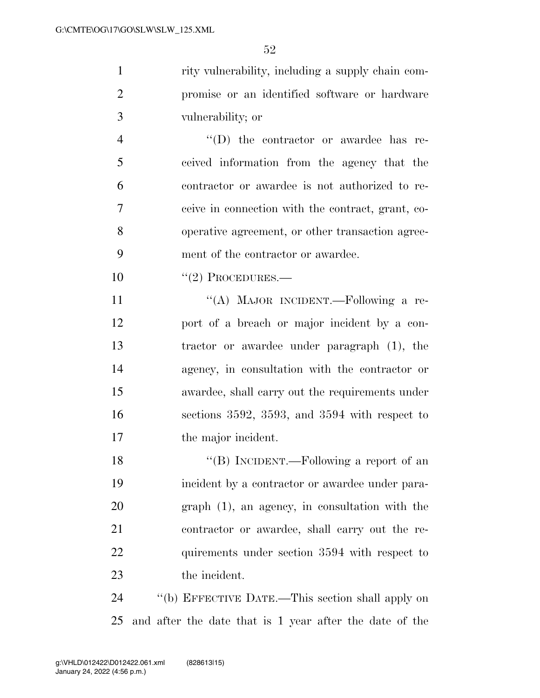rity vulnerability, including a supply chain com- promise or an identified software or hardware vulnerability; or

 ''(D) the contractor or awardee has re- ceived information from the agency that the contractor or awardee is not authorized to re- ceive in connection with the contract, grant, co- operative agreement, or other transaction agree-ment of the contractor or awardee.

 $10 \qquad \qquad$  "(2) PROCEDURES.—

11 ""(A) MAJOR INCIDENT.—Following a re- port of a breach or major incident by a con- tractor or awardee under paragraph (1), the agency, in consultation with the contractor or awardee, shall carry out the requirements under sections 3592, 3593, and 3594 with respect to the major incident.

18 "(B) INCIDENT.—Following a report of an incident by a contractor or awardee under para- graph (1), an agency, in consultation with the contractor or awardee, shall carry out the re-22 quirements under section 3594 with respect to the incident.

 ''(b) EFFECTIVE DATE.—This section shall apply on and after the date that is 1 year after the date of the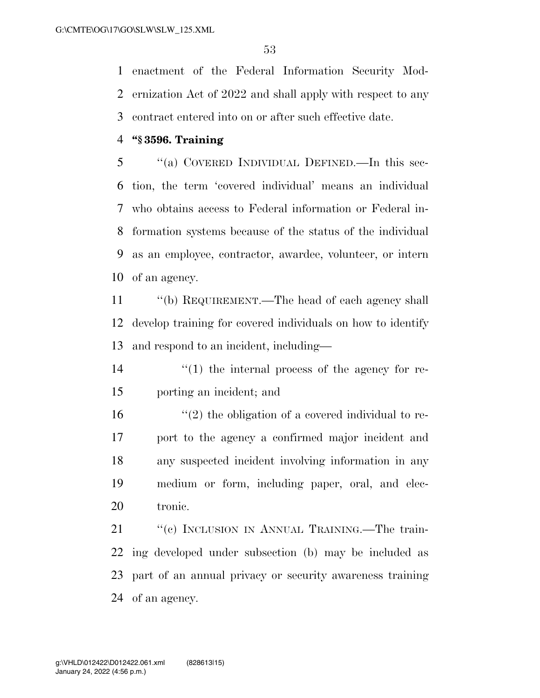enactment of the Federal Information Security Mod- ernization Act of 2022 and shall apply with respect to any contract entered into on or after such effective date.

#### **''§ 3596. Training**

 ''(a) COVERED INDIVIDUAL DEFINED.—In this sec- tion, the term 'covered individual' means an individual who obtains access to Federal information or Federal in- formation systems because of the status of the individual as an employee, contractor, awardee, volunteer, or intern of an agency.

11 "(b) REQUIREMENT.—The head of each agency shall develop training for covered individuals on how to identify and respond to an incident, including—

14  $\frac{1}{2}$  (1) the internal process of the agency for re-porting an incident; and

 $\mathcal{L}(2)$  the obligation of a covered individual to re- port to the agency a confirmed major incident and any suspected incident involving information in any medium or form, including paper, oral, and elec-tronic.

21 ""(c) INCLUSION IN ANNUAL TRAINING.—The train- ing developed under subsection (b) may be included as part of an annual privacy or security awareness training of an agency.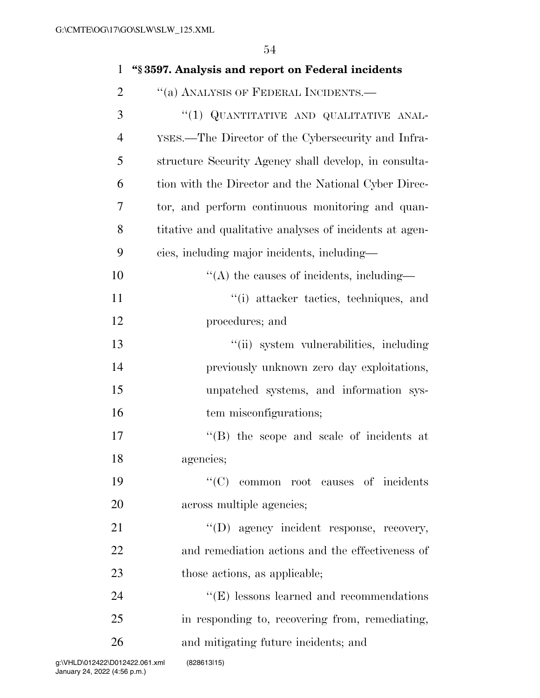| $\mathbf{1}$   | "§3597. Analysis and report on Federal incidents        |
|----------------|---------------------------------------------------------|
| $\overline{2}$ | "(a) ANALYSIS OF FEDERAL INCIDENTS.-                    |
| 3              | "(1) QUANTITATIVE AND QUALITATIVE ANAL-                 |
| $\overline{4}$ | YSES.—The Director of the Cybersecurity and Infra-      |
| 5              | structure Security Agency shall develop, in consulta-   |
| 6              | tion with the Director and the National Cyber Direc-    |
| 7              | tor, and perform continuous monitoring and quan-        |
| 8              | titative and qualitative analyses of incidents at agen- |
| 9              | cies, including major incidents, including—             |
| 10             | $\lq\lq$ the causes of incidents, including—            |
| 11             | "(i) attacker tactics, techniques, and                  |
| 12             | procedures; and                                         |
| 13             | "(ii) system vulnerabilities, including                 |
| 14             | previously unknown zero day exploitations,              |
| 15             | unpatched systems, and information sys-                 |
| 16             | tem misconfigurations;                                  |
| 17             | $\lq\lq$ the scope and scale of incidents at            |
| 18             | agencies;                                               |
| 19             | "(C) common root causes of incidents                    |
| 20             | across multiple agencies;                               |
| 21             | "(D) agency incident response, recovery,                |
| 22             | and remediation actions and the effectiveness of        |
| 23             | those actions, as applicable;                           |
| 24             | $\lq\lq(E)$ lessons learned and recommendations         |
| 25             | in responding to, recovering from, remediating,         |
| 26             | and mitigating future incidents; and                    |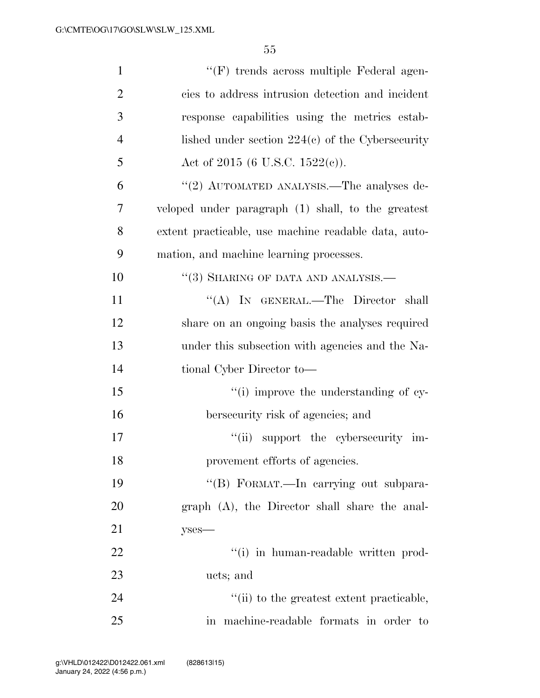| $\mathbf{1}$   | "(F) trends across multiple Federal agen-            |
|----------------|------------------------------------------------------|
| $\overline{2}$ | cies to address intrusion detection and incident     |
| 3              | response capabilities using the metrics estab-       |
| $\overline{4}$ | lished under section $224(c)$ of the Cybersecurity   |
| 5              | Act of 2015 (6 U.S.C. 1522(c)).                      |
| 6              | "(2) AUTOMATED ANALYSIS.—The analyses de-            |
| 7              | veloped under paragraph (1) shall, to the greatest   |
| 8              | extent practicable, use machine readable data, auto- |
| 9              | mation, and machine learning processes.              |
| 10             | $``(3)$ SHARING OF DATA AND ANALYSIS.—               |
| 11             | "(A) IN GENERAL.—The Director shall                  |
| 12             | share on an ongoing basis the analyses required      |
| 13             | under this subsection with agencies and the Na-      |
| 14             | tional Cyber Director to-                            |
| 15             | "(i) improve the understanding of cy-                |
| 16             | bersecurity risk of agencies; and                    |
| 17             | "(ii) support the cybersecurity im-                  |
| 18             | provement efforts of agencies.                       |
| 19             | "(B) FORMAT.—In carrying out subpara-                |
| 20             | graph (A), the Director shall share the anal-        |
| 21             | $y$ ses—                                             |
| 22             | "(i) in human-readable written prod-                 |
| 23             | ucts; and                                            |
| 24             | "(ii) to the greatest extent practicable,            |
| 25             | in machine-readable formats in order to              |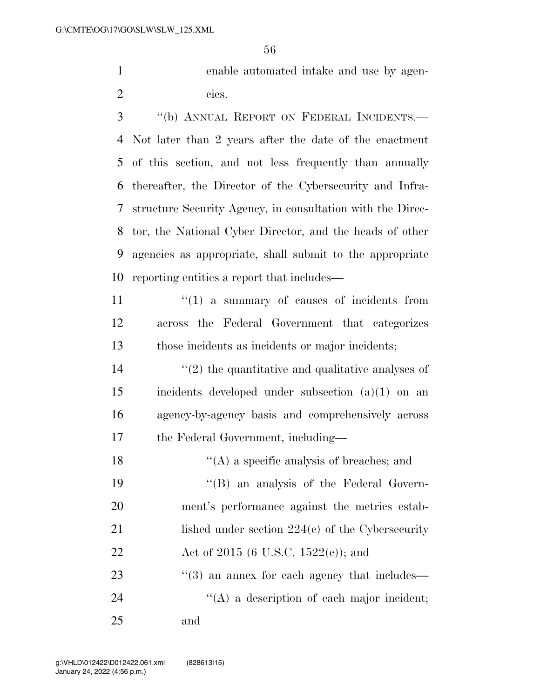enable automated intake and use by agen-cies.

 ''(b) ANNUAL REPORT ON FEDERAL INCIDENTS.— Not later than 2 years after the date of the enactment of this section, and not less frequently than annually thereafter, the Director of the Cybersecurity and Infra- structure Security Agency, in consultation with the Direc- tor, the National Cyber Director, and the heads of other agencies as appropriate, shall submit to the appropriate reporting entities a report that includes—

11  $\frac{1}{1}$   $\frac{1}{2}$  a summary of causes of incidents from across the Federal Government that categorizes those incidents as incidents or major incidents;

 $\mathcal{L}(2)$  the quantitative and qualitative analyses of incidents developed under subsection (a)(1) on an agency-by-agency basis and comprehensively across the Federal Government, including—

 $\langle (A)$  a specific analysis of breaches; and ''(B) an analysis of the Federal Govern- ment's performance against the metrics estab-21 lished under section 224(c) of the Cybersecurity 22 Act of 2015 (6 U.S.C. 1522(c)); and ''(3) an annex for each agency that includes—  $\langle (A)$  a description of each major incident; and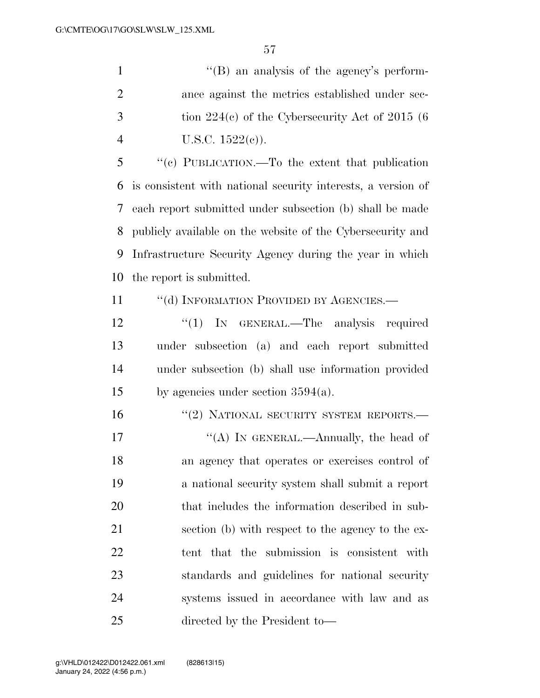1 ''(B) an analysis of the agency's perform- ance against the metrics established under sec- tion  $224(c)$  of the Cybersecurity Act of 2015 (6) 4 U.S.C.  $1522(c)$ ).

 ''(c) PUBLICATION.—To the extent that publication is consistent with national security interests, a version of each report submitted under subsection (b) shall be made publicly available on the website of the Cybersecurity and Infrastructure Security Agency during the year in which the report is submitted.

11 "(d) INFORMATION PROVIDED BY AGENCIES.—

12 "(1) IN GENERAL.—The analysis required under subsection (a) and each report submitted under subsection (b) shall use information provided by agencies under section 3594(a).

16 "(2) NATIONAL SECURITY SYSTEM REPORTS.—

17 ""(A) IN GENERAL.—Annually, the head of an agency that operates or exercises control of a national security system shall submit a report that includes the information described in sub- section (b) with respect to the agency to the ex- tent that the submission is consistent with standards and guidelines for national security systems issued in accordance with law and as directed by the President to—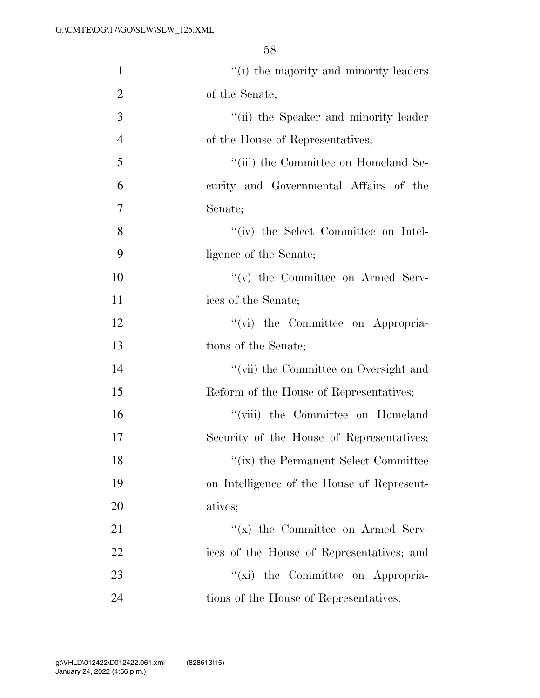| $\mathbf{1}$   | "(i) the majority and minority leaders       |
|----------------|----------------------------------------------|
| $\overline{2}$ | of the Senate,                               |
| 3              | "(ii) the Speaker and minority leader        |
| $\overline{4}$ | of the House of Representatives;             |
| 5              | "(iii) the Committee on Homeland Se-         |
| 6              | curity and Governmental Affairs of the       |
| $\tau$         | Senate;                                      |
| 8              | $``(iv)$ the Select Committee on Intel-      |
| 9              | ligence of the Senate;                       |
| 10             | "(v) the Committee on Armed Serv-            |
| 11             | ices of the Senate;                          |
| 12             | "(vi) the Committee on Appropria-            |
| 13             | tions of the Senate;                         |
| 14             | "(vii) the Committee on Oversight and        |
| 15             | Reform of the House of Representatives;      |
| 16             | "(viii) the Committee on Homeland            |
| 17             | Security of the House of Representatives;    |
| 18             | $\lq\lq$ (ix) the Permanent Select Committee |
| 19             | on Intelligence of the House of Represent-   |
| 20             | atives;                                      |
| 21             | "(x) the Committee on Armed Serv-            |
| 22             | ices of the House of Representatives; and    |
| 23             | "(xi) the Committee on Appropria-            |
| 24             | tions of the House of Representatives.       |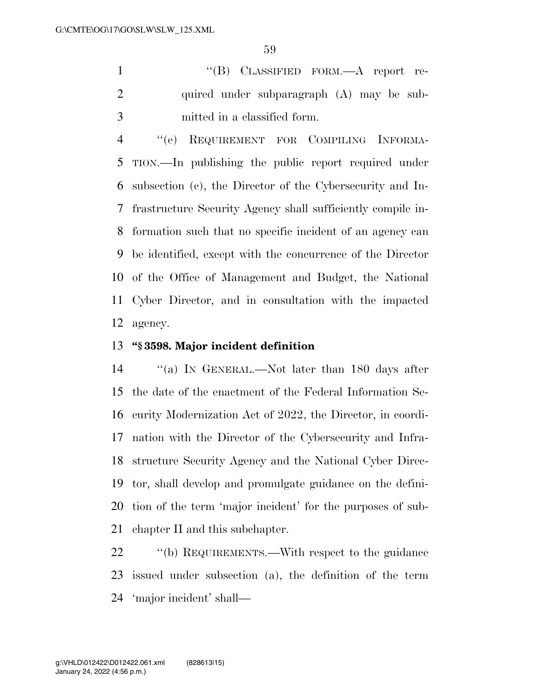1 "'(B) CLASSIFIED FORM.—A report re-2 quired under subparagraph (A) may be sub-mitted in a classified form.

 ''(e) REQUIREMENT FOR COMPILING INFORMA- TION.—In publishing the public report required under subsection (c), the Director of the Cybersecurity and In- frastructure Security Agency shall sufficiently compile in- formation such that no specific incident of an agency can be identified, except with the concurrence of the Director of the Office of Management and Budget, the National Cyber Director, and in consultation with the impacted agency.

#### **''§ 3598. Major incident definition**

 ''(a) IN GENERAL.—Not later than 180 days after the date of the enactment of the Federal Information Se- curity Modernization Act of 2022, the Director, in coordi- nation with the Director of the Cybersecurity and Infra- structure Security Agency and the National Cyber Direc- tor, shall develop and promulgate guidance on the defini- tion of the term 'major incident' for the purposes of sub-chapter II and this subchapter.

22 "(b) REQUIREMENTS.—With respect to the guidance issued under subsection (a), the definition of the term 'major incident' shall—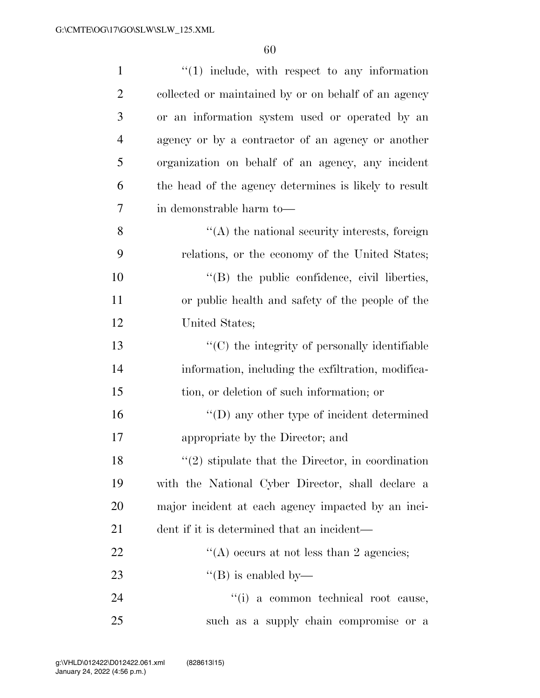| $\mathbf{1}$   | $\lq(1)$ include, with respect to any information     |
|----------------|-------------------------------------------------------|
| $\overline{2}$ | collected or maintained by or on behalf of an agency  |
| 3              | or an information system used or operated by an       |
| $\overline{4}$ | agency or by a contractor of an agency or another     |
| 5              | organization on behalf of an agency, any incident     |
| 6              | the head of the agency determines is likely to result |
| $\overline{7}$ | in demonstrable harm to—                              |
| 8              | $\lq\lq$ the national security interests, foreign     |
| 9              | relations, or the economy of the United States;       |
| 10             | $\lq\lq$ (B) the public confidence, civil liberties,  |
| 11             | or public health and safety of the people of the      |
| 12             | United States;                                        |
| 13             | $\lq\lq$ (C) the integrity of personally identifiable |
| 14             | information, including the exfiltration, modifica-    |
| 15             | tion, or deletion of such information; or             |
| 16             | $\lq\lq$ any other type of incident determined        |
| 17             | appropriate by the Director; and                      |
| 18             | $\lq(2)$ stipulate that the Director, in coordination |
| 19             | with the National Cyber Director, shall declare a     |
| 20             | major incident at each agency impacted by an inci-    |
| 21             | dent if it is determined that an incident—            |
| 22             | "(A) occurs at not less than 2 agencies;              |
| 23             | $\lq\lq$ (B) is enabled by—                           |
| 24             | "(i) a common technical root cause,                   |
| 25             | such as a supply chain compromise or a                |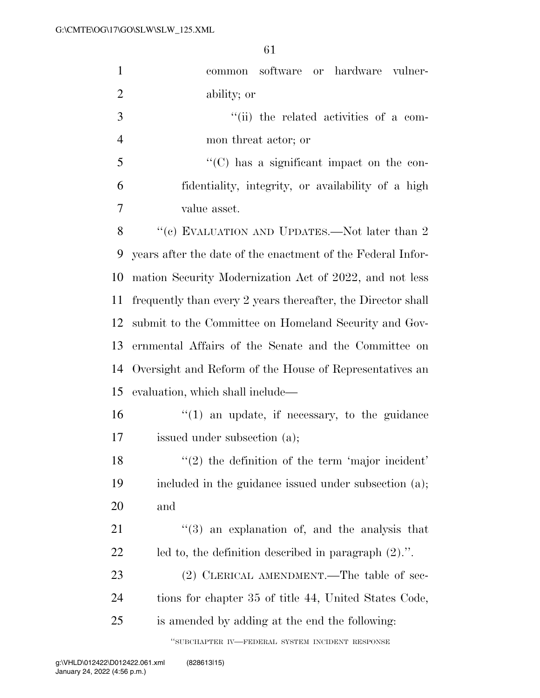| $\mathbf{1}$   | common software or hardware vulner-                          |
|----------------|--------------------------------------------------------------|
| $\overline{2}$ | ability; or                                                  |
| 3              | "(ii) the related activities of a com-                       |
| $\overline{4}$ | mon threat actor; or                                         |
| 5              | $\lq\lq$ (C) has a significant impact on the con-            |
| 6              | fidentiality, integrity, or availability of a high           |
| 7              | value asset.                                                 |
| 8              | "(c) EVALUATION AND UPDATES.—Not later than $2$              |
| 9              | years after the date of the enactment of the Federal Infor-  |
| 10             | mation Security Modernization Act of 2022, and not less      |
| 11             | frequently than every 2 years thereafter, the Director shall |
| 12             | submit to the Committee on Homeland Security and Gov-        |
| 13             | ernmental Affairs of the Senate and the Committee on         |
| 14             | Oversight and Reform of the House of Representatives an      |
| 15             | evaluation, which shall include—                             |
| 16             | $\lq(1)$ an update, if necessary, to the guidance            |
| 17             | issued under subsection (a);                                 |
| 18             | $\lq(2)$ the definition of the term 'major incident'         |
| 19             | included in the guidance issued under subsection (a);        |
| 20             | and                                                          |
| 21             | $(3)$ an explanation of, and the analysis that               |
| 22             | led to, the definition described in paragraph $(2)$ .".      |
| 23             | (2) CLERICAL AMENDMENT.—The table of sec-                    |
| 24             | tions for chapter 35 of title 44, United States Code,        |
| 25             | is amended by adding at the end the following:               |
|                | "SUBCHAPTER IV-FEDERAL SYSTEM INCIDENT RESPONSE              |

January 24, 2022 (4:56 p.m.) g:\VHLD\012422\D012422.061.xml (828613|15)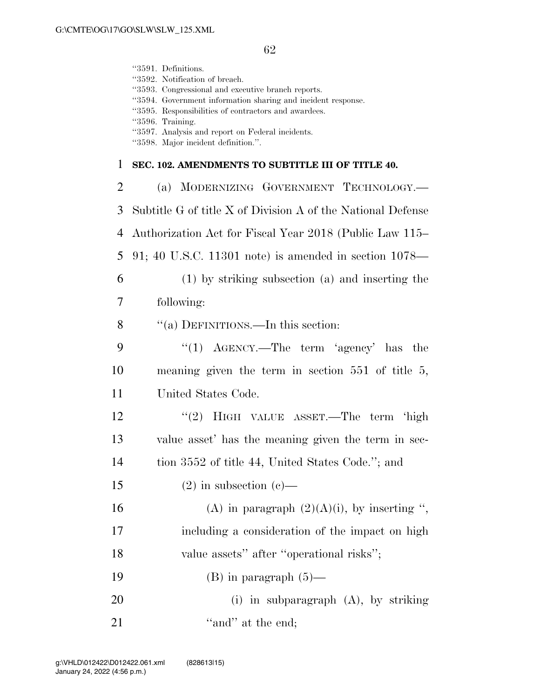''3591. Definitions.

|                | "3592. Notification of breach.<br>"3593. Congressional and executive branch reports.<br>"3594. Government information sharing and incident response.<br>"3595. Responsibilities of contractors and awardees.<br>"3596. Training.<br>"3597. Analysis and report on Federal incidents.<br>"3598. Major incident definition.". |
|----------------|-----------------------------------------------------------------------------------------------------------------------------------------------------------------------------------------------------------------------------------------------------------------------------------------------------------------------------|
| 1              | SEC. 102. AMENDMENTS TO SUBTITLE III OF TITLE 40.                                                                                                                                                                                                                                                                           |
| $\overline{2}$ | (a) MODERNIZING GOVERNMENT TECHNOLOGY.—                                                                                                                                                                                                                                                                                     |
| 3              | Subtitle G of title X of Division A of the National Defense                                                                                                                                                                                                                                                                 |
| 4              | Authorization Act for Fiscal Year 2018 (Public Law 115–                                                                                                                                                                                                                                                                     |
| 5              | 91; 40 U.S.C. 11301 note) is amended in section $1078$ —                                                                                                                                                                                                                                                                    |
| 6              | $(1)$ by striking subsection $(a)$ and inserting the                                                                                                                                                                                                                                                                        |
| 7              | following:                                                                                                                                                                                                                                                                                                                  |
| 8              | "(a) DEFINITIONS.—In this section:                                                                                                                                                                                                                                                                                          |
| 9              | "(1) $\text{AGENCY.}$ —The term 'agency' has the                                                                                                                                                                                                                                                                            |
| 10             | meaning given the term in section $551$ of title 5,                                                                                                                                                                                                                                                                         |
| 11             | United States Code.                                                                                                                                                                                                                                                                                                         |
| 12             | "(2) HIGH VALUE ASSET.—The term 'high                                                                                                                                                                                                                                                                                       |
| 13             | value asset' has the meaning given the term in sec-                                                                                                                                                                                                                                                                         |
| 14             | tion 3552 of title 44, United States Code."; and                                                                                                                                                                                                                                                                            |
| 15             | $(2)$ in subsection $(e)$ —                                                                                                                                                                                                                                                                                                 |
| 16             | (A) in paragraph $(2)(A)(i)$ , by inserting ",                                                                                                                                                                                                                                                                              |
| 17             | including a consideration of the impact on high                                                                                                                                                                                                                                                                             |
| 18             | value assets" after "operational risks";                                                                                                                                                                                                                                                                                    |
| 19             | $(B)$ in paragraph $(5)$ —                                                                                                                                                                                                                                                                                                  |
| 20             | (i) in subparagraph $(A)$ , by striking                                                                                                                                                                                                                                                                                     |
| 21             | "and" at the end;                                                                                                                                                                                                                                                                                                           |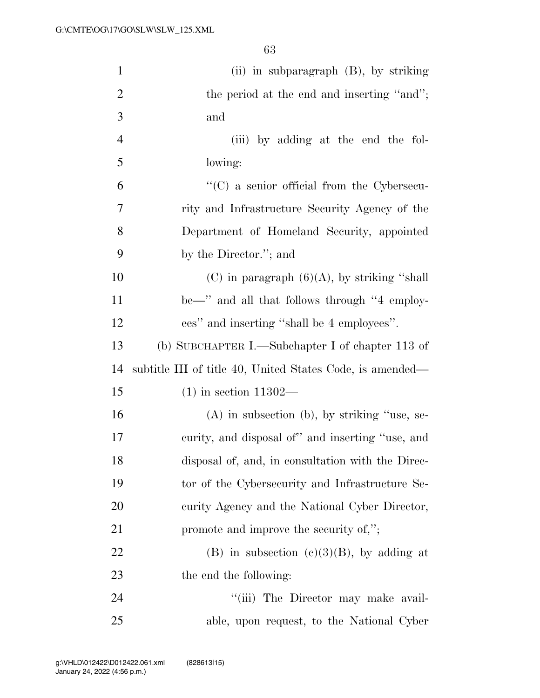| $\mathbf{1}$   | (ii) in subparagraph $(B)$ , by striking                  |
|----------------|-----------------------------------------------------------|
| $\overline{2}$ | the period at the end and inserting "and";                |
| 3              | and                                                       |
| $\overline{4}$ | (iii) by adding at the end the fol-                       |
| 5              | lowing:                                                   |
| 6              | $\lq\lq$ (C) a senior official from the Cybersecu-        |
| $\overline{7}$ | rity and Infrastructure Security Agency of the            |
| 8              | Department of Homeland Security, appointed                |
| 9              | by the Director."; and                                    |
| 10             | (C) in paragraph $(6)(A)$ , by striking "shall"           |
| 11             | be—" and all that follows through "4 employ-              |
| 12             | ees" and inserting "shall be 4 employees".                |
| 13             | (b) SUBCHAPTER I.—Subchapter I of chapter 113 of          |
| 14             | subtitle III of title 40, United States Code, is amended— |
| 15             | $(1)$ in section 11302—                                   |
| 16             | $(A)$ in subsection (b), by striking "use, se-            |
| 17             | curity, and disposal of" and inserting "use, and          |
| 18             | disposal of, and, in consultation with the Direc-         |
| 19             | tor of the Cybersecurity and Infrastructure Se-           |
| 20             | curity Agency and the National Cyber Director,            |
| 21             | promote and improve the security of,";                    |
| 22             | (B) in subsection (c)(3)(B), by adding at                 |
| 23             | the end the following:                                    |
| 24             | "(iii) The Director may make avail-                       |
| 25             | able, upon request, to the National Cyber                 |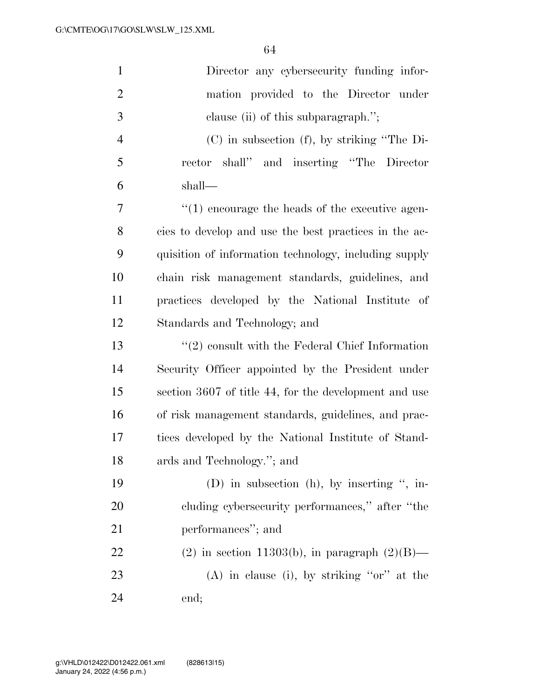| $\mathbf{1}$   | Director any cybersecurity funding infor-             |
|----------------|-------------------------------------------------------|
| $\overline{2}$ | mation provided to the Director under                 |
| 3              | clause (ii) of this subparagraph.";                   |
| $\overline{4}$ | $(C)$ in subsection $(f)$ , by striking "The Di-      |
| 5              | rector shall" and inserting "The Director             |
| 6              | shall—                                                |
| 7              | $\lq(1)$ encourage the heads of the executive agen-   |
| 8              | cies to develop and use the best practices in the ac- |
| 9              | quisition of information technology, including supply |
| 10             | chain risk management standards, guidelines, and      |
| 11             | practices developed by the National Institute of      |
| 12             | Standards and Technology; and                         |
| 13             | $\lq(2)$ consult with the Federal Chief Information   |
| 14             | Security Officer appointed by the President under     |
| 15             | section 3607 of title 44, for the development and use |
| 16             | of risk management standards, guidelines, and prac-   |
| 17             | tices developed by the National Institute of Stand-   |
| 18             | ards and Technology."; and                            |
| 19             | (D) in subsection (h), by inserting ", in-            |
| 20             | cluding cybersecurity performances," after "the       |
| 21             | performances"; and                                    |
| 22             | $(2)$ in section 11303(b), in paragraph $(2)(B)$ —    |
| 23             | $(A)$ in clause (i), by striking "or" at the          |
| 24             | end;                                                  |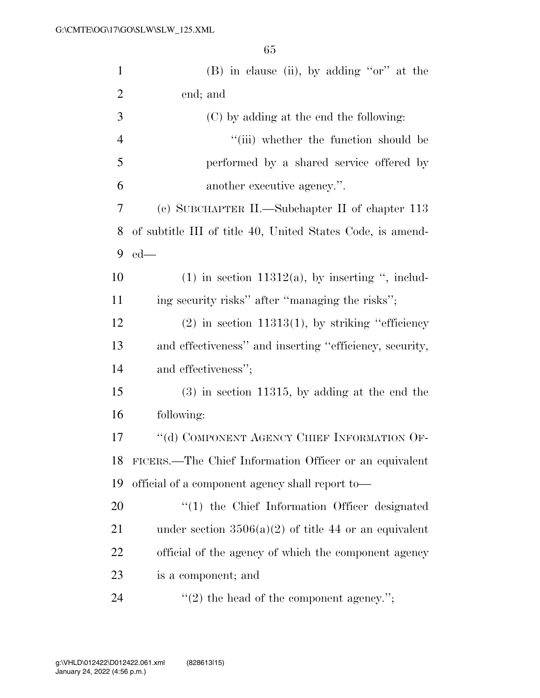| $\mathbf{1}$   | $(B)$ in clause (ii), by adding "or" at the                |
|----------------|------------------------------------------------------------|
| $\overline{2}$ | end; and                                                   |
| 3              | (C) by adding at the end the following:                    |
| $\overline{4}$ | "(iii) whether the function should be                      |
| 5              | performed by a shared service offered by                   |
| 6              | another executive agency.".                                |
| 7              | (c) SUBCHAPTER II.—Subchapter II of chapter 113            |
| 8              | of subtitle III of title 40, United States Code, is amend- |
| 9              | $ed$ —                                                     |
| 10             | $(1)$ in section 11312(a), by inserting ", includ-         |
| 11             | ing security risks" after "managing the risks";            |
| 12             | $(2)$ in section 11313(1), by striking "efficiency"        |
| 13             | and effectiveness" and inserting "efficiency, security,    |
| 14             | and effectiveness";                                        |
| 15             | $(3)$ in section 11315, by adding at the end the           |
| 16             | following:                                                 |
| 17             | "(d) COMPONENT AGENCY CHIEF INFORMATION OF-                |
| 18             | FICERS.—The Chief Information Officer or an equivalent     |
| 19             | official of a component agency shall report to—            |
| 20             | $\lq(1)$ the Chief Information Officer designated          |
| 21             | under section $3506(a)(2)$ of title 44 or an equivalent    |
| 22             | official of the agency of which the component agency       |
| 23             | is a component; and                                        |
| 24             | $"(2)$ the head of the component agency.";                 |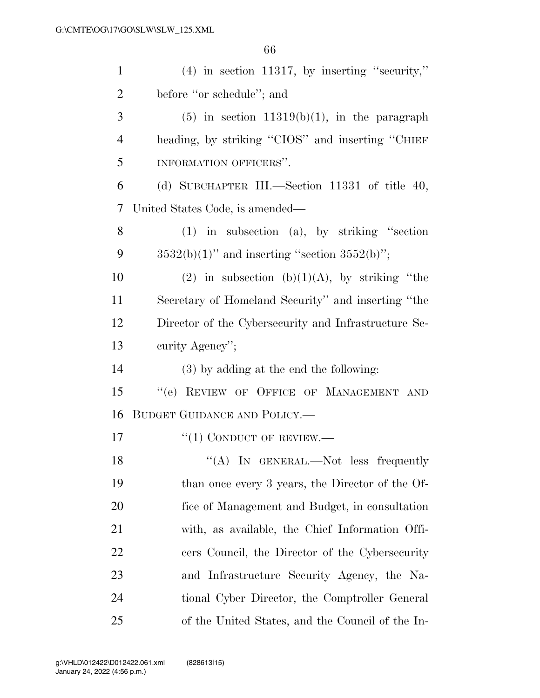| $\mathbf{1}$   | $(4)$ in section 11317, by inserting "security,"     |
|----------------|------------------------------------------------------|
| $\overline{2}$ | before "or schedule"; and                            |
| 3              | $(5)$ in section 11319(b)(1), in the paragraph       |
| $\overline{4}$ | heading, by striking "CIOS" and inserting "CHIEF     |
| 5              | INFORMATION OFFICERS".                               |
| 6              | (d) SUBCHAPTER III.—Section 11331 of title 40,       |
| 7              | United States Code, is amended—                      |
| 8              | $(1)$ in subsection $(a)$ , by striking "section     |
| 9              | $3532(b)(1)$ " and inserting "section $3552(b)$ ";   |
| 10             | (2) in subsection (b)(1)(A), by striking "the        |
| 11             | Secretary of Homeland Security" and inserting "the   |
| 12             | Director of the Cybersecurity and Infrastructure Se- |
| 13             | curity Agency";                                      |
| 14             | (3) by adding at the end the following:              |
| 15             | "(e) REVIEW OF OFFICE OF MANAGEMENT AND              |
| 16             | BUDGET GUIDANCE AND POLICY.                          |
| 17             | $``(1)$ CONDUCT OF REVIEW.—                          |
| 18             | $\lq\lq$ (A) In GENERAL.—Not less frequently         |
| 19             | than once every 3 years, the Director of the Of-     |
| 20             | fice of Management and Budget, in consultation       |
| 21             | with, as available, the Chief Information Offi-      |
| 22             | cers Council, the Director of the Cybersecurity      |
| 23             | and Infrastructure Security Agency, the Na-          |
| 24             | tional Cyber Director, the Comptroller General       |
| 25             | of the United States, and the Council of the In-     |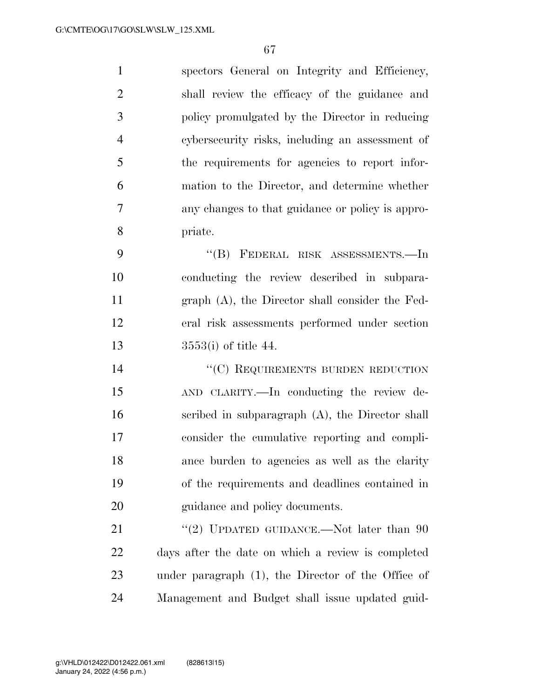| $\mathbf{1}$   | spectors General on Integrity and Efficiency,     |
|----------------|---------------------------------------------------|
| 2              | shall review the efficacy of the guidance and     |
| 3              | policy promulgated by the Director in reducing    |
| $\overline{4}$ | cybersecurity risks, including an assessment of   |
| 5              | the requirements for agencies to report infor-    |
| 6              | mation to the Director, and determine whether     |
| 7              | any changes to that guidance or policy is appro-  |
| 8              | priate.                                           |
| 9              | "(B) FEDERAL RISK ASSESSMENTS.—In                 |
| 10             | conducting the review described in subpara-       |
| 11             | $graph(A)$ , the Director shall consider the Fed- |
|                |                                                   |

3553(i) of title 44.

14 "(C) REQUIREMENTS BURDEN REDUCTION AND CLARITY.—In conducting the review de- scribed in subparagraph (A), the Director shall consider the cumulative reporting and compli- ance burden to agencies as well as the clarity of the requirements and deadlines contained in guidance and policy documents.

eral risk assessments performed under section

21 "(2) UPDATED GUIDANCE.—Not later than 90 days after the date on which a review is completed under paragraph (1), the Director of the Office of Management and Budget shall issue updated guid-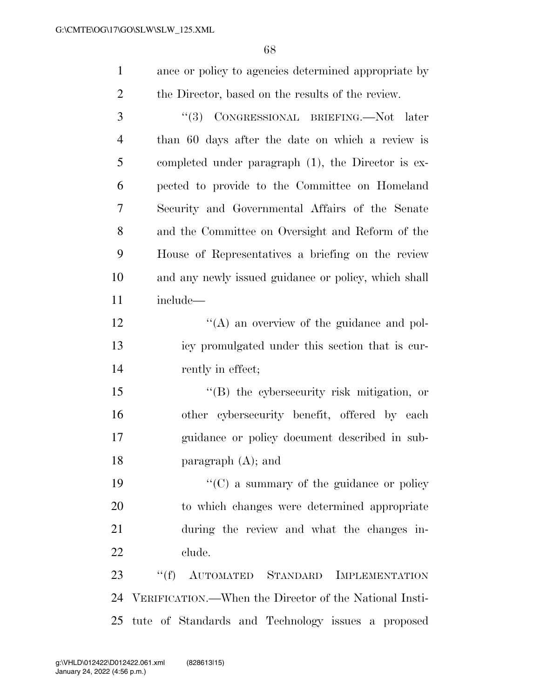ance or policy to agencies determined appropriate by the Director, based on the results of the review.

 ''(3) CONGRESSIONAL BRIEFING.—Not later than 60 days after the date on which a review is completed under paragraph (1), the Director is ex- pected to provide to the Committee on Homeland Security and Governmental Affairs of the Senate and the Committee on Oversight and Reform of the House of Representatives a briefing on the review and any newly issued guidance or policy, which shall include— 12 ''(A) an overview of the guidance and pol- icy promulgated under this section that is cur-14 rently in effect; 15 "(B) the cybersecurity risk mitigation, or

 other cybersecurity benefit, offered by each guidance or policy document described in sub-paragraph (A); and

 $\cdot$  (C) a summary of the guidance or policy to which changes were determined appropriate during the review and what the changes in-clude.

 ''(f) AUTOMATED STANDARD IMPLEMENTATION VERIFICATION.—When the Director of the National Insti-tute of Standards and Technology issues a proposed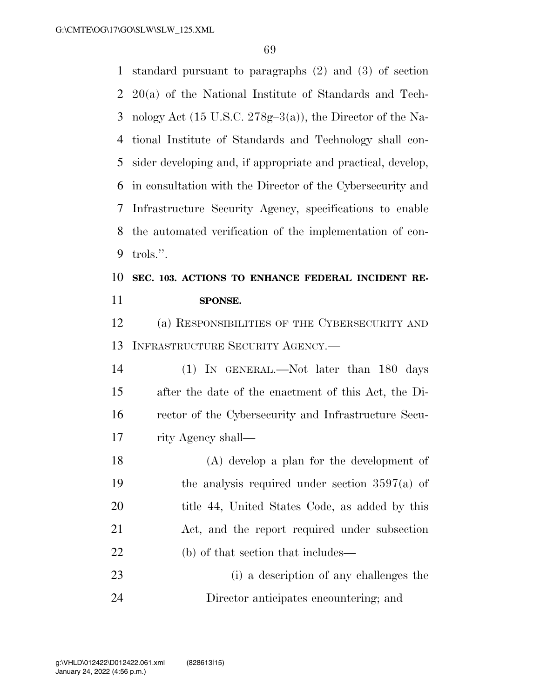standard pursuant to paragraphs (2) and (3) of section 20(a) of the National Institute of Standards and Tech- nology Act (15 U.S.C. 278g–3(a)), the Director of the Na- tional Institute of Standards and Technology shall con- sider developing and, if appropriate and practical, develop, in consultation with the Director of the Cybersecurity and Infrastructure Security Agency, specifications to enable the automated verification of the implementation of con-trols.''.

# **SEC. 103. ACTIONS TO ENHANCE FEDERAL INCIDENT RE-SPONSE.**

 (a) RESPONSIBILITIES OF THE CYBERSECURITY AND INFRASTRUCTURE SECURITY AGENCY.—

 (1) IN GENERAL.—Not later than 180 days after the date of the enactment of this Act, the Di- rector of the Cybersecurity and Infrastructure Secu-rity Agency shall—

 (A) develop a plan for the development of the analysis required under section 3597(a) of 20 title 44, United States Code, as added by this Act, and the report required under subsection 22 (b) of that section that includes—

 (i) a description of any challenges the Director anticipates encountering; and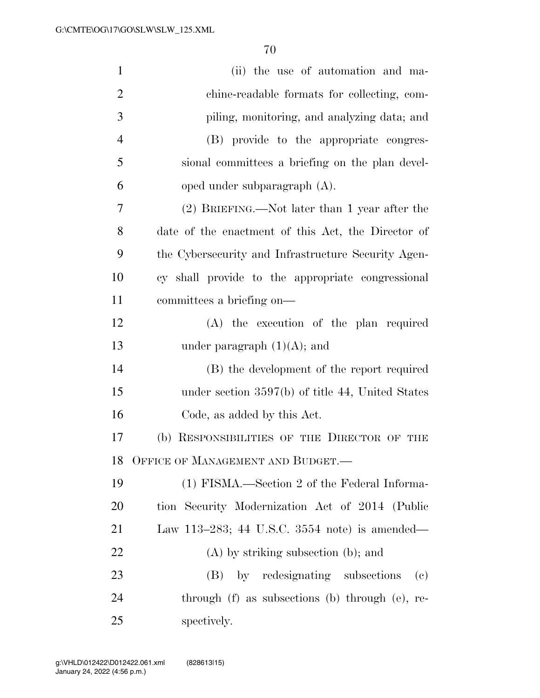| $\mathbf{1}$   | (ii) the use of automation and ma-                             |
|----------------|----------------------------------------------------------------|
| $\overline{2}$ | chine-readable formats for collecting, com-                    |
| 3              | piling, monitoring, and analyzing data; and                    |
| $\overline{4}$ | (B) provide to the appropriate congres-                        |
| 5              | sional committees a briefing on the plan devel-                |
| 6              | oped under subparagraph (A).                                   |
| 7              | (2) BRIEFING.—Not later than 1 year after the                  |
| 8              | date of the enactment of this Act, the Director of             |
| 9              | the Cybersecurity and Infrastructure Security Agen-            |
| 10             | cy shall provide to the appropriate congressional              |
| 11             | committees a briefing on—                                      |
| 12             | (A) the execution of the plan required                         |
| 13             | under paragraph $(1)(A)$ ; and                                 |
| 14             | (B) the development of the report required                     |
| 15             | under section $3597(b)$ of title 44, United States             |
| 16             | Code, as added by this Act.                                    |
| 17             | (b) RESPONSIBILITIES OF THE DIRECTOR OF THE                    |
| 18             | OFFICE OF MANAGEMENT AND BUDGET.-                              |
| 19             | (1) FISMA.—Section 2 of the Federal Informa-                   |
| 20             | tion Security Modernization Act of 2014 (Public                |
| 21             | Law 113–283; 44 U.S.C. 3554 note) is amended—                  |
| 22             | $(A)$ by striking subsection (b); and                          |
| 23             | (B) by redesignating subsections<br>$\left( \mathrm{e}\right)$ |
| 24             | through (f) as subsections (b) through (e), re-                |
| 25             | spectively.                                                    |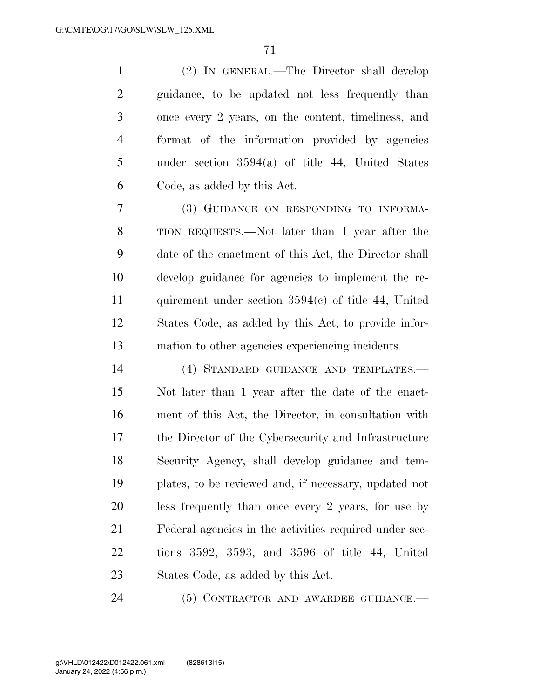(2) IN GENERAL.—The Director shall develop guidance, to be updated not less frequently than once every 2 years, on the content, timeliness, and format of the information provided by agencies under section 3594(a) of title 44, United States Code, as added by this Act.

 (3) GUIDANCE ON RESPONDING TO INFORMA- TION REQUESTS.—Not later than 1 year after the date of the enactment of this Act, the Director shall develop guidance for agencies to implement the re- quirement under section 3594(c) of title 44, United States Code, as added by this Act, to provide infor-mation to other agencies experiencing incidents.

 (4) STANDARD GUIDANCE AND TEMPLATES.— Not later than 1 year after the date of the enact- ment of this Act, the Director, in consultation with the Director of the Cybersecurity and Infrastructure Security Agency, shall develop guidance and tem- plates, to be reviewed and, if necessary, updated not less frequently than once every 2 years, for use by Federal agencies in the activities required under sec- tions 3592, 3593, and 3596 of title 44, United States Code, as added by this Act.

(5) CONTRACTOR AND AWARDEE GUIDANCE.—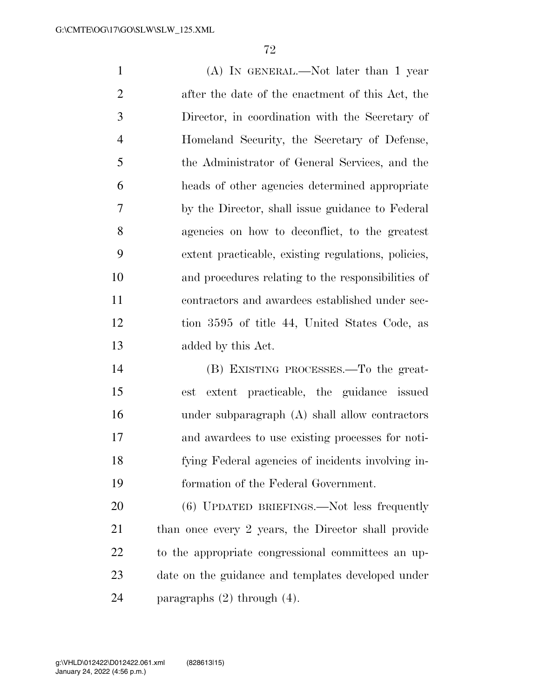(A) IN GENERAL.—Not later than 1 year after the date of the enactment of this Act, the Director, in coordination with the Secretary of Homeland Security, the Secretary of Defense, the Administrator of General Services, and the heads of other agencies determined appropriate by the Director, shall issue guidance to Federal agencies on how to deconflict, to the greatest extent practicable, existing regulations, policies, and procedures relating to the responsibilities of contractors and awardees established under sec- tion 3595 of title 44, United States Code, as added by this Act. (B) EXISTING PROCESSES.—To the great-

 est extent practicable, the guidance issued under subparagraph (A) shall allow contractors and awardees to use existing processes for noti- fying Federal agencies of incidents involving in-formation of the Federal Government.

 (6) UPDATED BRIEFINGS.—Not less frequently than once every 2 years, the Director shall provide to the appropriate congressional committees an up- date on the guidance and templates developed under paragraphs (2) through (4).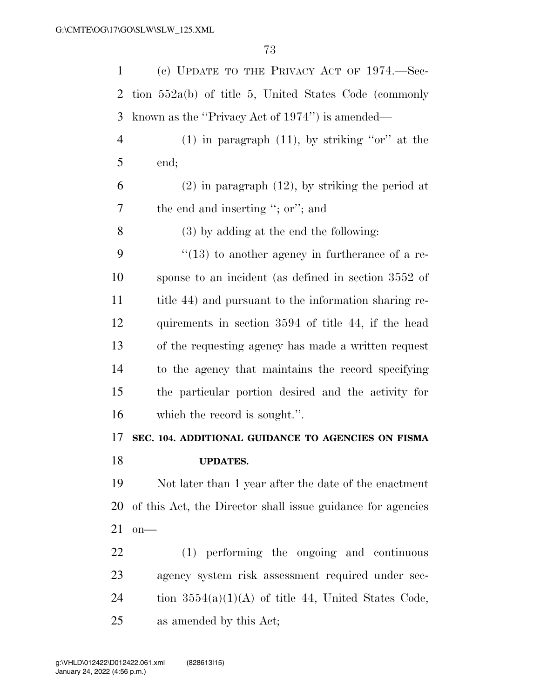| $\mathbf{1}$   | (c) UPDATE TO THE PRIVACY ACT OF $1974.$ —Sec-              |
|----------------|-------------------------------------------------------------|
| $\overline{2}$ | tion $552a(b)$ of title 5, United States Code (commonly     |
| 3              | known as the "Privacy Act of 1974") is amended—             |
| $\overline{4}$ | $(1)$ in paragraph $(11)$ , by striking "or" at the         |
| 5              | end;                                                        |
| 6              | $(2)$ in paragraph $(12)$ , by striking the period at       |
| 7              | the end and inserting "; or"; and                           |
| 8              | $(3)$ by adding at the end the following:                   |
| 9              | $\lq(13)$ to another agency in furtherance of a re-         |
| 10             | sponse to an incident (as defined in section 3552 of        |
| 11             | title 44) and pursuant to the information sharing re-       |
| 12             | quirements in section 3594 of title 44, if the head         |
| 13             | of the requesting agency has made a written request         |
| 14             | to the agency that maintains the record specifying          |
| 15             | the particular portion desired and the activity for         |
| 16             | which the record is sought.".                               |
| 17             | SEC. 104. ADDITIONAL GUIDANCE TO AGENCIES ON FISMA          |
| 18             | <b>UPDATES.</b>                                             |
| 19             | Not later than 1 year after the date of the enactment       |
| 20             | of this Act, the Director shall issue guidance for agencies |
| 21             | $on$ —                                                      |
| 22             | (1) performing the ongoing and continuous                   |
| 23             | agency system risk assessment required under sec-           |
| 24             | tion $3554(a)(1)(A)$ of title 44, United States Code,       |
| 25             | as amended by this Act;                                     |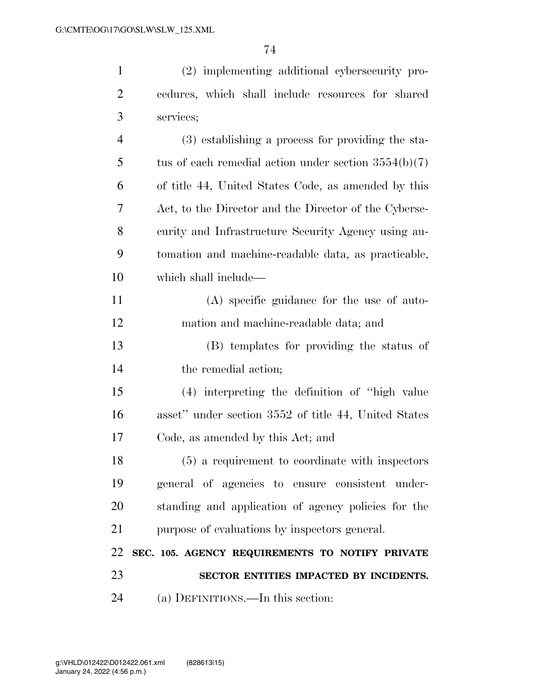(2) implementing additional cybersecurity pro- cedures, which shall include resources for shared services;

| 4  | (3) establishing a process for providing the sta-      |
|----|--------------------------------------------------------|
| 5  | tus of each remedial action under section $3554(b)(7)$ |
| 6  | of title 44, United States Code, as amended by this    |
| 7  | Act, to the Director and the Director of the Cyberse-  |
| 8  | curity and Infrastructure Security Agency using au-    |
| 9  | to to and machine-readable data, as practicable,       |
| 10 | which shall include—                                   |
| 11 | (A) specific guidance for the use of auto-             |
| 12 | mation and machine-readable data; and                  |
| 13 | (B) templates for providing the status of              |
| 14 | the remedial action;                                   |
| 15 | (4) interpreting the definition of "high value         |
| 16 | asset" under section 3552 of title 44, United States   |
| 17 | Code, as amended by this Act; and                      |
| 18 | (5) a requirement to coordinate with inspectors        |
| 19 | general of agencies to ensure consistent under-        |
| 20 | standing and application of agency policies for the    |
| 21 | purpose of evaluations by inspectors general.          |
| 22 | SEC. 105. AGENCY REQUIREMENTS TO NOTIFY PRIVATE        |
| 23 | SECTOR ENTITIES IMPACTED BY INCIDENTS.                 |
| 24 | (a) DEFINITIONS.—In this section:                      |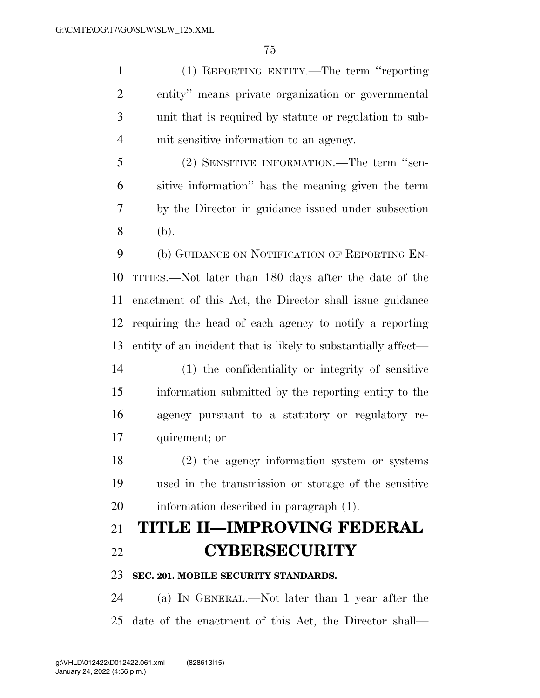(1) REPORTING ENTITY.—The term ''reporting entity'' means private organization or governmental unit that is required by statute or regulation to sub-mit sensitive information to an agency.

 (2) SENSITIVE INFORMATION.—The term ''sen- sitive information'' has the meaning given the term by the Director in guidance issued under subsection (b).

 (b) GUIDANCE ON NOTIFICATION OF REPORTING EN- TITIES.—Not later than 180 days after the date of the enactment of this Act, the Director shall issue guidance requiring the head of each agency to notify a reporting entity of an incident that is likely to substantially affect—

 (1) the confidentiality or integrity of sensitive information submitted by the reporting entity to the agency pursuant to a statutory or regulatory re-quirement; or

 (2) the agency information system or systems used in the transmission or storage of the sensitive information described in paragraph (1).

# **TITLE II—IMPROVING FEDERAL CYBERSECURITY**

**SEC. 201. MOBILE SECURITY STANDARDS.** 

 (a) IN GENERAL.—Not later than 1 year after the date of the enactment of this Act, the Director shall—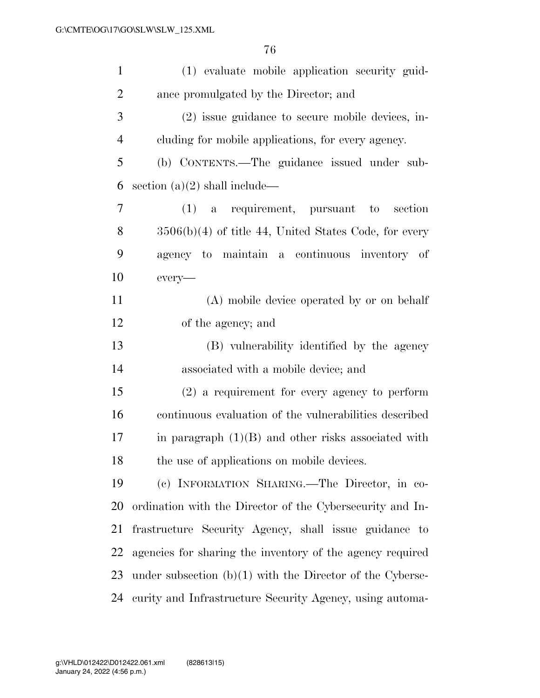| $\mathbf{1}$   | (1) evaluate mobile application security guid-              |
|----------------|-------------------------------------------------------------|
| $\overline{2}$ | ance promulgated by the Director; and                       |
| 3              | (2) issue guidance to secure mobile devices, in-            |
| $\overline{4}$ | cluding for mobile applications, for every agency.          |
| 5              | (b) CONTENTS.—The guidance issued under sub-                |
| 6              | section $(a)(2)$ shall include—                             |
| 7              | $(1)$ a requirement, pursuant to<br>section                 |
| 8              | $3506(b)(4)$ of title 44, United States Code, for every     |
| 9              | agency to maintain a continuous inventory of                |
| 10             | every-                                                      |
| 11             | (A) mobile device operated by or on behalf                  |
| 12             | of the agency; and                                          |
| 13             | (B) vulnerability identified by the agency                  |
| 14             | associated with a mobile device; and                        |
| 15             | $(2)$ a requirement for every agency to perform             |
| 16             | continuous evaluation of the vulnerabilities described      |
| 17             | in paragraph $(1)(B)$ and other risks associated with       |
| 18             | the use of applications on mobile devices.                  |
| 19             | (c) INFORMATION SHARING. The Director, in co-               |
| 20             | ordination with the Director of the Cybersecurity and In-   |
| 21             | frastructure Security Agency, shall issue guidance to       |
| 22             | agencies for sharing the inventory of the agency required   |
| 23             | under subsection $(b)(1)$ with the Director of the Cyberse- |
| 24             | curity and Infrastructure Security Agency, using automa-    |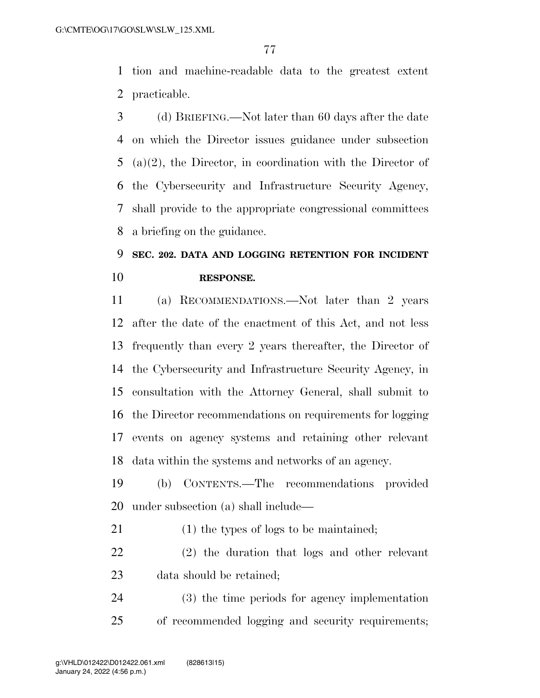tion and machine-readable data to the greatest extent practicable.

 (d) BRIEFING.—Not later than 60 days after the date on which the Director issues guidance under subsection (a)(2), the Director, in coordination with the Director of the Cybersecurity and Infrastructure Security Agency, shall provide to the appropriate congressional committees a briefing on the guidance.

# **SEC. 202. DATA AND LOGGING RETENTION FOR INCIDENT RESPONSE.**

 (a) RECOMMENDATIONS.—Not later than 2 years after the date of the enactment of this Act, and not less frequently than every 2 years thereafter, the Director of the Cybersecurity and Infrastructure Security Agency, in consultation with the Attorney General, shall submit to the Director recommendations on requirements for logging events on agency systems and retaining other relevant data within the systems and networks of an agency.

 (b) CONTENTS.—The recommendations provided under subsection (a) shall include—

(1) the types of logs to be maintained;

 (2) the duration that logs and other relevant data should be retained;

 (3) the time periods for agency implementation of recommended logging and security requirements;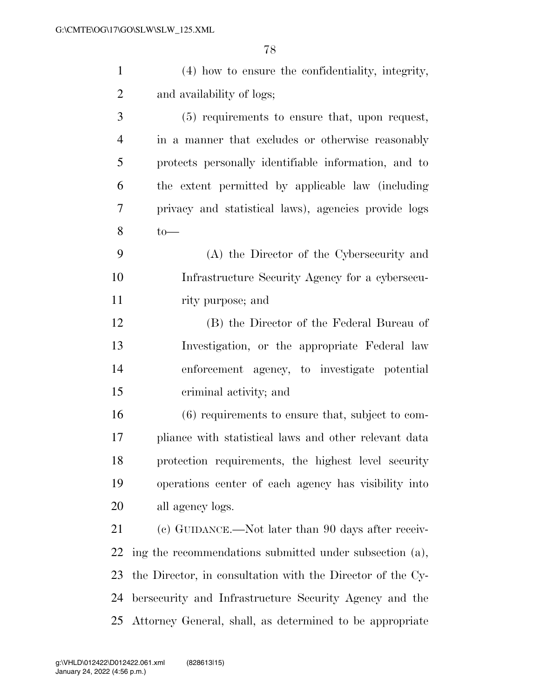| $\mathbf{1}$   | (4) how to ensure the confidentiality, integrity,          |
|----------------|------------------------------------------------------------|
| $\overline{2}$ | and availability of logs;                                  |
| 3              | (5) requirements to ensure that, upon request,             |
| $\overline{4}$ | in a manner that excludes or otherwise reasonably          |
| 5              | protects personally identifiable information, and to       |
| 6              | the extent permitted by applicable law (including          |
| 7              | privacy and statistical laws), agencies provide logs       |
| 8              | $to-$                                                      |
| 9              | (A) the Director of the Cybersecurity and                  |
| 10             | Infrastructure Security Agency for a cybersecu-            |
| 11             | rity purpose; and                                          |
| 12             | (B) the Director of the Federal Bureau of                  |
| 13             | Investigation, or the appropriate Federal law              |
| 14             | enforcement agency, to investigate potential               |
| 15             | criminal activity; and                                     |
| 16             | (6) requirements to ensure that, subject to com-           |
| 17             | pliance with statistical laws and other relevant data      |
| 18             | protection requirements, the highest level security        |
| 19             | operations center of each agency has visibility into       |
| 20             | all agency logs.                                           |
| 21             | (c) GUIDANCE.—Not later than 90 days after receiv-         |
| 22             | ing the recommendations submitted under subsection (a),    |
| 23             | the Director, in consultation with the Director of the Cy- |
| 24             | bersecurity and Infrastructure Security Agency and the     |
| 25             | Attorney General, shall, as determined to be appropriate   |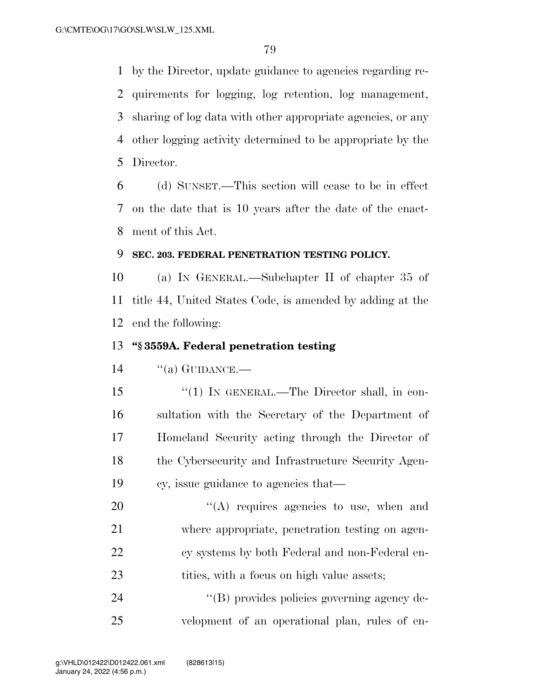by the Director, update guidance to agencies regarding re- quirements for logging, log retention, log management, sharing of log data with other appropriate agencies, or any other logging activity determined to be appropriate by the Director.

 (d) SUNSET.—This section will cease to be in effect on the date that is 10 years after the date of the enact-ment of this Act.

### **SEC. 203. FEDERAL PENETRATION TESTING POLICY.**

 (a) IN GENERAL.—Subchapter II of chapter 35 of title 44, United States Code, is amended by adding at the end the following:

## **''§ 3559A. Federal penetration testing**

''(a) GUIDANCE.—

 ''(1) IN GENERAL.—The Director shall, in con- sultation with the Secretary of the Department of Homeland Security acting through the Director of the Cybersecurity and Infrastructure Security Agen-cy, issue guidance to agencies that—

 $\langle (A)$  requires agencies to use, when and where appropriate, penetration testing on agen- cy systems by both Federal and non-Federal en-23 tities, with a focus on high value assets;

24  $\langle (B)$  provides policies governing agency de-velopment of an operational plan, rules of en-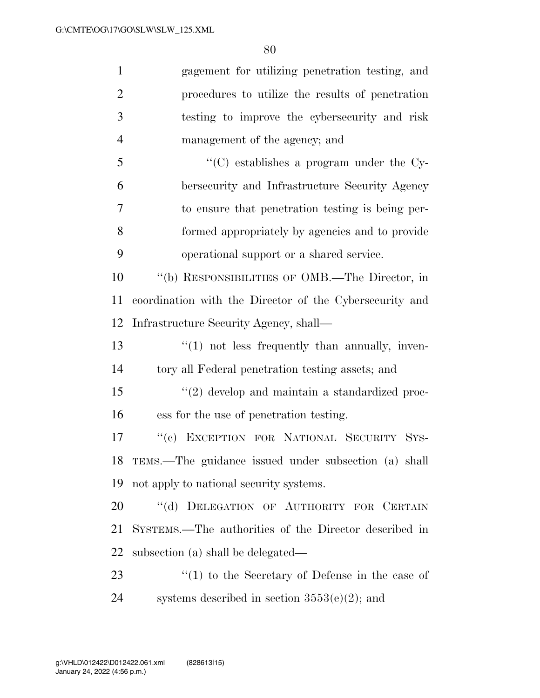gagement for utilizing penetration testing, and procedures to utilize the results of penetration testing to improve the cybersecurity and risk management of the agency; and ''(C) establishes a program under the Cy- bersecurity and Infrastructure Security Agency to ensure that penetration testing is being per- formed appropriately by agencies and to provide operational support or a shared service. ''(b) RESPONSIBILITIES OF OMB.—The Director, in coordination with the Director of the Cybersecurity and Infrastructure Security Agency, shall— 13 ''(1) not less frequently than annually, inven- tory all Federal penetration testing assets; and ''(2) develop and maintain a standardized proc- ess for the use of penetration testing. ''(c) EXCEPTION FOR NATIONAL SECURITY SYS- TEMS.—The guidance issued under subsection (a) shall not apply to national security systems. 20 "(d) DELEGATION OF AUTHORITY FOR CERTAIN SYSTEMS.—The authorities of the Director described in subsection (a) shall be delegated— 23 ''(1) to the Secretary of Defense in the case of 24 systems described in section  $3553(e)(2)$ ; and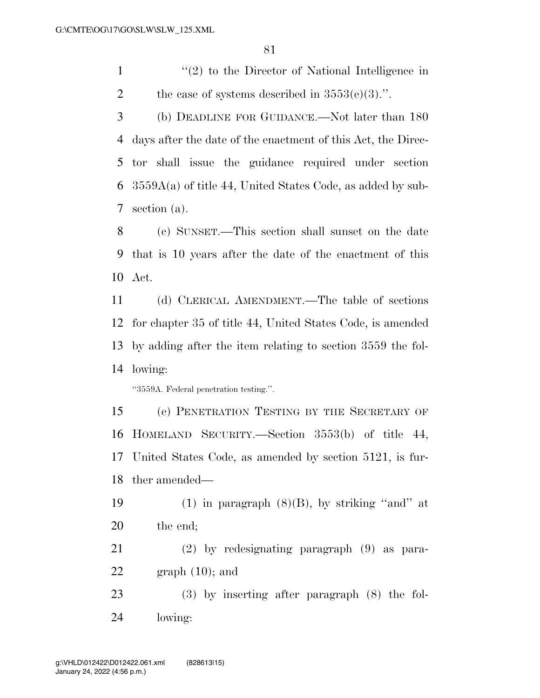1 ''(2) to the Director of National Intelligence in 2 the case of systems described in  $3553(e)(3)$ .".

 (b) DEADLINE FOR GUIDANCE.—Not later than 180 days after the date of the enactment of this Act, the Direc- tor shall issue the guidance required under section  $6\;$  3559A(a) of title 44, United States Code, as added by sub-section (a).

 (c) SUNSET.—This section shall sunset on the date that is 10 years after the date of the enactment of this Act.

 (d) CLERICAL AMENDMENT.—The table of sections for chapter 35 of title 44, United States Code, is amended by adding after the item relating to section 3559 the fol-lowing:

''3559A. Federal penetration testing.''.

 (e) PENETRATION TESTING BY THE SECRETARY OF HOMELAND SECURITY.—Section 3553(b) of title 44, United States Code, as amended by section 5121, is fur-ther amended—

19 (1) in paragraph  $(8)(B)$ , by striking "and" at

the end;

 (2) by redesignating paragraph (9) as para-22 graph  $(10)$ ; and

 (3) by inserting after paragraph (8) the fol-lowing: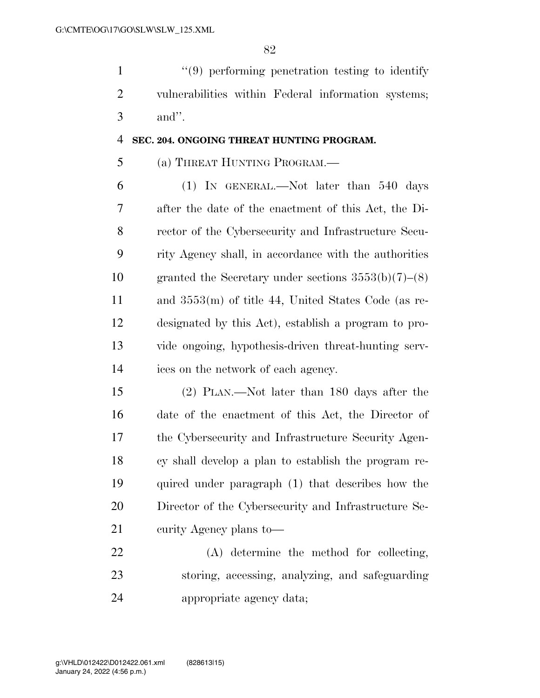''(9) performing penetration testing to identify vulnerabilities within Federal information systems; and''.

### **SEC. 204. ONGOING THREAT HUNTING PROGRAM.**

## (a) THREAT HUNTING PROGRAM.—

 (1) IN GENERAL.—Not later than 540 days after the date of the enactment of this Act, the Di- rector of the Cybersecurity and Infrastructure Secu- rity Agency shall, in accordance with the authorities granted the Secretary under sections 3553(b)(7)–(8) and 3553(m) of title 44, United States Code (as re- designated by this Act), establish a program to pro- vide ongoing, hypothesis-driven threat-hunting serv-ices on the network of each agency.

 (2) PLAN.—Not later than 180 days after the date of the enactment of this Act, the Director of the Cybersecurity and Infrastructure Security Agen- cy shall develop a plan to establish the program re- quired under paragraph (1) that describes how the Director of the Cybersecurity and Infrastructure Se-curity Agency plans to—

 (A) determine the method for collecting, storing, accessing, analyzing, and safeguarding appropriate agency data;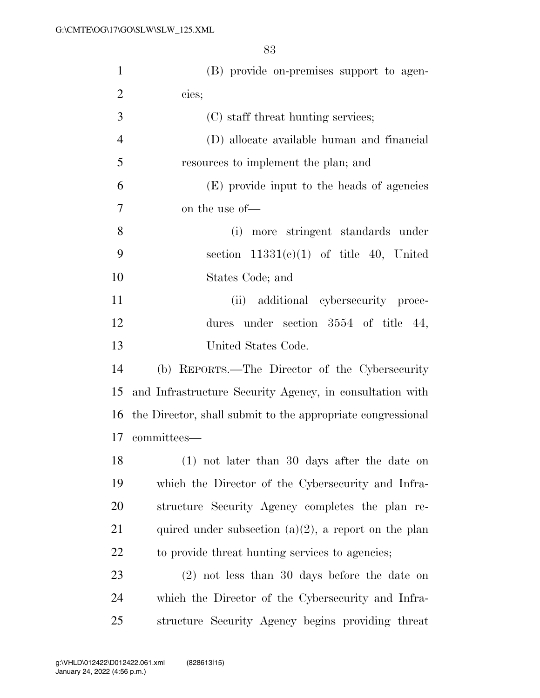| $\mathbf{1}$   | (B) provide on-premises support to agen-                    |
|----------------|-------------------------------------------------------------|
| $\overline{2}$ | cies;                                                       |
| 3              | (C) staff threat hunting services;                          |
| $\overline{4}$ | (D) allocate available human and financial                  |
| 5              | resources to implement the plan; and                        |
| 6              | (E) provide input to the heads of agencies                  |
| 7              | on the use of—                                              |
| 8              | (i) more stringent standards under                          |
| 9              | section $11331(e)(1)$ of title 40, United                   |
| 10             | States Code; and                                            |
| 11             | (ii) additional cybersecurity proce-                        |
| 12             | dures under section $3554$ of title 44,                     |
| 13             | United States Code.                                         |
| 14             | (b) REPORTS.—The Director of the Cybersecurity              |
| 15             | and Infrastructure Security Agency, in consultation with    |
| 16             | the Director, shall submit to the appropriate congressional |
|                | 17 committees—                                              |
| 18             | (1) not later than 30 days after the date on                |
| 19             | which the Director of the Cybersecurity and Infra-          |
| 20             | structure Security Agency completes the plan re-            |
| 21             | quired under subsection $(a)(2)$ , a report on the plan     |
| 22             | to provide threat hunting services to agencies;             |
| 23             | $(2)$ not less than 30 days before the date on              |
| 24             | which the Director of the Cybersecurity and Infra-          |
| $25\,$         | structure Security Agency begins providing threat           |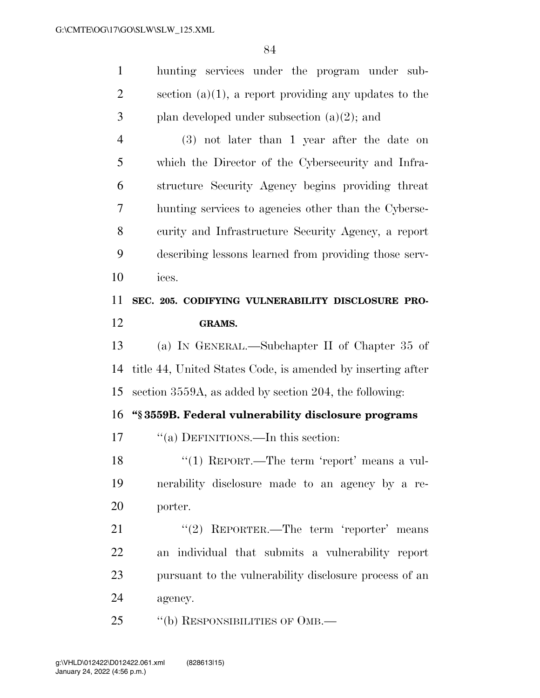hunting services under the program under sub-2 section (a)(1), a report providing any updates to the 3 plan developed under subsection  $(a)(2)$ ; and (3) not later than 1 year after the date on which the Director of the Cybersecurity and Infra- structure Security Agency begins providing threat hunting services to agencies other than the Cyberse- curity and Infrastructure Security Agency, a report describing lessons learned from providing those serv- ices. **SEC. 205. CODIFYING VULNERABILITY DISCLOSURE PRO- GRAMS.**  (a) IN GENERAL.—Subchapter II of Chapter 35 of

 title 44, United States Code, is amended by inserting after section 3559A, as added by section 204, the following:

**''§ 3559B. Federal vulnerability disclosure programs** 

17  $\frac{1}{2}$  (a) DEFINITIONS.—In this section:

18 ''(1) REPORT.—The term 'report' means a vul- nerability disclosure made to an agency by a re-porter.

21 ''(2) REPORTER.—The term 'reporter' means an individual that submits a vulnerability report pursuant to the vulnerability disclosure process of an agency.

25 "(b) RESPONSIBILITIES OF OMB.—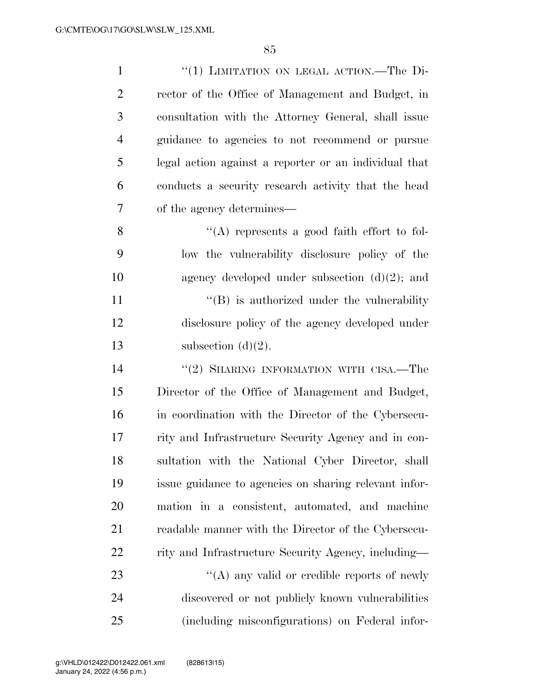| $\mathbf{1}$   | "(1) LIMITATION ON LEGAL ACTION.—The Di-              |
|----------------|-------------------------------------------------------|
| $\overline{2}$ | rector of the Office of Management and Budget, in     |
| 3              | consultation with the Attorney General, shall issue   |
| $\overline{4}$ | guidance to agencies to not recommend or pursue       |
| 5              | legal action against a reporter or an individual that |
| 6              | conducts a security research activity that the head   |
| 7              | of the agency determines—                             |
| 8              | "(A) represents a good faith effort to fol-           |
| 9              | low the vulnerability disclosure policy of the        |
| 10             | agency developed under subsection $(d)(2)$ ; and      |
| 11             | $\lq\lq (B)$ is authorized under the vulnerability    |
| 12             | disclosure policy of the agency developed under       |
| 13             | subsection $(d)(2)$ .                                 |
| 14             | $\lq (2)$ SHARING INFORMATION WITH CISA.—The          |
| 15             | Director of the Office of Management and Budget,      |
| 16             | in coordination with the Director of the Cybersecu-   |
| 17             | rity and Infrastructure Security Agency and in con-   |
| 18             | sultation with the National Cyber Director, shall     |
| 19             | issue guidance to agencies on sharing relevant infor- |
| 20             | mation in a consistent, automated, and machine        |
| 21             | readable manner with the Director of the Cybersecu-   |
| 22             | rity and Infrastructure Security Agency, including-   |
| 23             | "(A) any valid or credible reports of newly           |
| 24             | discovered or not publicly known vulnerabilities      |
| 25             | (including misconfigurations) on Federal infor-       |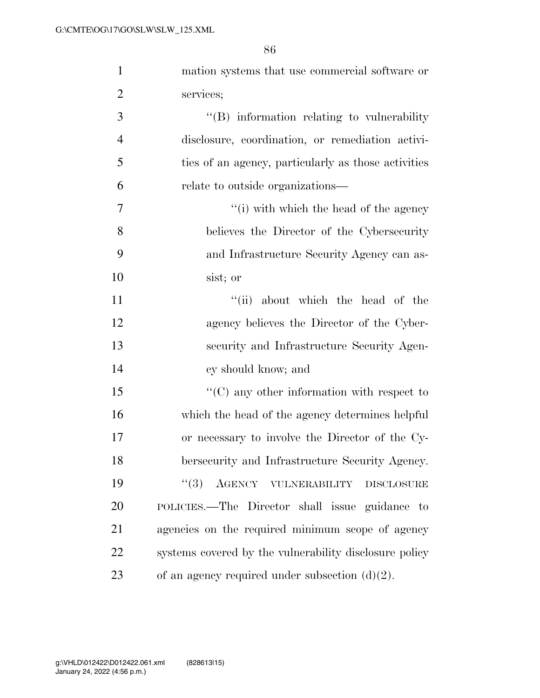| $\mathbf{1}$   | mation systems that use commercial software or         |
|----------------|--------------------------------------------------------|
| $\overline{2}$ | services;                                              |
| 3              | $\lq\lq$ information relating to vulnerability         |
| $\overline{4}$ | disclosure, coordination, or remediation activi-       |
| 5              | ties of an agency, particularly as those activities    |
| 6              | relate to outside organizations—                       |
| $\overline{7}$ | "(i) with which the head of the agency"                |
| 8              | believes the Director of the Cybersecurity             |
| 9              | and Infrastructure Security Agency can as-             |
| 10             | sist; or                                               |
| 11             | "(ii) about which the head of the                      |
| 12             | agency believes the Director of the Cyber-             |
| 13             | security and Infrastructure Security Agen-             |
| 14             | cy should know; and                                    |
| 15             | $\lq\lq$ (C) any other information with respect to     |
| 16             | which the head of the agency determines helpful        |
| 17             | or necessary to involve the Director of the Cy-        |
| 18             | bersecurity and Infrastructure Security Agency.        |
| 19             | AGENCY VULNERABILITY DISCLOSURE<br>(3)                 |
| 20             | POLICIES.—The Director shall issue guidance to         |
| 21             | agencies on the required minimum scope of agency       |
| 22             | systems covered by the vulnerability disclosure policy |
| 23             | of an agency required under subsection $(d)(2)$ .      |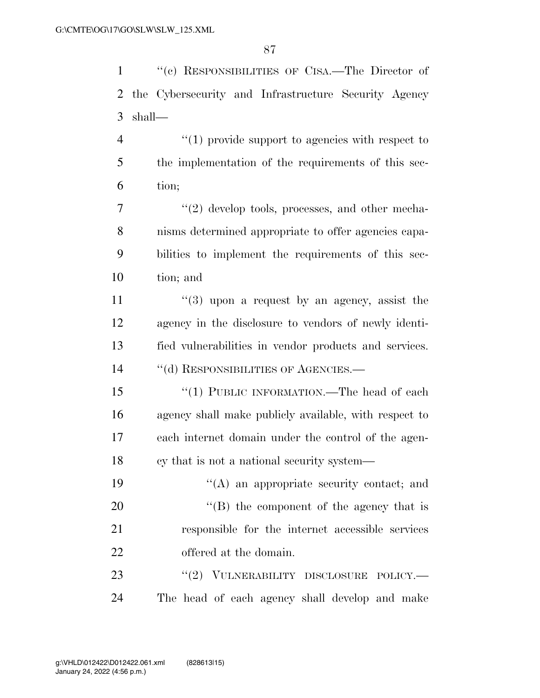''(c) RESPONSIBILITIES OF CISA.—The Director of the Cybersecurity and Infrastructure Security Agency shall—  $\frac{4}{1}$  provide support to agencies with respect to the implementation of the requirements of this sec- tion; 7 ''(2) develop tools, processes, and other mecha-nisms determined appropriate to offer agencies capa-

 bilities to implement the requirements of this sec-tion; and

 $\frac{1}{3}$  upon a request by an agency, assist the agency in the disclosure to vendors of newly identi- fied vulnerabilities in vendor products and services. 14 "(d) RESPONSIBILITIES OF AGENCIES.—

15 "(1) PUBLIC INFORMATION.—The head of each agency shall make publicly available, with respect to each internet domain under the control of the agen-cy that is not a national security system—

 ''(A) an appropriate security contact; and  $\text{``(B)}$  the component of the agency that is responsible for the internet accessible services offered at the domain.

23 "(2) VULNERABILITY DISCLOSURE POLICY.— The head of each agency shall develop and make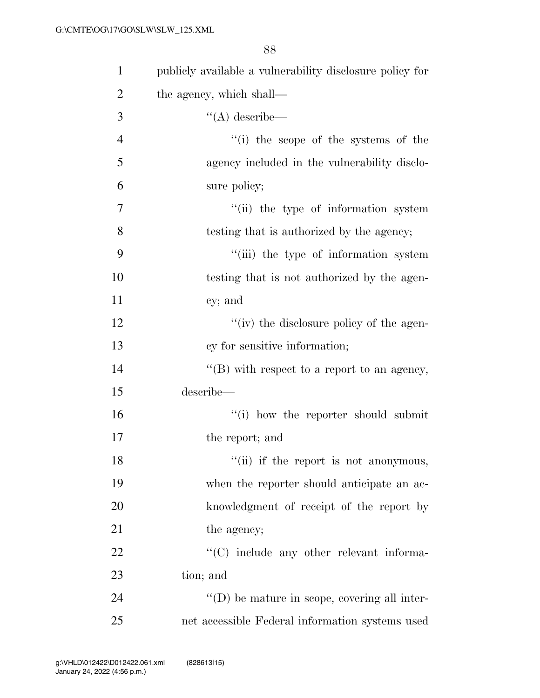| $\mathbf{1}$   | publicly available a vulnerability disclosure policy for |
|----------------|----------------------------------------------------------|
| $\overline{2}$ | the agency, which shall—                                 |
| 3              | $\lq\lq$ describe—                                       |
| $\overline{4}$ | "(i) the scope of the systems of the                     |
| 5              | agency included in the vulnerability disclo-             |
| 6              | sure policy;                                             |
| $\tau$         | "(ii) the type of information system                     |
| 8              | testing that is authorized by the agency;                |
| 9              | "(iii) the type of information system                    |
| 10             | testing that is not authorized by the agen-              |
| 11             | cy; and                                                  |
| 12             | "(iv) the disclosure policy of the agen-                 |
| 13             | cy for sensitive information;                            |
| 14             | "(B) with respect to a report to an agency,              |
| 15             | describe—                                                |
| 16             | "(i) how the reporter should submit                      |
| 17             | the report; and                                          |
| 18             | "(ii) if the report is not anonymous,                    |
| 19             | when the reporter should anticipate an ac-               |
| 20             | knowledgment of receipt of the report by                 |
| 21             | the agency;                                              |
| 22             | "(C) include any other relevant informa-                 |
| 23             | tion; and                                                |
| 24             | $\lq\lq$ (D) be mature in scope, covering all inter-     |
| 25             | net accessible Federal information systems used          |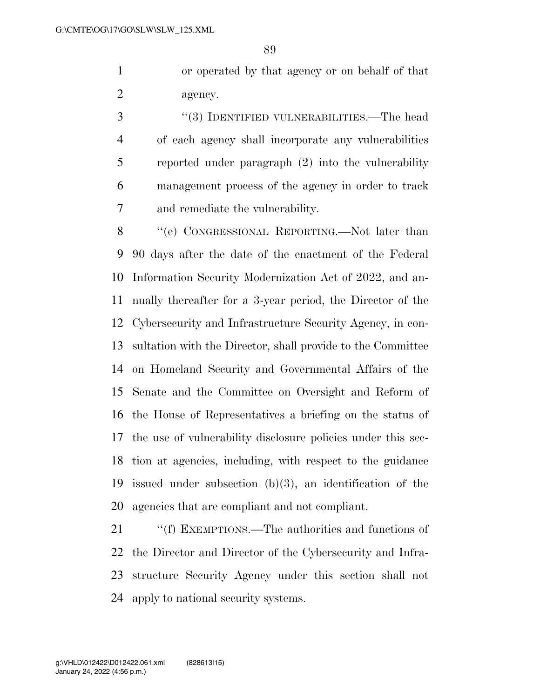or operated by that agency or on behalf of that agency.

 ''(3) IDENTIFIED VULNERABILITIES.—The head of each agency shall incorporate any vulnerabilities reported under paragraph (2) into the vulnerability management process of the agency in order to track and remediate the vulnerability.

8 "(e) CONGRESSIONAL REPORTING.—Not later than 90 days after the date of the enactment of the Federal Information Security Modernization Act of 2022, and an- nually thereafter for a 3-year period, the Director of the Cybersecurity and Infrastructure Security Agency, in con- sultation with the Director, shall provide to the Committee on Homeland Security and Governmental Affairs of the Senate and the Committee on Oversight and Reform of the House of Representatives a briefing on the status of the use of vulnerability disclosure policies under this sec- tion at agencies, including, with respect to the guidance issued under subsection (b)(3), an identification of the agencies that are compliant and not compliant.

21 ""(f) EXEMPTIONS.—The authorities and functions of the Director and Director of the Cybersecurity and Infra- structure Security Agency under this section shall not apply to national security systems.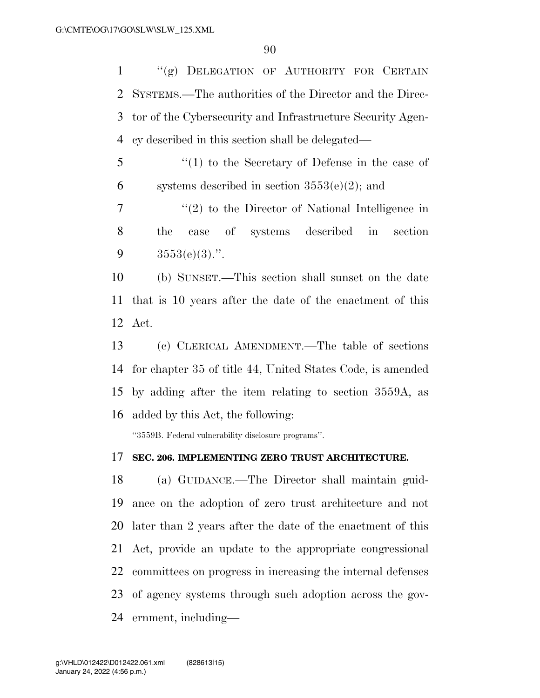''(g) DELEGATION OF AUTHORITY FOR CERTAIN SYSTEMS.—The authorities of the Director and the Direc- tor of the Cybersecurity and Infrastructure Security Agen-cy described in this section shall be delegated—

 ''(1) to the Secretary of Defense in the case of 6 systems described in section  $3553(e)(2)$ ; and

 ''(2) to the Director of National Intelligence in the case of systems described in section 9  $3553(e)(3)$ .".

 (b) SUNSET.—This section shall sunset on the date that is 10 years after the date of the enactment of this Act.

 (c) CLERICAL AMENDMENT.—The table of sections for chapter 35 of title 44, United States Code, is amended by adding after the item relating to section 3559A, as added by this Act, the following:

''3559B. Federal vulnerability disclosure programs''.

### **SEC. 206. IMPLEMENTING ZERO TRUST ARCHITECTURE.**

 (a) GUIDANCE.—The Director shall maintain guid- ance on the adoption of zero trust architecture and not later than 2 years after the date of the enactment of this Act, provide an update to the appropriate congressional committees on progress in increasing the internal defenses of agency systems through such adoption across the gov-ernment, including—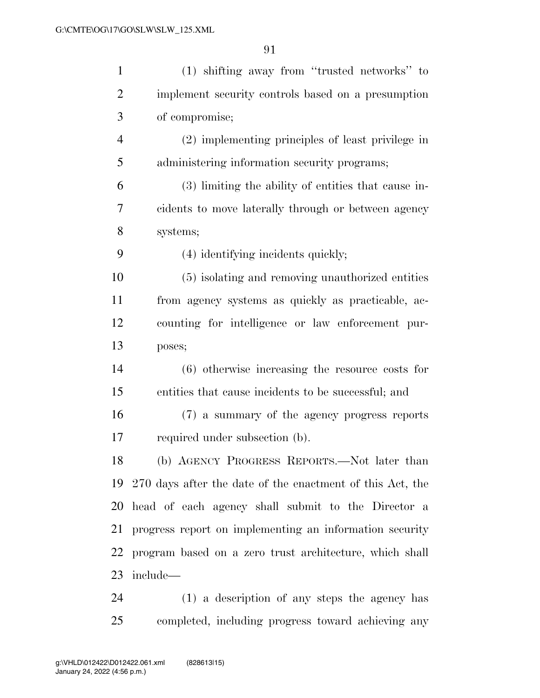| $\mathbf{1}$   | (1) shifting away from "trusted networks" to                 |
|----------------|--------------------------------------------------------------|
| $\overline{2}$ | implement security controls based on a presumption           |
| 3              | of compromise;                                               |
| $\overline{4}$ | (2) implementing principles of least privilege in            |
| 5              | administering information security programs;                 |
| 6              | (3) limiting the ability of entities that cause in-          |
| 7              | cidents to move laterally through or between agency          |
| 8              | systems;                                                     |
| 9              | (4) identifying incidents quickly;                           |
| 10             | (5) isolating and removing unauthorized entities             |
| 11             | from agency systems as quickly as practicable, ac-           |
| 12             | counting for intelligence or law enforcement pur-            |
| 13             | poses;                                                       |
| 14             | $(6)$ otherwise increasing the resource costs for            |
| 15             | entities that cause incidents to be successful; and          |
| 16             | (7) a summary of the agency progress reports                 |
| 17             | required under subsection (b).                               |
|                | (b) AGENCY PROGRESS REPORTS.—Not later than                  |
|                | 19 270 days after the date of the enactment of this Act, the |
|                | 20 head of each agency shall submit to the Director a        |
| 21             | progress report on implementing an information security      |
| 22             | program based on a zero trust architecture, which shall      |
| 23             | include—                                                     |
| 24             | (1) a description of any steps the agency has                |

completed, including progress toward achieving any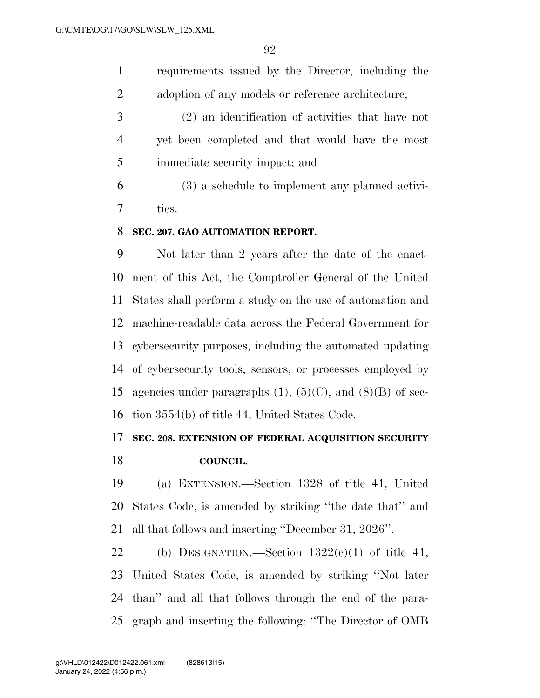requirements issued by the Director, including the 2 adoption of any models or reference architecture;

 (2) an identification of activities that have not yet been completed and that would have the most immediate security impact; and

 (3) a schedule to implement any planned activi-ties.

### **SEC. 207. GAO AUTOMATION REPORT.**

 Not later than 2 years after the date of the enact- ment of this Act, the Comptroller General of the United States shall perform a study on the use of automation and machine-readable data across the Federal Government for cybersecurity purposes, including the automated updating of cybersecurity tools, sensors, or processes employed by 15 agencies under paragraphs  $(1)$ ,  $(5)(C)$ , and  $(8)(B)$  of sec-tion 3554(b) of title 44, United States Code.

# **SEC. 208. EXTENSION OF FEDERAL ACQUISITION SECURITY**

**COUNCIL.** 

 (a) EXTENSION.—Section 1328 of title 41, United States Code, is amended by striking ''the date that'' and all that follows and inserting ''December 31, 2026''.

22 (b) DESIGNATION.—Section  $1322(e)(1)$  of title 41, United States Code, is amended by striking ''Not later than'' and all that follows through the end of the para-graph and inserting the following: ''The Director of OMB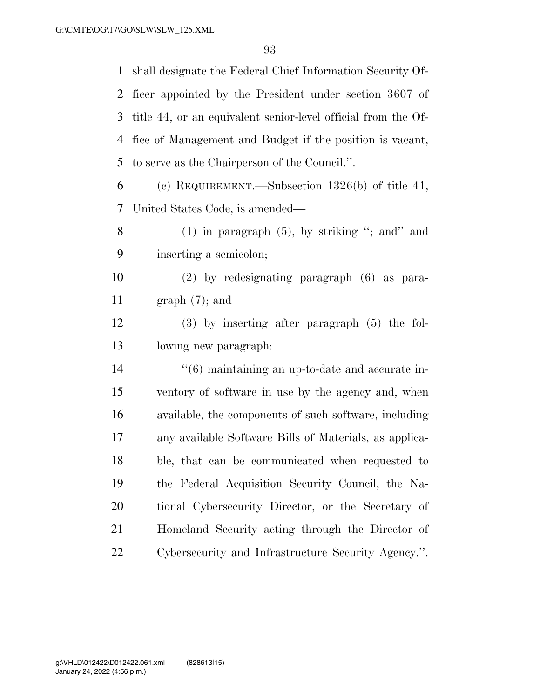shall designate the Federal Chief Information Security Of- ficer appointed by the President under section 3607 of title 44, or an equivalent senior-level official from the Of- fice of Management and Budget if the position is vacant, to serve as the Chairperson of the Council.''. (c) REQUIREMENT.—Subsection 1326(b) of title 41, United States Code, is amended— 8 (1) in paragraph  $(5)$ , by striking "; and" and inserting a semicolon; (2) by redesignating paragraph (6) as para- graph (7); and (3) by inserting after paragraph (5) the fol- lowing new paragraph: ''(6) maintaining an up-to-date and accurate in- ventory of software in use by the agency and, when available, the components of such software, including any available Software Bills of Materials, as applica- ble, that can be communicated when requested to the Federal Acquisition Security Council, the Na- tional Cybersecurity Director, or the Secretary of Homeland Security acting through the Director of Cybersecurity and Infrastructure Security Agency.''.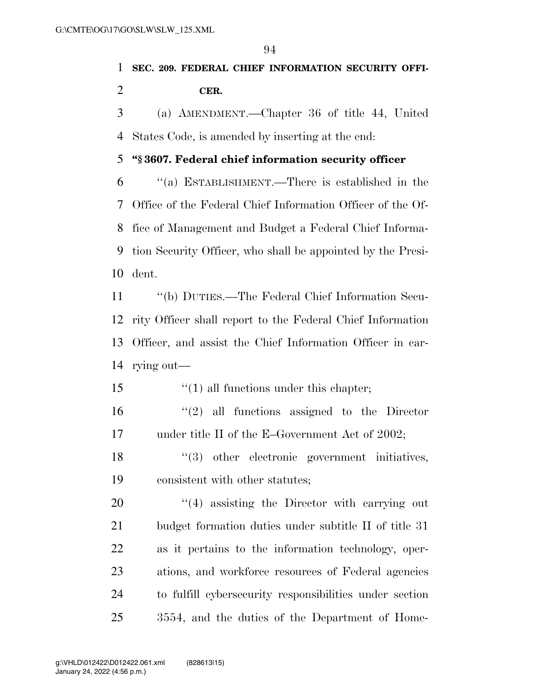# **SEC. 209. FEDERAL CHIEF INFORMATION SECURITY OFFI-CER.**

 (a) AMENDMENT.—Chapter 36 of title 44, United States Code, is amended by inserting at the end:

## **''§ 3607. Federal chief information security officer**

 ''(a) ESTABLISHMENT.—There is established in the Office of the Federal Chief Information Officer of the Of- fice of Management and Budget a Federal Chief Informa- tion Security Officer, who shall be appointed by the Presi-dent.

 ''(b) DUTIES.—The Federal Chief Information Secu- rity Officer shall report to the Federal Chief Information Officer, and assist the Chief Information Officer in car-rying out—

''(1) all functions under this chapter;

 ''(2) all functions assigned to the Director 17 under title II of the E–Government Act of 2002;

18  $\frac{1}{3}$  other electronic government initiatives, consistent with other statutes;

 $\frac{1}{4}$  assisting the Director with carrying out budget formation duties under subtitle II of title 31 as it pertains to the information technology, oper- ations, and workforce resources of Federal agencies to fulfill cybersecurity responsibilities under section 3554, and the duties of the Department of Home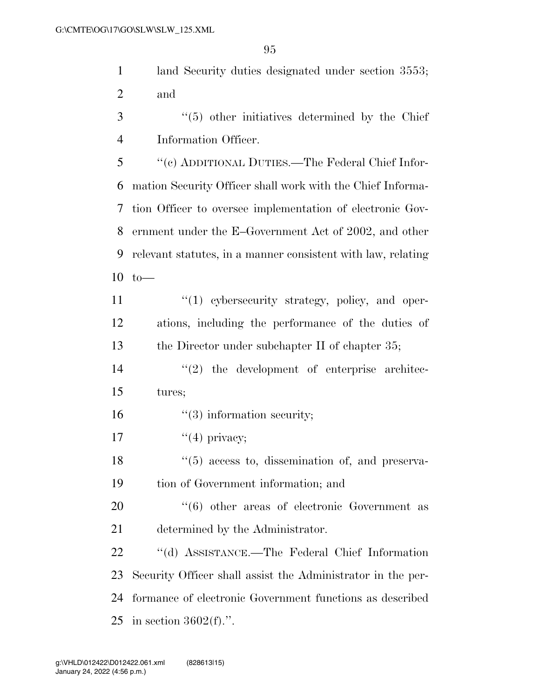land Security duties designated under section 3553; and

 ''(5) other initiatives determined by the Chief Information Officer.

 ''(c) ADDITIONAL DUTIES.—The Federal Chief Infor- mation Security Officer shall work with the Chief Informa- tion Officer to oversee implementation of electronic Gov- ernment under the E–Government Act of 2002, and other relevant statutes, in a manner consistent with law, relating to—

11  $\frac{1}{2}$  (1) cybersecurity strategy, policy, and oper- ations, including the performance of the duties of the Director under subchapter II of chapter 35;

14  $\frac{1}{2}$  the development of enterprise architec-tures;

16  $\frac{16}{3}$  information security;

17  $"(4)$  privacy:

18 ''(5) access to, dissemination of, and preserva-tion of Government information; and

20  $(6)$  other areas of electronic Government as determined by the Administrator.

 ''(d) ASSISTANCE.—The Federal Chief Information Security Officer shall assist the Administrator in the per- formance of electronic Government functions as described in section 3602(f).''.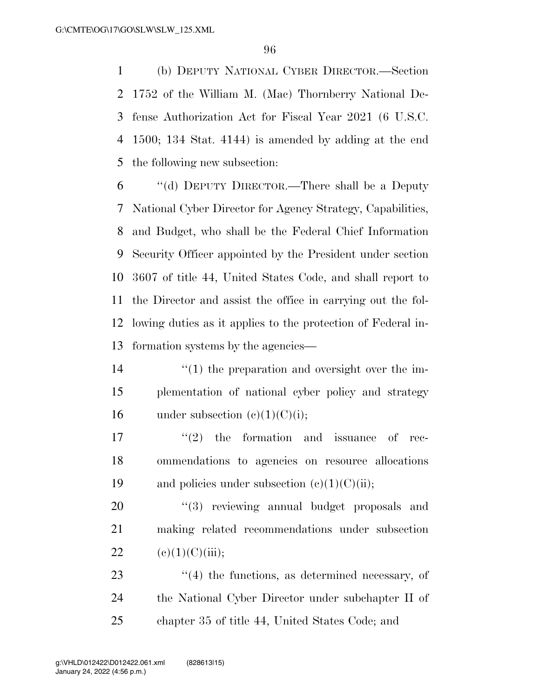(b) DEPUTY NATIONAL CYBER DIRECTOR.—Section 1752 of the William M. (Mac) Thornberry National De- fense Authorization Act for Fiscal Year 2021 (6 U.S.C. 1500; 134 Stat. 4144) is amended by adding at the end the following new subsection:

 ''(d) DEPUTY DIRECTOR.—There shall be a Deputy National Cyber Director for Agency Strategy, Capabilities, and Budget, who shall be the Federal Chief Information Security Officer appointed by the President under section 3607 of title 44, United States Code, and shall report to the Director and assist the office in carrying out the fol- lowing duties as it applies to the protection of Federal in-formation systems by the agencies—

- 14  $\frac{1}{2}$  (1) the preparation and oversight over the im- plementation of national cyber policy and strategy 16 under subsection  $(e)(1)(C)(i)$ ;
- $\text{``(2)}$  the formation and issuance of rec- ommendations to agencies on resource allocations 19 and policies under subsection  $(e)(1)(C)(ii)$ ;

20  $(3)$  reviewing annual budget proposals and making related recommendations under subsection 22 (e)(1)(C)(iii);

23 ''(4) the functions, as determined necessary, of the National Cyber Director under subchapter II of chapter 35 of title 44, United States Code; and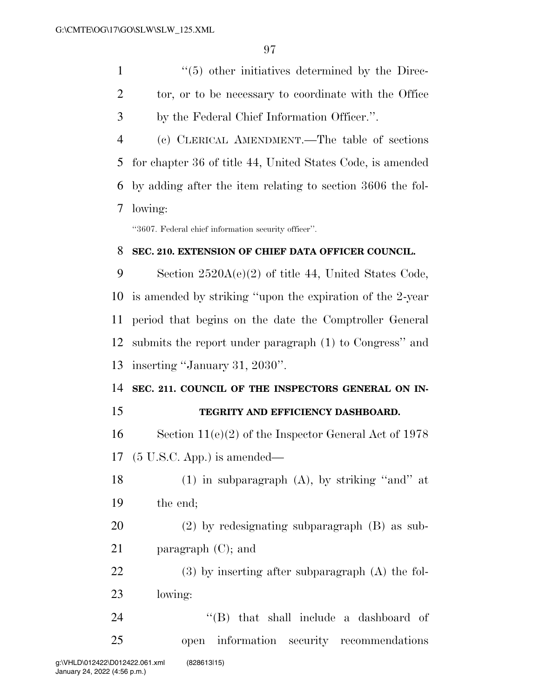1  $\frac{1}{5}$  other initiatives determined by the Direc-2 tor, or to be necessary to coordinate with the Office by the Federal Chief Information Officer.''.

 (c) CLERICAL AMENDMENT.—The table of sections for chapter 36 of title 44, United States Code, is amended by adding after the item relating to section 3606 the fol-lowing:

''3607. Federal chief information security officer''.

### **SEC. 210. EXTENSION OF CHIEF DATA OFFICER COUNCIL.**

 Section 2520A(e)(2) of title 44, United States Code, is amended by striking ''upon the expiration of the 2-year period that begins on the date the Comptroller General submits the report under paragraph (1) to Congress'' and inserting ''January 31, 2030''.

# **SEC. 211. COUNCIL OF THE INSPECTORS GENERAL ON IN-**

## **TEGRITY AND EFFICIENCY DASHBOARD.**

 Section 11(e)(2) of the Inspector General Act of 1978 (5 U.S.C. App.) is amended—

- 18 (1) in subparagraph  $(A)$ , by striking "and" at the end;
- (2) by redesignating subparagraph (B) as sub-paragraph (C); and

 (3) by inserting after subparagraph (A) the fol-lowing:

24 ''(B) that shall include a dashboard of open information security recommendations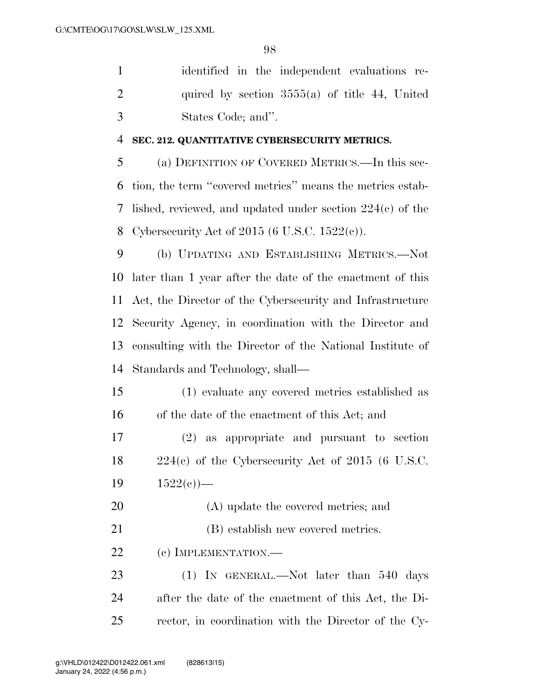identified in the independent evaluations re-2 quired by section  $3555(a)$  of title 44, United States Code; and''.

### **SEC. 212. QUANTITATIVE CYBERSECURITY METRICS.**

 (a) DEFINITION OF COVERED METRICS.—In this sec- tion, the term ''covered metrics'' means the metrics estab- lished, reviewed, and updated under section 224(c) of the Cybersecurity Act of 2015 (6 U.S.C. 1522(c)).

 (b) UPDATING AND ESTABLISHING METRICS.—Not later than 1 year after the date of the enactment of this Act, the Director of the Cybersecurity and Infrastructure Security Agency, in coordination with the Director and consulting with the Director of the National Institute of Standards and Technology, shall—

 (1) evaluate any covered metrics established as of the date of the enactment of this Act; and

 (2) as appropriate and pursuant to section 224(c) of the Cybersecurity Act of 2015 (6 U.S.C. 19  $1522(e)$ —

- (A) update the covered metrics; and
- 21 (B) establish new covered metrics.

22 (c) IMPLEMENTATION.—

23 (1) IN GENERAL.—Not later than 540 days after the date of the enactment of this Act, the Di-rector, in coordination with the Director of the Cy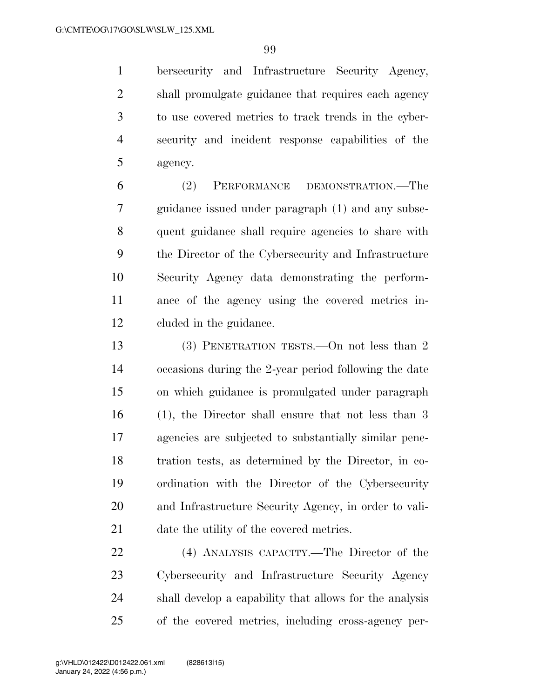bersecurity and Infrastructure Security Agency, shall promulgate guidance that requires each agency to use covered metrics to track trends in the cyber- security and incident response capabilities of the agency.

 (2) PERFORMANCE DEMONSTRATION.—The guidance issued under paragraph (1) and any subse- quent guidance shall require agencies to share with the Director of the Cybersecurity and Infrastructure Security Agency data demonstrating the perform- ance of the agency using the covered metrics in-cluded in the guidance.

 (3) PENETRATION TESTS.—On not less than 2 occasions during the 2-year period following the date on which guidance is promulgated under paragraph (1), the Director shall ensure that not less than 3 agencies are subjected to substantially similar pene- tration tests, as determined by the Director, in co- ordination with the Director of the Cybersecurity and Infrastructure Security Agency, in order to vali-date the utility of the covered metrics.

 (4) ANALYSIS CAPACITY.—The Director of the Cybersecurity and Infrastructure Security Agency shall develop a capability that allows for the analysis of the covered metrics, including cross-agency per-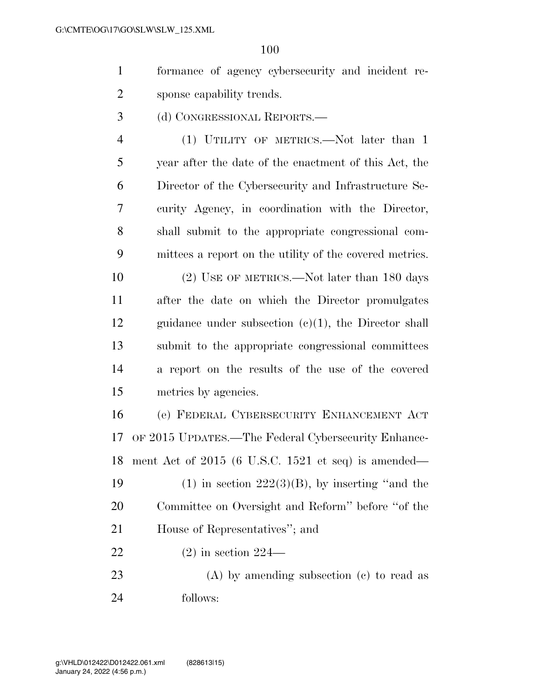- formance of agency cybersecurity and incident re-sponse capability trends.
- (d) CONGRESSIONAL REPORTS.—

4 (1) UTILITY OF METRICS.—Not later than 1 year after the date of the enactment of this Act, the Director of the Cybersecurity and Infrastructure Se- curity Agency, in coordination with the Director, shall submit to the appropriate congressional com-mittees a report on the utility of the covered metrics.

10 (2) USE OF METRICS.—Not later than 180 days after the date on which the Director promulgates guidance under subsection (c)(1), the Director shall submit to the appropriate congressional committees a report on the results of the use of the covered metrics by agencies.

 (e) FEDERAL CYBERSECURITY ENHANCEMENT ACT OF 2015 UPDATES.—The Federal Cybersecurity Enhance- ment Act of 2015 (6 U.S.C. 1521 et seq) is amended— 19 (1) in section  $222(3)(B)$ , by inserting "and the Committee on Oversight and Reform'' before ''of the House of Representatives''; and (2) in section 224—

 (A) by amending subsection (c) to read as follows: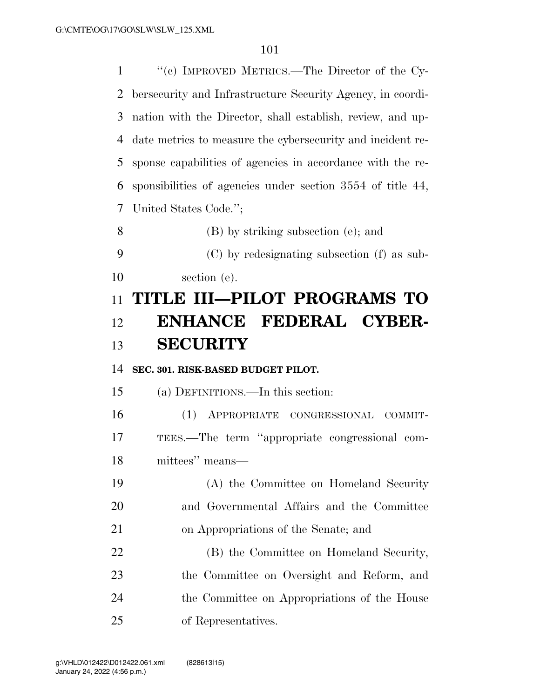''(c) IMPROVED METRICS.—The Director of the Cy- bersecurity and Infrastructure Security Agency, in coordi- nation with the Director, shall establish, review, and up- date metrics to measure the cybersecurity and incident re- sponse capabilities of agencies in accordance with the re- sponsibilities of agencies under section 3554 of title 44, United States Code.''; (B) by striking subsection (e); and (C) by redesignating subsection (f) as sub- section (e). **TITLE III—PILOT PROGRAMS TO ENHANCE FEDERAL CYBER- SECURITY SEC. 301. RISK-BASED BUDGET PILOT.**  (a) DEFINITIONS.—In this section: (1) APPROPRIATE CONGRESSIONAL COMMIT- TEES.—The term ''appropriate congressional com- mittees'' means— (A) the Committee on Homeland Security and Governmental Affairs and the Committee on Appropriations of the Senate; and (B) the Committee on Homeland Security, the Committee on Oversight and Reform, and the Committee on Appropriations of the House of Representatives.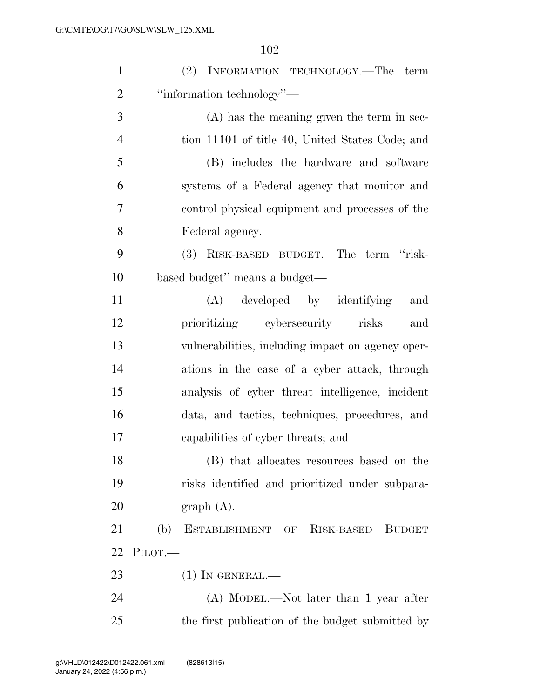| $\mathbf{1}$   | (2) INFORMATION TECHNOLOGY.—The term                |
|----------------|-----------------------------------------------------|
| $\overline{2}$ | "information technology"—                           |
| 3              | $(A)$ has the meaning given the term in sec-        |
| $\overline{4}$ | tion 11101 of title 40, United States Code; and     |
| 5              | (B) includes the hardware and software              |
| 6              | systems of a Federal agency that monitor and        |
| 7              | control physical equipment and processes of the     |
| 8              | Federal agency.                                     |
| 9              | (3)<br>RISK-BASED BUDGET.—The term "risk-           |
| 10             | based budget" means a budget—                       |
| 11             | (A) developed by identifying<br>and                 |
| 12             | prioritizing cybersecurity risks<br>and             |
| 13             | vulnerabilities, including impact on agency oper-   |
| 14             | ations in the case of a cyber attack, through       |
| 15             | analysis of cyber threat intelligence, incident     |
| 16             | data, and tactics, techniques, procedures, and      |
| 17             | capabilities of cyber threats; and                  |
| 18             | (B) that allocates resources based on the           |
| 19             | risks identified and prioritized under subpara-     |
| 20             | graph(A).                                           |
| 21             | ESTABLISHMENT OF RISK-BASED<br>(b)<br><b>BUDGET</b> |
| 22             | PILOT.                                              |
| 23             | $(1)$ In GENERAL.—                                  |
| 24             | $(A)$ MODEL.—Not later than 1 year after            |
| 25             | the first publication of the budget submitted by    |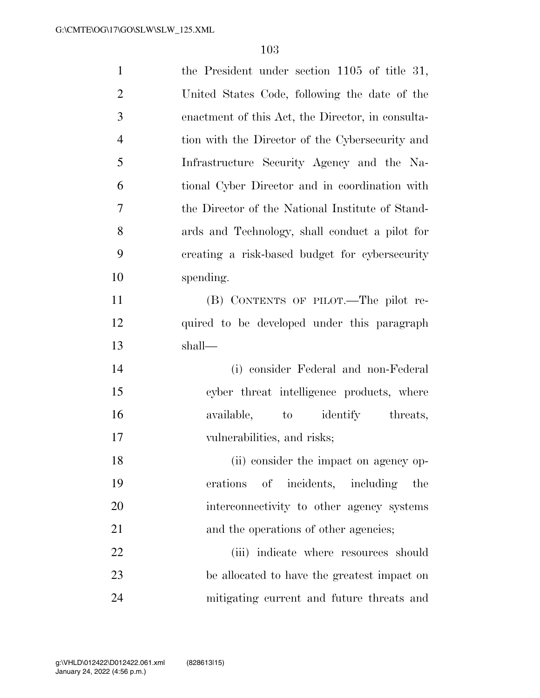| $\mathbf{1}$   | the President under section $1105$ of title 31,   |
|----------------|---------------------------------------------------|
| $\overline{2}$ | United States Code, following the date of the     |
| 3              | enactment of this Act, the Director, in consulta- |
| $\overline{4}$ | tion with the Director of the Cybersecurity and   |
| 5              | Infrastructure Security Agency and the Na-        |
| 6              | tional Cyber Director and in coordination with    |
| $\overline{7}$ | the Director of the National Institute of Stand-  |
| 8              | ards and Technology, shall conduct a pilot for    |
| 9              | creating a risk-based budget for cybersecurity    |
| 10             | spending.                                         |
| 11             | (B) CONTENTS OF PILOT.—The pilot re-              |
| 12             | quired to be developed under this paragraph       |
| 13             | shall—                                            |
| 14             | (i) consider Federal and non-Federal              |
| 15             | cyber threat intelligence products, where         |
| 16             | available, to identify threats,                   |
| 17             | vulnerabilities, and risks;                       |
| 18             | (ii) consider the impact on agency op-            |
| 19             | erations of incidents, including<br>the           |
| 20             | interconnectivity to other agency systems         |
| 21             | and the operations of other agencies;             |
| 22             | (iii) indicate where resources should             |
| 23             | be allocated to have the greatest impact on       |
| 24             | mitigating current and future threats and         |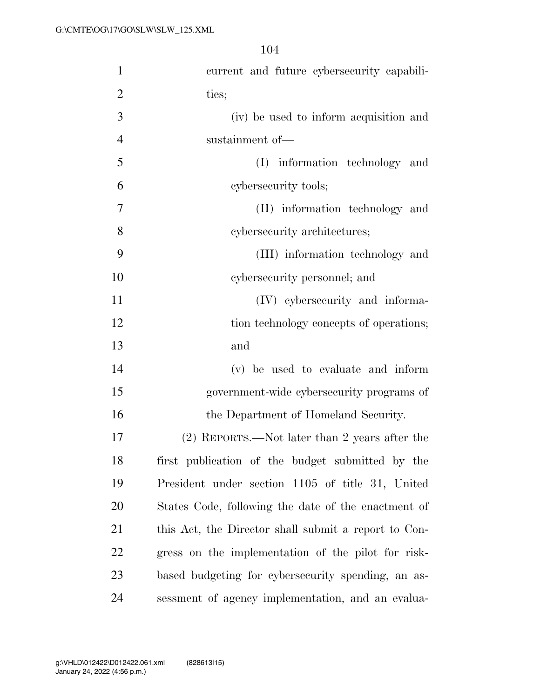| $\mathbf{1}$   | current and future cybersecurity capabili-           |
|----------------|------------------------------------------------------|
| $\overline{2}$ | ties;                                                |
| 3              | (iv) be used to inform acquisition and               |
| $\overline{4}$ | sustainment of-                                      |
| 5              | (I) information technology and                       |
| 6              | cybersecurity tools;                                 |
| $\tau$         | (II) information technology and                      |
| 8              | cybersecurity architectures;                         |
| 9              | (III) information technology and                     |
| 10             | cybersecurity personnel; and                         |
| 11             | (IV) cybersecurity and informa-                      |
| 12             | tion technology concepts of operations;              |
| 13             | and                                                  |
| 14             | (v) be used to evaluate and inform                   |
| 15             | government-wide cybersecurity programs of            |
| 16             | the Department of Homeland Security.                 |
| 17             | (2) REPORTS.—Not later than 2 years after the        |
| 18             | first publication of the budget submitted by the     |
| 19             | President under section 1105 of title 31, United     |
| 20             | States Code, following the date of the enactment of  |
| 21             | this Act, the Director shall submit a report to Con- |
| 22             | gress on the implementation of the pilot for risk-   |
| 23             | based budgeting for cybersecurity spending, an as-   |
| 24             | sessment of agency implementation, and an evalua-    |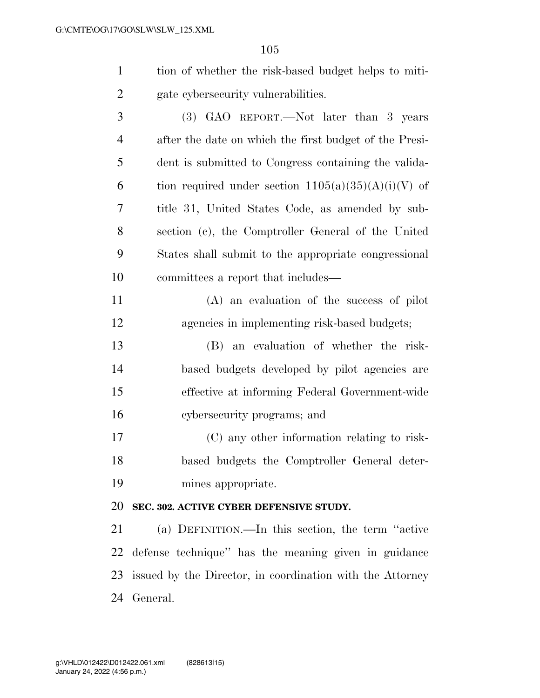| tion of whether the risk-based budget helps to miti-                                                                                                                                                                                                                                                                                                                                 |
|--------------------------------------------------------------------------------------------------------------------------------------------------------------------------------------------------------------------------------------------------------------------------------------------------------------------------------------------------------------------------------------|
| gate cybers ecurity vulnerabilities.                                                                                                                                                                                                                                                                                                                                                 |
| $\overline{a}$ $\overline{a}$ $\overline{a}$ $\overline{a}$ $\overline{a}$ $\overline{a}$ $\overline{a}$ $\overline{a}$ $\overline{a}$ $\overline{a}$ $\overline{a}$ $\overline{a}$ $\overline{a}$ $\overline{a}$ $\overline{a}$ $\overline{a}$ $\overline{a}$ $\overline{a}$ $\overline{a}$ $\overline{a}$ $\overline{a}$ $\overline{a}$ $\overline{a}$ $\overline{a}$ $\overline{$ |

 (3) GAO REPORT.—Not later than 3 years after the date on which the first budget of the Presi- dent is submitted to Congress containing the valida-6 tion required under section  $1105(a)(35)(A)(i)(V)$  of title 31, United States Code, as amended by sub- section (c), the Comptroller General of the United States shall submit to the appropriate congressional committees a report that includes—

 (A) an evaluation of the success of pilot agencies in implementing risk-based budgets;

 (B) an evaluation of whether the risk- based budgets developed by pilot agencies are effective at informing Federal Government-wide cybersecurity programs; and

 (C) any other information relating to risk- based budgets the Comptroller General deter-mines appropriate.

## **SEC. 302. ACTIVE CYBER DEFENSIVE STUDY.**

 (a) DEFINITION.—In this section, the term ''active defense technique'' has the meaning given in guidance issued by the Director, in coordination with the Attorney General.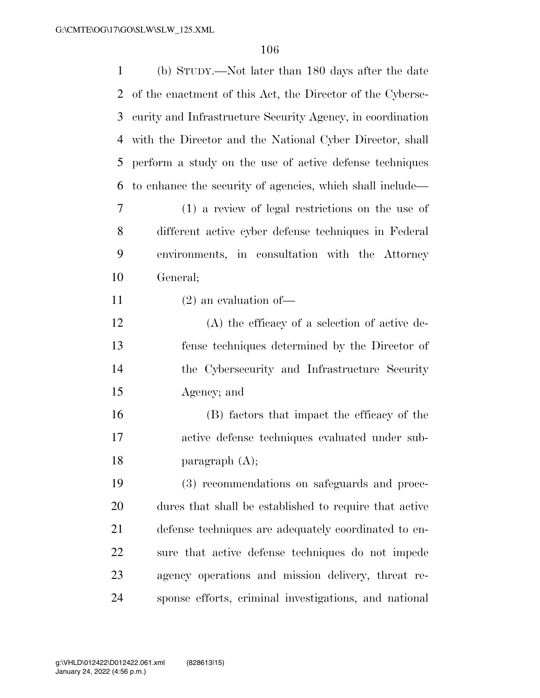| 1  | (b) STUDY.—Not later than 180 days after the date          |
|----|------------------------------------------------------------|
| 2  | of the enactment of this Act, the Director of the Cyberse- |
| 3  | curity and Infrastructure Security Agency, in coordination |
| 4  | with the Director and the National Cyber Director, shall   |
| 5  | perform a study on the use of active defense techniques    |
| 6  | to enhance the security of agencies, which shall include—  |
| 7  | (1) a review of legal restrictions on the use of           |
| 8  | different active cyber defense techniques in Federal       |
| 9  | environments, in consultation with the Attorney            |
| 10 | General;                                                   |
| 11 | $(2)$ an evaluation of —                                   |
| 12 | $(A)$ the efficacy of a selection of active de-            |
| 13 | fense techniques determined by the Director of             |
| 14 | the Cybersecurity and Infrastructure Security              |
| 15 | Agency; and                                                |
| 16 | (B) factors that impact the efficacy of the                |
| 17 | active defense techniques evaluated under sub-             |
| 18 | paragraph $(A)$ ;                                          |
| 19 | (3) recommendations on safeguards and proce-               |
| 20 | dures that shall be established to require that active     |
| 21 | defense techniques are adequately coordinated to en-       |
| 22 | sure that active defense techniques do not impede          |
| 23 | agency operations and mission delivery, threat re-         |
| 24 | sponse efforts, criminal investigations, and national      |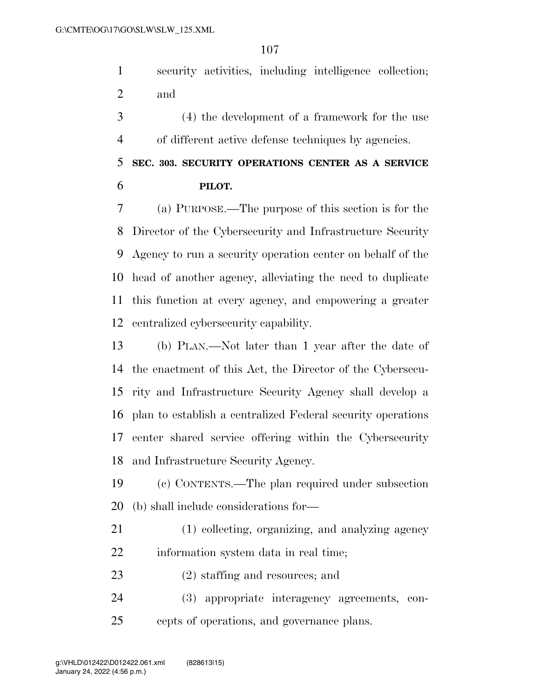security activities, including intelligence collection; and

 (4) the development of a framework for the use of different active defense techniques by agencies.

 **SEC. 303. SECURITY OPERATIONS CENTER AS A SERVICE PILOT.** 

 (a) PURPOSE.—The purpose of this section is for the Director of the Cybersecurity and Infrastructure Security Agency to run a security operation center on behalf of the head of another agency, alleviating the need to duplicate this function at every agency, and empowering a greater centralized cybersecurity capability.

 (b) PLAN.—Not later than 1 year after the date of the enactment of this Act, the Director of the Cybersecu- rity and Infrastructure Security Agency shall develop a plan to establish a centralized Federal security operations center shared service offering within the Cybersecurity and Infrastructure Security Agency.

 (c) CONTENTS.—The plan required under subsection (b) shall include considerations for—

 (1) collecting, organizing, and analyzing agency information system data in real time;

(2) staffing and resources; and

 (3) appropriate interagency agreements, con-cepts of operations, and governance plans.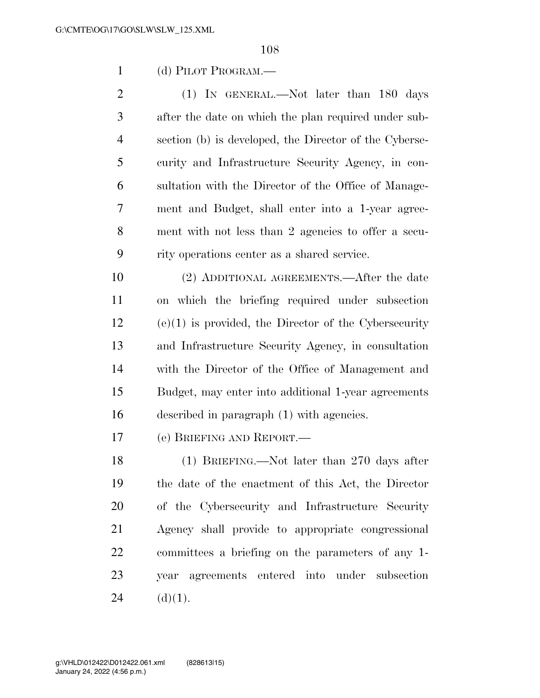(d) PILOT PROGRAM.—

2 (1) IN GENERAL.—Not later than 180 days after the date on which the plan required under sub- section (b) is developed, the Director of the Cyberse- curity and Infrastructure Security Agency, in con- sultation with the Director of the Office of Manage- ment and Budget, shall enter into a 1-year agree- ment with not less than 2 agencies to offer a secu-rity operations center as a shared service.

 (2) ADDITIONAL AGREEMENTS.—After the date on which the briefing required under subsection (e)(1) is provided, the Director of the Cybersecurity and Infrastructure Security Agency, in consultation with the Director of the Office of Management and Budget, may enter into additional 1-year agreements described in paragraph (1) with agencies.

(e) BRIEFING AND REPORT.—

 (1) BRIEFING.—Not later than 270 days after the date of the enactment of this Act, the Director of the Cybersecurity and Infrastructure Security Agency shall provide to appropriate congressional committees a briefing on the parameters of any 1- year agreements entered into under subsection 24 (d)(1).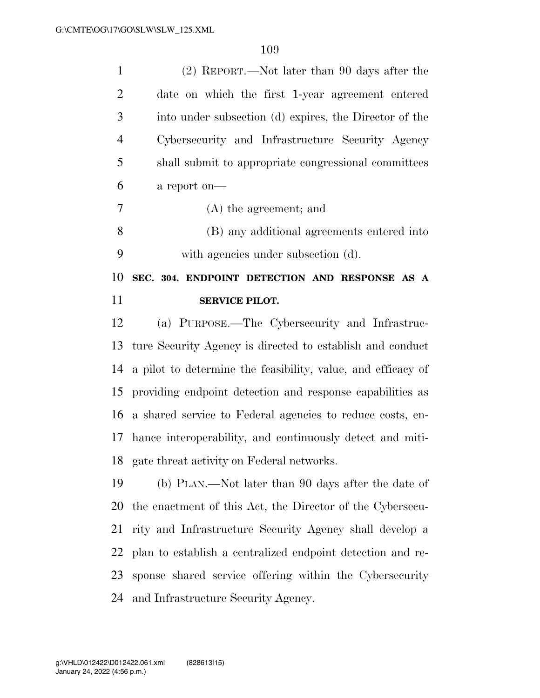| $\mathbf{1}$   | (2) REPORT.—Not later than 90 days after the                 |
|----------------|--------------------------------------------------------------|
| $\overline{2}$ | date on which the first 1-year agreement entered             |
| 3              | into under subsection (d) expires, the Director of the       |
| $\overline{4}$ | Cybersecurity and Infrastructure Security Agency             |
| 5              | shall submit to appropriate congressional committees         |
| 6              | a report on-                                                 |
| 7              | $(A)$ the agreement; and                                     |
| 8              | (B) any additional agreements entered into                   |
| 9              | with agencies under subsection (d).                          |
| 10             | SEC. 304. ENDPOINT DETECTION AND RESPONSE AS A               |
| 11             | <b>SERVICE PILOT.</b>                                        |
|                |                                                              |
| 12             | (a) PURPOSE.—The Cybersecurity and Infrastruc-               |
| 13             | ture Security Agency is directed to establish and conduct    |
| 14             | a pilot to determine the feasibility, value, and efficacy of |
| 15             | providing endpoint detection and response capabilities as    |
| 16             | a shared service to Federal agencies to reduce costs, en-    |
| 17             | hance interoperability, and continuously detect and miti-    |
| 18             | gate threat activity on Federal networks.                    |
| 19             | (b) PLAN.—Not later than 90 days after the date of           |
| 20             | the enactment of this Act, the Director of the Cybersecu-    |
| 21             | rity and Infrastructure Security Agency shall develop a      |
| 22             | plan to establish a centralized endpoint detection and re-   |

and Infrastructure Security Agency.

sponse shared service offering within the Cybersecurity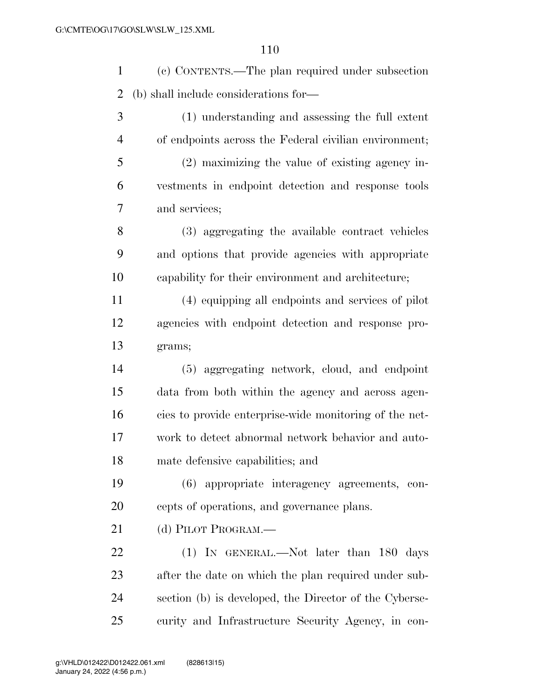(c) CONTENTS.—The plan required under subsection (b) shall include considerations for—

 (1) understanding and assessing the full extent of endpoints across the Federal civilian environment; (2) maximizing the value of existing agency in- vestments in endpoint detection and response tools and services; (3) aggregating the available contract vehicles

 and options that provide agencies with appropriate capability for their environment and architecture;

 (4) equipping all endpoints and services of pilot agencies with endpoint detection and response pro-grams;

 (5) aggregating network, cloud, and endpoint data from both within the agency and across agen- cies to provide enterprise-wide monitoring of the net- work to detect abnormal network behavior and auto-mate defensive capabilities; and

 (6) appropriate interagency agreements, con-cepts of operations, and governance plans.

21 (d) PILOT PROGRAM.

22 (1) IN GENERAL.—Not later than 180 days after the date on which the plan required under sub- section (b) is developed, the Director of the Cyberse-curity and Infrastructure Security Agency, in con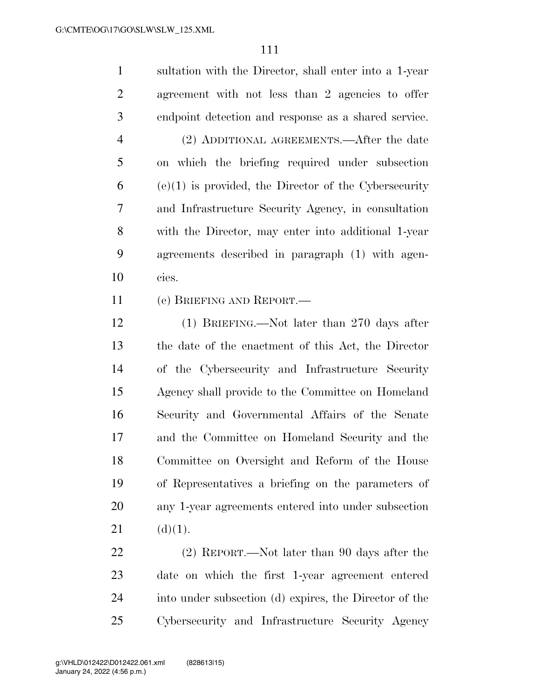sultation with the Director, shall enter into a 1-year agreement with not less than 2 agencies to offer endpoint detection and response as a shared service. (2) ADDITIONAL AGREEMENTS.—After the date on which the briefing required under subsection (e)(1) is provided, the Director of the Cybersecurity and Infrastructure Security Agency, in consultation with the Director, may enter into additional 1-year agreements described in paragraph (1) with agen-cies.

(e) BRIEFING AND REPORT.—

 (1) BRIEFING.—Not later than 270 days after the date of the enactment of this Act, the Director of the Cybersecurity and Infrastructure Security Agency shall provide to the Committee on Homeland Security and Governmental Affairs of the Senate and the Committee on Homeland Security and the Committee on Oversight and Reform of the House of Representatives a briefing on the parameters of any 1-year agreements entered into under subsection (d)(1).

 (2) REPORT.—Not later than 90 days after the date on which the first 1-year agreement entered into under subsection (d) expires, the Director of the Cybersecurity and Infrastructure Security Agency